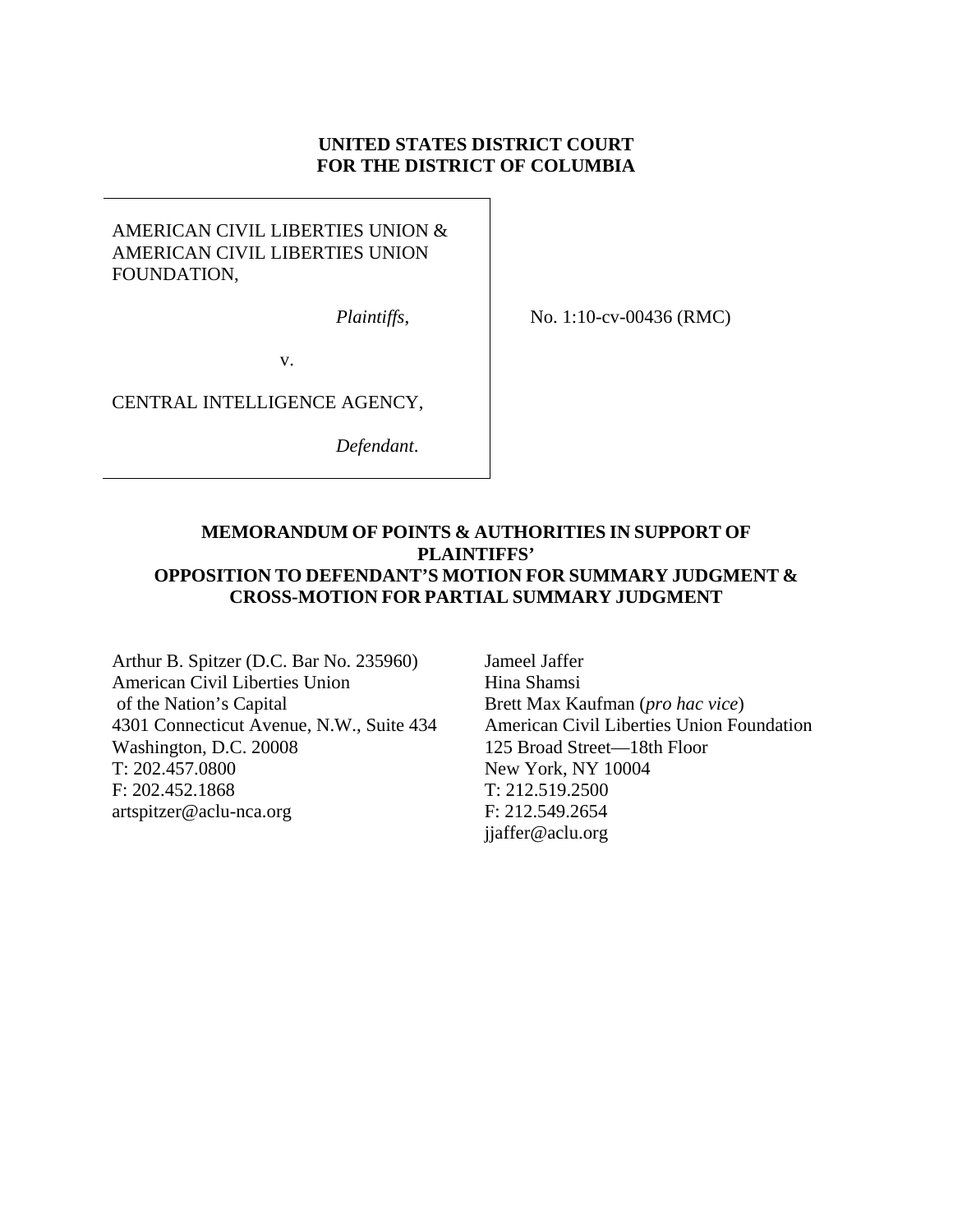### **UNITED STATES DISTRICT COURT FOR THE DISTRICT OF COLUMBIA**

### AMERICAN CIVIL LIBERTIES UNION & AMERICAN CIVIL LIBERTIES UNION FOUNDATION,

*Plaintiffs*,

No. 1:10-cv-00436 (RMC)

v.

CENTRAL INTELLIGENCE AGENCY,

*Defendant*.

### **MEMORANDUM OF POINTS & AUTHORITIES IN SUPPORT OF PLAINTIFFS' OPPOSITION TO DEFENDANT'S MOTION FOR SUMMARY JUDGMENT & CROSS-MOTION FOR PARTIAL SUMMARY JUDGMENT**

Arthur B. Spitzer (D.C. Bar No. 235960) American Civil Liberties Union of the Nation's Capital 4301 Connecticut Avenue, N.W., Suite 434 Washington, D.C. 20008 T: 202.457.0800 F: 202.452.1868 artspitzer@aclu-nca.org

Jameel Jaffer Hina Shamsi Brett Max Kaufman (*pro hac vice*) American Civil Liberties Union Foundation 125 Broad Street—18th Floor New York, NY 10004 T: 212.519.2500 F: 212.549.2654 jjaffer@aclu.org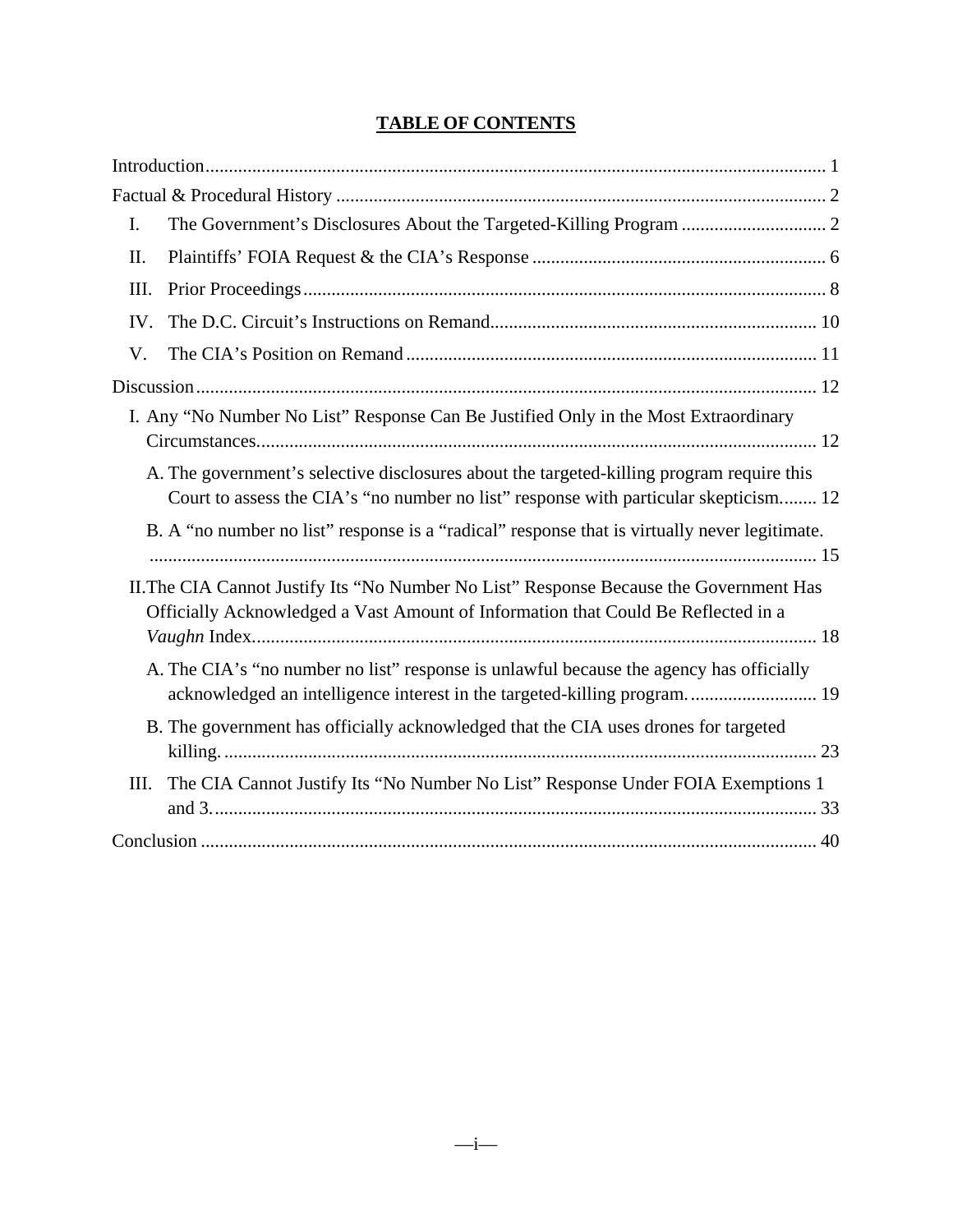# **TABLE OF CONTENTS**

| I.   |                                                                                                                                                                                   |  |
|------|-----------------------------------------------------------------------------------------------------------------------------------------------------------------------------------|--|
| II.  |                                                                                                                                                                                   |  |
| III. |                                                                                                                                                                                   |  |
| IV.  |                                                                                                                                                                                   |  |
| V.   |                                                                                                                                                                                   |  |
|      |                                                                                                                                                                                   |  |
|      | I. Any "No Number No List" Response Can Be Justified Only in the Most Extraordinary                                                                                               |  |
|      | A. The government's selective disclosures about the targeted-killing program require this<br>Court to assess the CIA's "no number no list" response with particular skepticism 12 |  |
|      | B. A "no number no list" response is a "radical" response that is virtually never legitimate.                                                                                     |  |
|      | II. The CIA Cannot Justify Its "No Number No List" Response Because the Government Has<br>Officially Acknowledged a Vast Amount of Information that Could Be Reflected in a       |  |
|      | A. The CIA's "no number no list" response is unlawful because the agency has officially<br>acknowledged an intelligence interest in the targeted-killing program 19               |  |
|      | B. The government has officially acknowledged that the CIA uses drones for targeted                                                                                               |  |
| III. | The CIA Cannot Justify Its "No Number No List" Response Under FOIA Exemptions 1                                                                                                   |  |
|      |                                                                                                                                                                                   |  |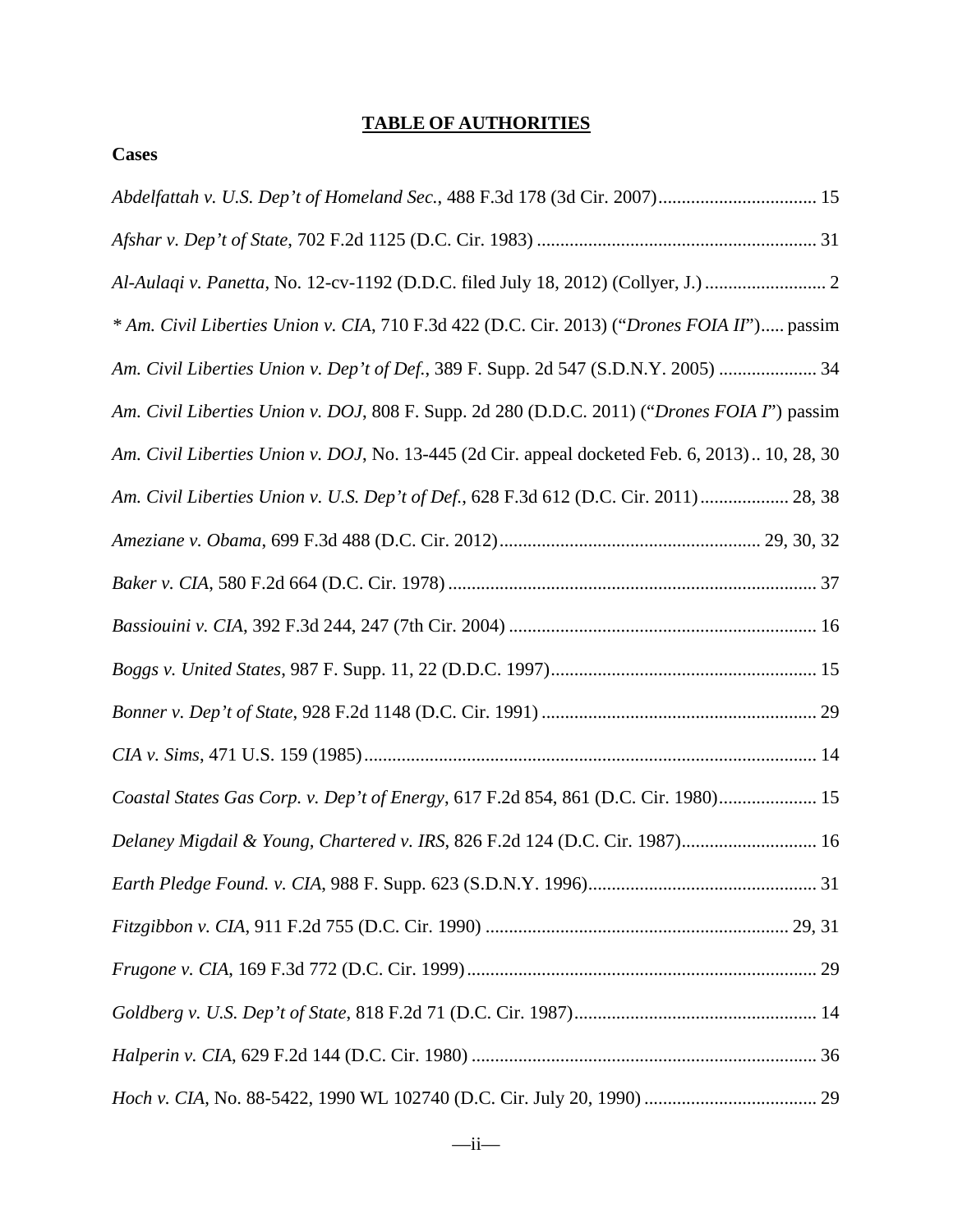# **TABLE OF AUTHORITIES**

#### **Cases**

| Al-Aulaqi v. Panetta, No. 12-cv-1192 (D.D.C. filed July 18, 2012) (Collyer, J.)  2             |
|------------------------------------------------------------------------------------------------|
| * Am. Civil Liberties Union v. CIA, 710 F.3d 422 (D.C. Cir. 2013) ("Drones FOIA II") passim    |
| Am. Civil Liberties Union v. Dep't of Def., 389 F. Supp. 2d 547 (S.D.N.Y. 2005)  34            |
| Am. Civil Liberties Union v. DOJ, 808 F. Supp. 2d 280 (D.D.C. 2011) ("Drones FOIA I") passim   |
| Am. Civil Liberties Union v. DOJ, No. 13-445 (2d Cir. appeal docketed Feb. 6, 2013) 10, 28, 30 |
| Am. Civil Liberties Union v. U.S. Dep't of Def., 628 F.3d 612 (D.C. Cir. 2011)  28, 38         |
|                                                                                                |
|                                                                                                |
|                                                                                                |
|                                                                                                |
|                                                                                                |
|                                                                                                |
| Coastal States Gas Corp. v. Dep't of Energy, 617 F.2d 854, 861 (D.C. Cir. 1980) 15             |
| Delaney Migdail & Young, Chartered v. IRS, 826 F.2d 124 (D.C. Cir. 1987) 16                    |
|                                                                                                |
|                                                                                                |
|                                                                                                |
|                                                                                                |
|                                                                                                |
|                                                                                                |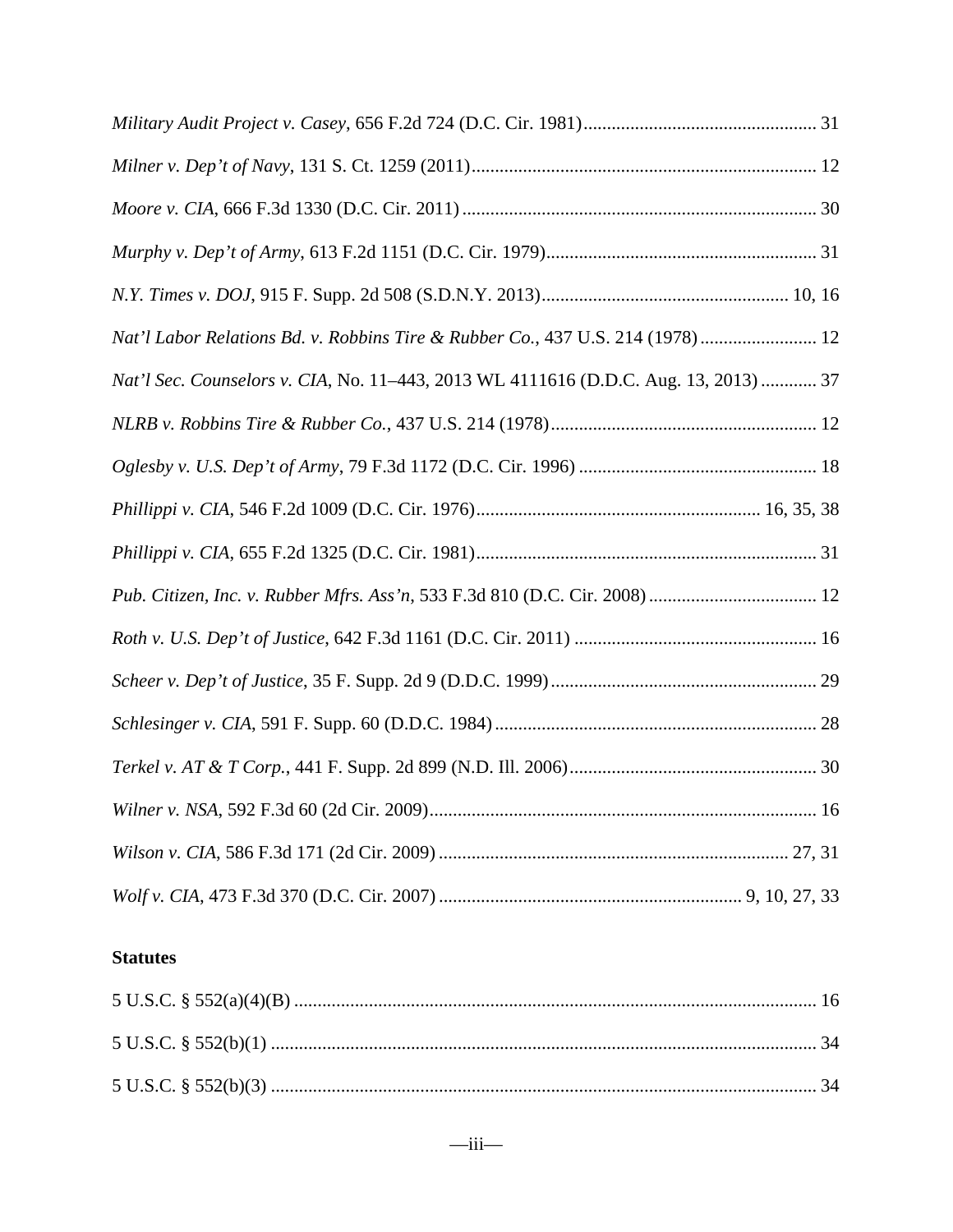| Nat'l Labor Relations Bd. v. Robbins Tire & Rubber Co., 437 U.S. 214 (1978)  12      |
|--------------------------------------------------------------------------------------|
| Nat'l Sec. Counselors v. CIA, No. 11-443, 2013 WL 4111616 (D.D.C. Aug. 13, 2013)  37 |
|                                                                                      |
|                                                                                      |
|                                                                                      |
|                                                                                      |
|                                                                                      |
|                                                                                      |
|                                                                                      |
|                                                                                      |
|                                                                                      |
|                                                                                      |
|                                                                                      |
|                                                                                      |

## **Statutes**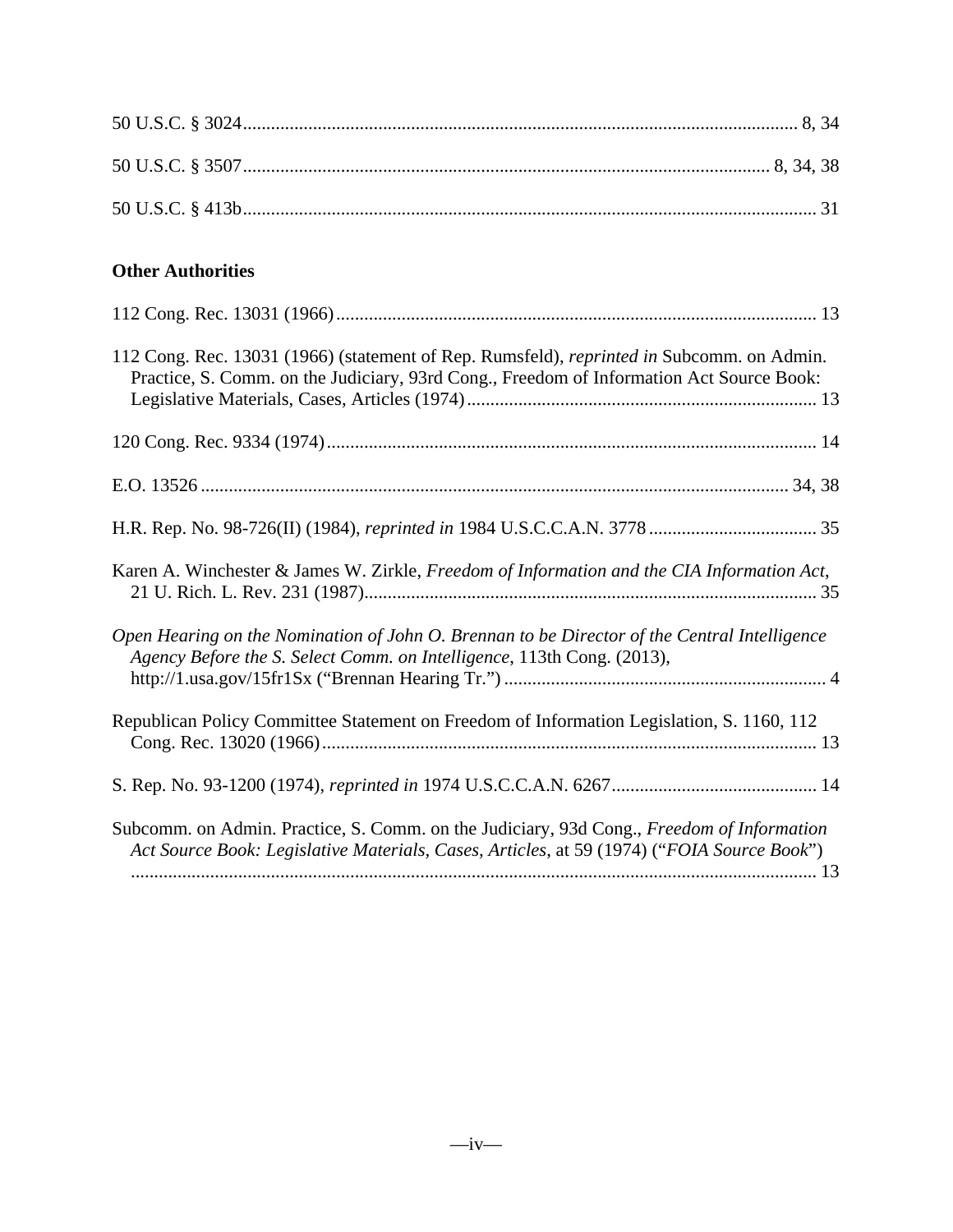| <b>Other Authorities</b>                                                                                                                                                                     |
|----------------------------------------------------------------------------------------------------------------------------------------------------------------------------------------------|
|                                                                                                                                                                                              |
| 112 Cong. Rec. 13031 (1966) (statement of Rep. Rumsfeld), <i>reprinted in</i> Subcomm. on Admin.<br>Practice, S. Comm. on the Judiciary, 93rd Cong., Freedom of Information Act Source Book: |
|                                                                                                                                                                                              |
|                                                                                                                                                                                              |
|                                                                                                                                                                                              |
| Karen A. Winchester & James W. Zirkle, Freedom of Information and the CIA Information Act,                                                                                                   |
| Open Hearing on the Nomination of John O. Brennan to be Director of the Central Intelligence<br>Agency Before the S. Select Comm. on Intelligence, 113th Cong. (2013),                       |
| Republican Policy Committee Statement on Freedom of Information Legislation, S. 1160, 112                                                                                                    |
|                                                                                                                                                                                              |
| Subcomm. on Admin. Practice, S. Comm. on the Judiciary, 93d Cong., Freedom of Information<br>Act Source Book: Legislative Materials, Cases, Articles, at 59 (1974) ("FOIA Source Book")      |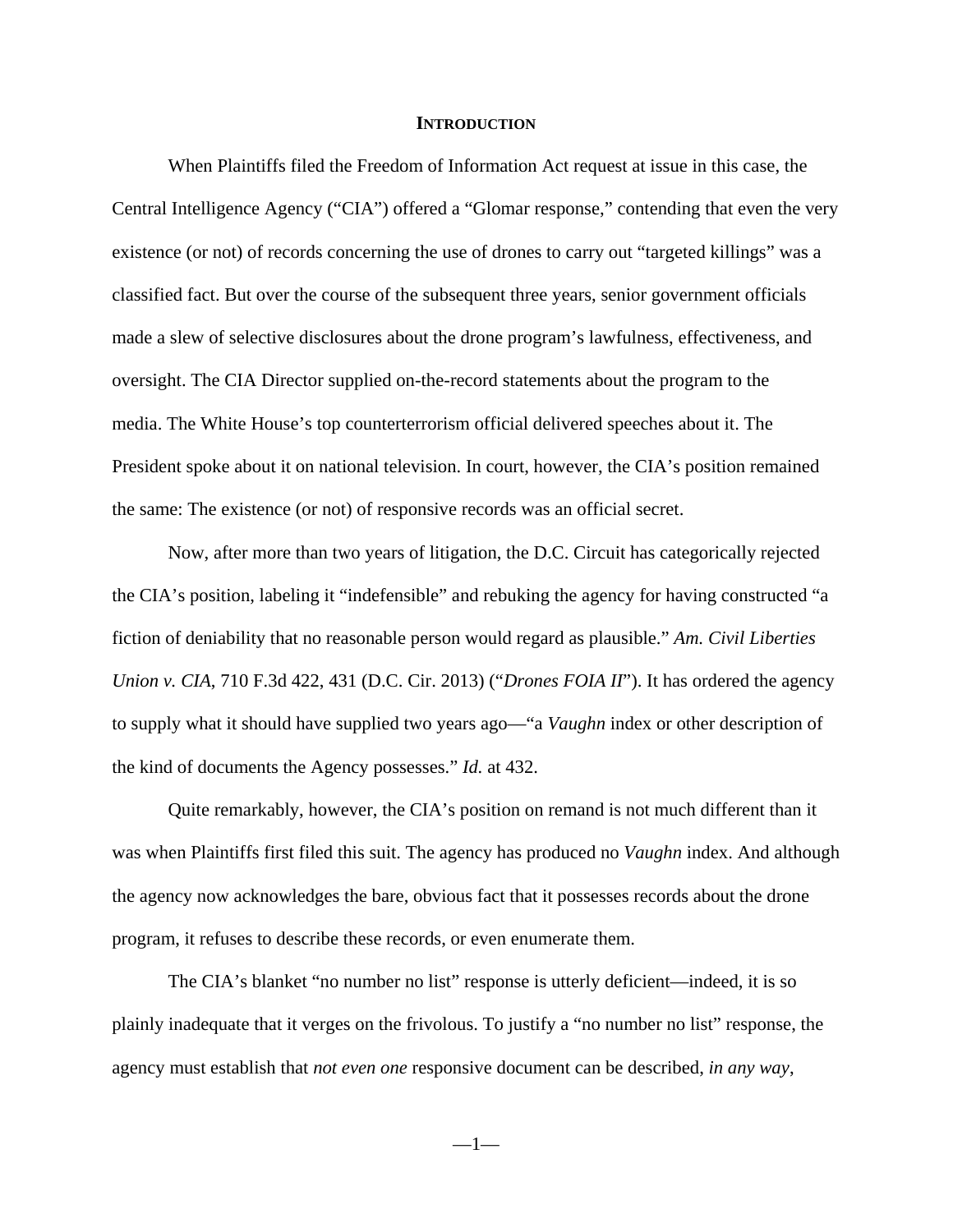#### **INTRODUCTION**

When Plaintiffs filed the Freedom of Information Act request at issue in this case, the Central Intelligence Agency ("CIA") offered a "Glomar response," contending that even the very existence (or not) of records concerning the use of drones to carry out "targeted killings" was a classified fact. But over the course of the subsequent three years, senior government officials made a slew of selective disclosures about the drone program's lawfulness, effectiveness, and oversight. The CIA Director supplied on-the-record statements about the program to the media. The White House's top counterterrorism official delivered speeches about it. The President spoke about it on national television. In court, however, the CIA's position remained the same: The existence (or not) of responsive records was an official secret.

Now, after more than two years of litigation, the D.C. Circuit has categorically rejected the CIA's position, labeling it "indefensible" and rebuking the agency for having constructed "a fiction of deniability that no reasonable person would regard as plausible." *Am. Civil Liberties Union v. CIA*, 710 F.3d 422, 431 (D.C. Cir. 2013) ("*Drones FOIA II*"). It has ordered the agency to supply what it should have supplied two years ago—"a *Vaughn* index or other description of the kind of documents the Agency possesses." *Id.* at 432.

Quite remarkably, however, the CIA's position on remand is not much different than it was when Plaintiffs first filed this suit. The agency has produced no *Vaughn* index. And although the agency now acknowledges the bare, obvious fact that it possesses records about the drone program, it refuses to describe these records, or even enumerate them.

The CIA's blanket "no number no list" response is utterly deficient—indeed, it is so plainly inadequate that it verges on the frivolous. To justify a "no number no list" response, the agency must establish that *not even one* responsive document can be described, *in any way*,

—1—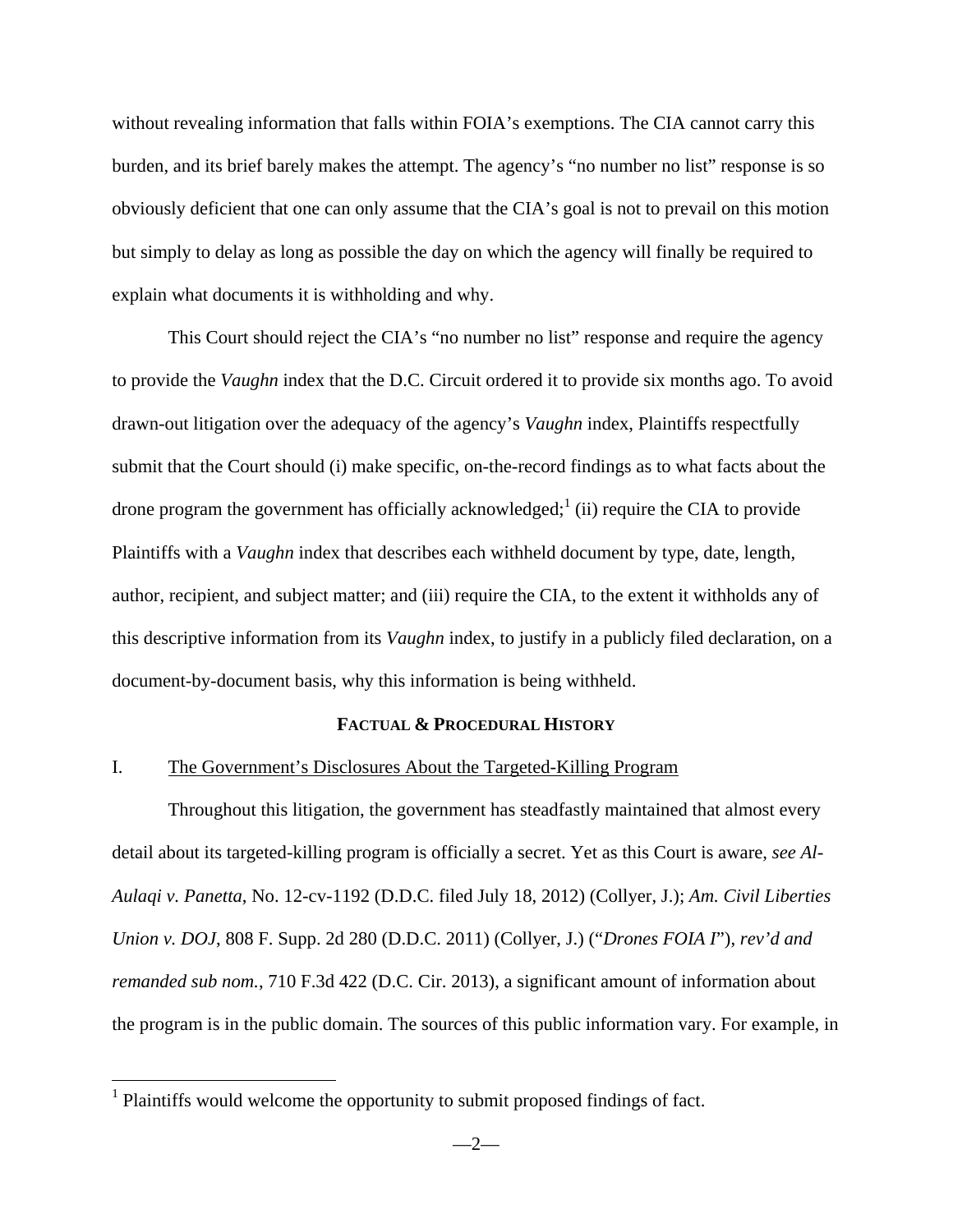without revealing information that falls within FOIA's exemptions. The CIA cannot carry this burden, and its brief barely makes the attempt. The agency's "no number no list" response is so obviously deficient that one can only assume that the CIA's goal is not to prevail on this motion but simply to delay as long as possible the day on which the agency will finally be required to explain what documents it is withholding and why.

This Court should reject the CIA's "no number no list" response and require the agency to provide the *Vaughn* index that the D.C. Circuit ordered it to provide six months ago. To avoid drawn-out litigation over the adequacy of the agency's *Vaughn* index, Plaintiffs respectfully submit that the Court should (i) make specific, on-the-record findings as to what facts about the drone program the government has officially acknowledged;<sup>1</sup> (ii) require the CIA to provide Plaintiffs with a *Vaughn* index that describes each withheld document by type, date, length, author, recipient, and subject matter; and (iii) require the CIA, to the extent it withholds any of this descriptive information from its *Vaughn* index, to justify in a publicly filed declaration, on a document-by-document basis, why this information is being withheld.

#### **FACTUAL & PROCEDURAL HISTORY**

#### I. The Government's Disclosures About the Targeted-Killing Program

Throughout this litigation, the government has steadfastly maintained that almost every detail about its targeted-killing program is officially a secret. Yet as this Court is aware, *see Al-Aulaqi v. Panetta*, No. 12-cv-1192 (D.D.C. filed July 18, 2012) (Collyer, J.); *Am. Civil Liberties Union v. DOJ*, 808 F. Supp. 2d 280 (D.D.C. 2011) (Collyer, J.) ("*Drones FOIA I*"), *rev'd and remanded sub nom.*, 710 F.3d 422 (D.C. Cir. 2013), a significant amount of information about the program is in the public domain. The sources of this public information vary. For example, in

<u>.</u>

 $<sup>1</sup>$  Plaintiffs would welcome the opportunity to submit proposed findings of fact.</sup>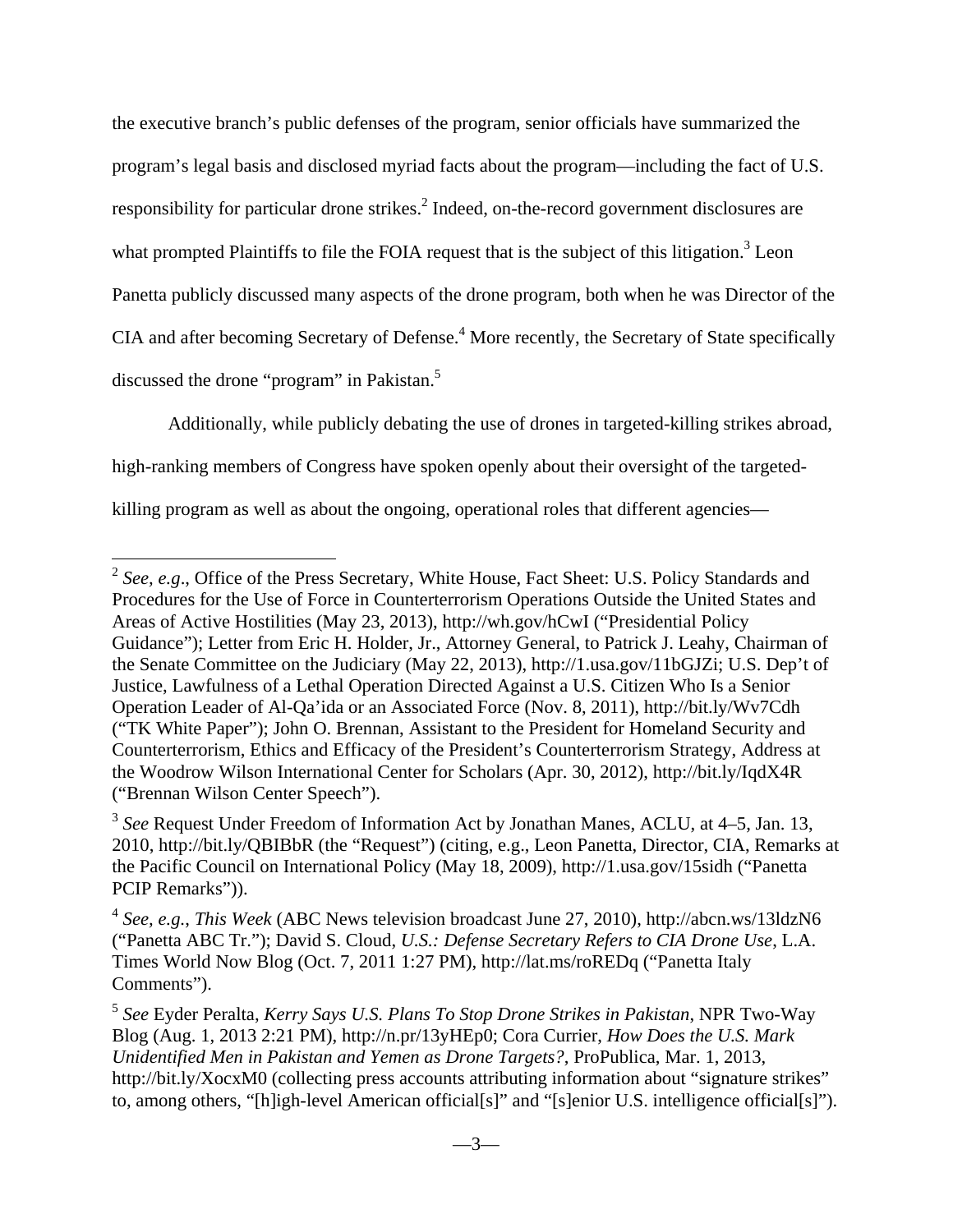the executive branch's public defenses of the program, senior officials have summarized the program's legal basis and disclosed myriad facts about the program—including the fact of U.S. responsibility for particular drone strikes.<sup>2</sup> Indeed, on-the-record government disclosures are what prompted Plaintiffs to file the FOIA request that is the subject of this litigation.<sup>3</sup> Leon Panetta publicly discussed many aspects of the drone program, both when he was Director of the CIA and after becoming Secretary of Defense.<sup>4</sup> More recently, the Secretary of State specifically discussed the drone "program" in Pakistan.<sup>5</sup>

Additionally, while publicly debating the use of drones in targeted-killing strikes abroad,

high-ranking members of Congress have spoken openly about their oversight of the targeted-

killing program as well as about the ongoing, operational roles that different agencies—

<sup>2</sup> *See, e.g*., Office of the Press Secretary, White House, Fact Sheet: U.S. Policy Standards and Procedures for the Use of Force in Counterterrorism Operations Outside the United States and Areas of Active Hostilities (May 23, 2013), http://wh.gov/hCwI ("Presidential Policy Guidance"); Letter from Eric H. Holder, Jr., Attorney General, to Patrick J. Leahy, Chairman of the Senate Committee on the Judiciary (May 22, 2013), http://1.usa.gov/11bGJZi; U.S. Dep't of Justice, Lawfulness of a Lethal Operation Directed Against a U.S. Citizen Who Is a Senior Operation Leader of Al-Qa'ida or an Associated Force (Nov. 8, 2011), http://bit.ly/Wv7Cdh ("TK White Paper"); John O. Brennan, Assistant to the President for Homeland Security and Counterterrorism, Ethics and Efficacy of the President's Counterterrorism Strategy, Address at the Woodrow Wilson International Center for Scholars (Apr. 30, 2012), http://bit.ly/IqdX4R ("Brennan Wilson Center Speech").

<sup>3</sup> *See* Request Under Freedom of Information Act by Jonathan Manes, ACLU, at 4–5, Jan. 13, 2010, http://bit.ly/QBIBbR (the "Request") (citing, e.g., Leon Panetta, Director, CIA, Remarks at the Pacific Council on International Policy (May 18, 2009), http://1.usa.gov/15sidh ("Panetta PCIP Remarks")).

<sup>4</sup> *See, e.g.*, *This Week* (ABC News television broadcast June 27, 2010), http://abcn.ws/13ldzN6 ("Panetta ABC Tr."); David S. Cloud, *U.S.: Defense Secretary Refers to CIA Drone Use*, L.A. Times World Now Blog (Oct. 7, 2011 1:27 PM), http://lat.ms/roREDq ("Panetta Italy Comments").

<sup>5</sup> *See* Eyder Peralta, *Kerry Says U.S. Plans To Stop Drone Strikes in Pakistan*, NPR Two-Way Blog (Aug. 1, 2013 2:21 PM), http://n.pr/13yHEp0; Cora Currier, *How Does the U.S. Mark Unidentified Men in Pakistan and Yemen as Drone Targets?*, ProPublica, Mar. 1, 2013, http://bit.ly/XocxM0 (collecting press accounts attributing information about "signature strikes" to, among others, "[h]igh-level American official[s]" and "[s]enior U.S. intelligence official[s]").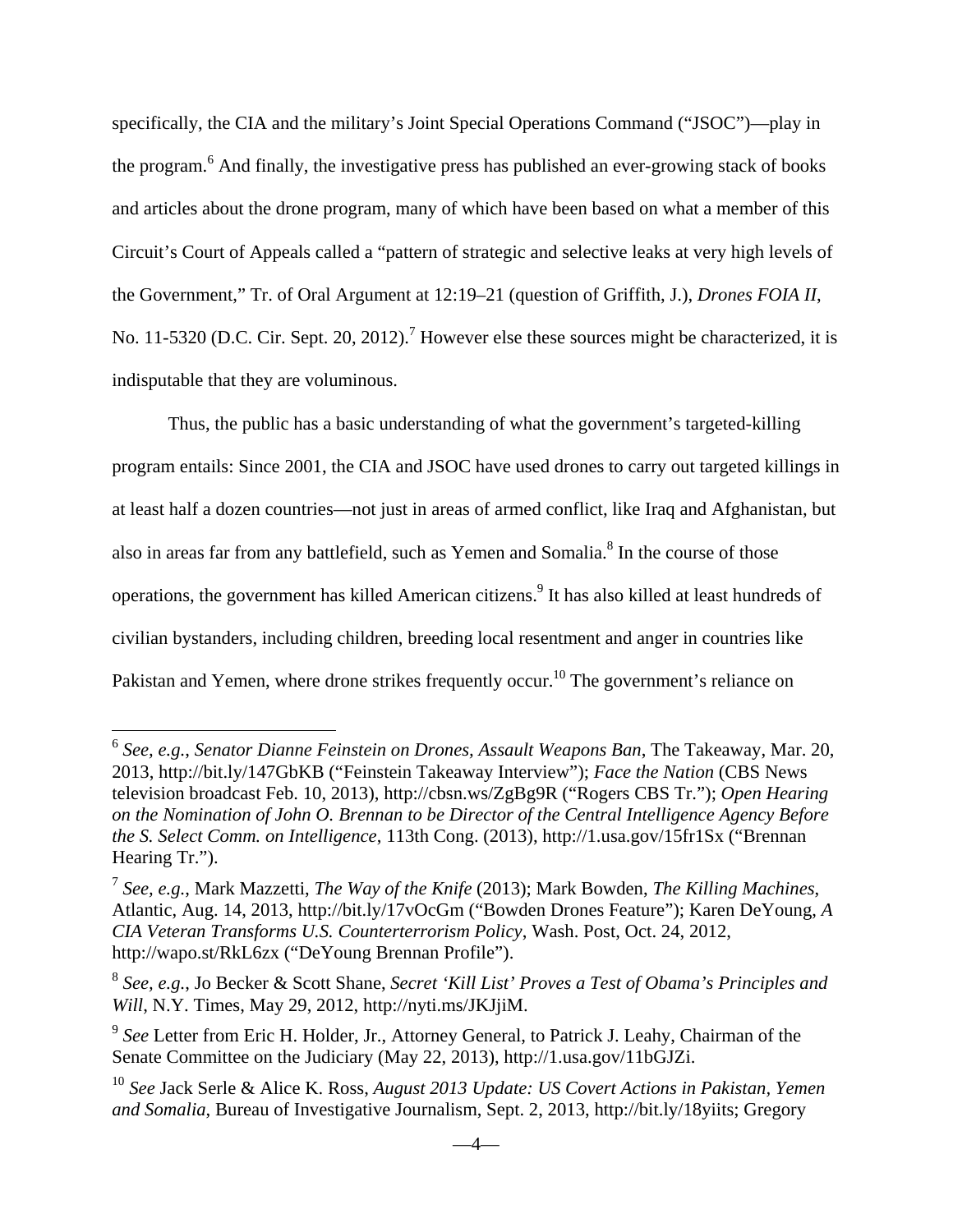specifically, the CIA and the military's Joint Special Operations Command ("JSOC")—play in the program.<sup>6</sup> And finally, the investigative press has published an ever-growing stack of books and articles about the drone program, many of which have been based on what a member of this Circuit's Court of Appeals called a "pattern of strategic and selective leaks at very high levels of the Government," Tr. of Oral Argument at 12:19–21 (question of Griffith, J.), *Drones FOIA II*, No. 11-5320 (D.C. Cir. Sept. 20, 2012).<sup>7</sup> However else these sources might be characterized, it is indisputable that they are voluminous.

Thus, the public has a basic understanding of what the government's targeted-killing program entails: Since 2001, the CIA and JSOC have used drones to carry out targeted killings in at least half a dozen countries—not just in areas of armed conflict, like Iraq and Afghanistan, but also in areas far from any battlefield, such as Yemen and Somalia.<sup>8</sup> In the course of those operations, the government has killed American citizens.<sup>9</sup> It has also killed at least hundreds of civilian bystanders, including children, breeding local resentment and anger in countries like Pakistan and Yemen, where drone strikes frequently occur.<sup>10</sup> The government's reliance on

<sup>6</sup> *See, e.g.*, *Senator Dianne Feinstein on Drones, Assault Weapons Ban*, The Takeaway, Mar. 20, 2013, http://bit.ly/147GbKB ("Feinstein Takeaway Interview"); *Face the Nation* (CBS News television broadcast Feb. 10, 2013), http://cbsn.ws/ZgBg9R ("Rogers CBS Tr."); *Open Hearing on the Nomination of John O. Brennan to be Director of the Central Intelligence Agency Before the S. Select Comm. on Intelligence*, 113th Cong. (2013), http://1.usa.gov/15fr1Sx ("Brennan Hearing Tr.").

<sup>7</sup> *See, e.g.*, Mark Mazzetti, *The Way of the Knife* (2013); Mark Bowden, *The Killing Machines*, Atlantic, Aug. 14, 2013, http://bit.ly/17vOcGm ("Bowden Drones Feature"); Karen DeYoung, *A CIA Veteran Transforms U.S. Counterterrorism Policy*, Wash. Post, Oct. 24, 2012, http://wapo.st/RkL6zx ("DeYoung Brennan Profile").

<sup>8</sup> *See, e.g.*, Jo Becker & Scott Shane, *Secret 'Kill List' Proves a Test of Obama's Principles and Will*, N.Y. Times, May 29, 2012, http://nyti.ms/JKJjiM.

<sup>9</sup> *See* Letter from Eric H. Holder, Jr., Attorney General, to Patrick J. Leahy, Chairman of the Senate Committee on the Judiciary (May 22, 2013), http://1.usa.gov/11bGJZi.

<sup>10</sup> *See* Jack Serle & Alice K. Ross, *August 2013 Update: US Covert Actions in Pakistan, Yemen and Somalia*, Bureau of Investigative Journalism, Sept. 2, 2013, http://bit.ly/18yiits; Gregory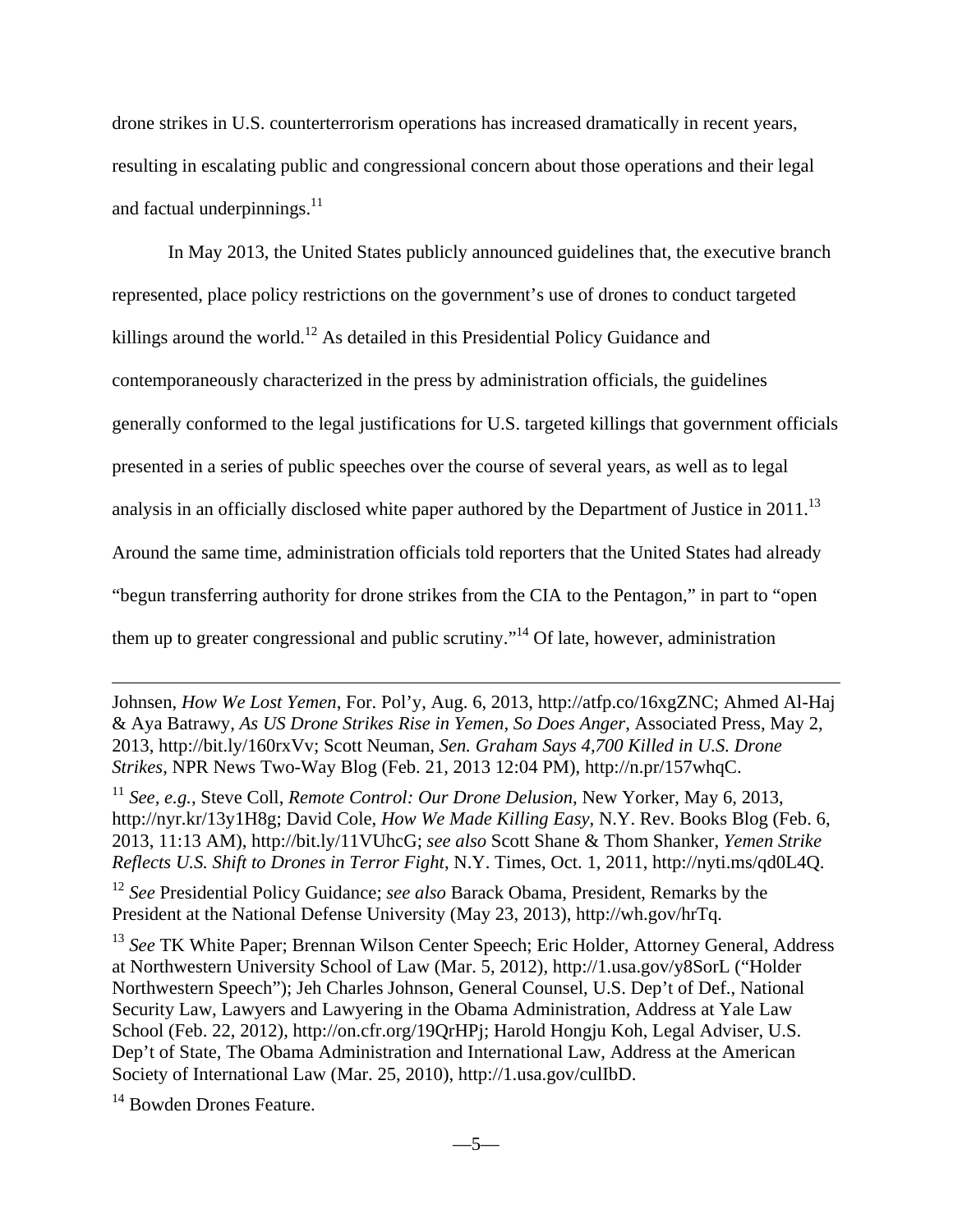drone strikes in U.S. counterterrorism operations has increased dramatically in recent years, resulting in escalating public and congressional concern about those operations and their legal and factual underpinnings. $11$ 

 In May 2013, the United States publicly announced guidelines that, the executive branch represented, place policy restrictions on the government's use of drones to conduct targeted killings around the world.<sup>12</sup> As detailed in this Presidential Policy Guidance and contemporaneously characterized in the press by administration officials, the guidelines generally conformed to the legal justifications for U.S. targeted killings that government officials presented in a series of public speeches over the course of several years, as well as to legal analysis in an officially disclosed white paper authored by the Department of Justice in  $2011$ .<sup>13</sup> Around the same time, administration officials told reporters that the United States had already "begun transferring authority for drone strikes from the CIA to the Pentagon," in part to "open them up to greater congressional and public scrutiny."<sup>14</sup> Of late, however, administration

Johnsen, *How We Lost Yemen*, For. Pol'y, Aug. 6, 2013, http://atfp.co/16xgZNC; Ahmed Al-Haj & Aya Batrawy, *As US Drone Strikes Rise in Yemen, So Does Anger*, Associated Press, May 2, 2013, http://bit.ly/160rxVv; Scott Neuman, *Sen. Graham Says 4,700 Killed in U.S. Drone Strikes*, NPR News Two-Way Blog (Feb. 21, 2013 12:04 PM), http://n.pr/157whqC.

<sup>11</sup> *See, e.g.*, Steve Coll, *Remote Control: Our Drone Delusion*, New Yorker, May 6, 2013, http://nyr.kr/13y1H8g; David Cole, *How We Made Killing Easy*, N.Y. Rev. Books Blog (Feb. 6, 2013, 11:13 AM), http://bit.ly/11VUhcG; *see also* Scott Shane & Thom Shanker, *Yemen Strike Reflects U.S. Shift to Drones in Terror Fight*, N.Y. Times, Oct. 1, 2011, http://nyti.ms/qd0L4Q.

<sup>12</sup> *See* Presidential Policy Guidance; *see also* Barack Obama, President, Remarks by the President at the National Defense University (May 23, 2013), http://wh.gov/hrTq.

<sup>13</sup> See TK White Paper; Brennan Wilson Center Speech; Eric Holder, Attorney General, Address at Northwestern University School of Law (Mar. 5, 2012), http://1.usa.gov/y8SorL ("Holder Northwestern Speech"); Jeh Charles Johnson, General Counsel, U.S. Dep't of Def., National Security Law, Lawyers and Lawyering in the Obama Administration, Address at Yale Law School (Feb. 22, 2012), http://on.cfr.org/19QrHPj; Harold Hongju Koh, Legal Adviser, U.S. Dep't of State, The Obama Administration and International Law, Address at the American Society of International Law (Mar. 25, 2010), http://1.usa.gov/culIbD.

<sup>14</sup> Bowden Drones Feature.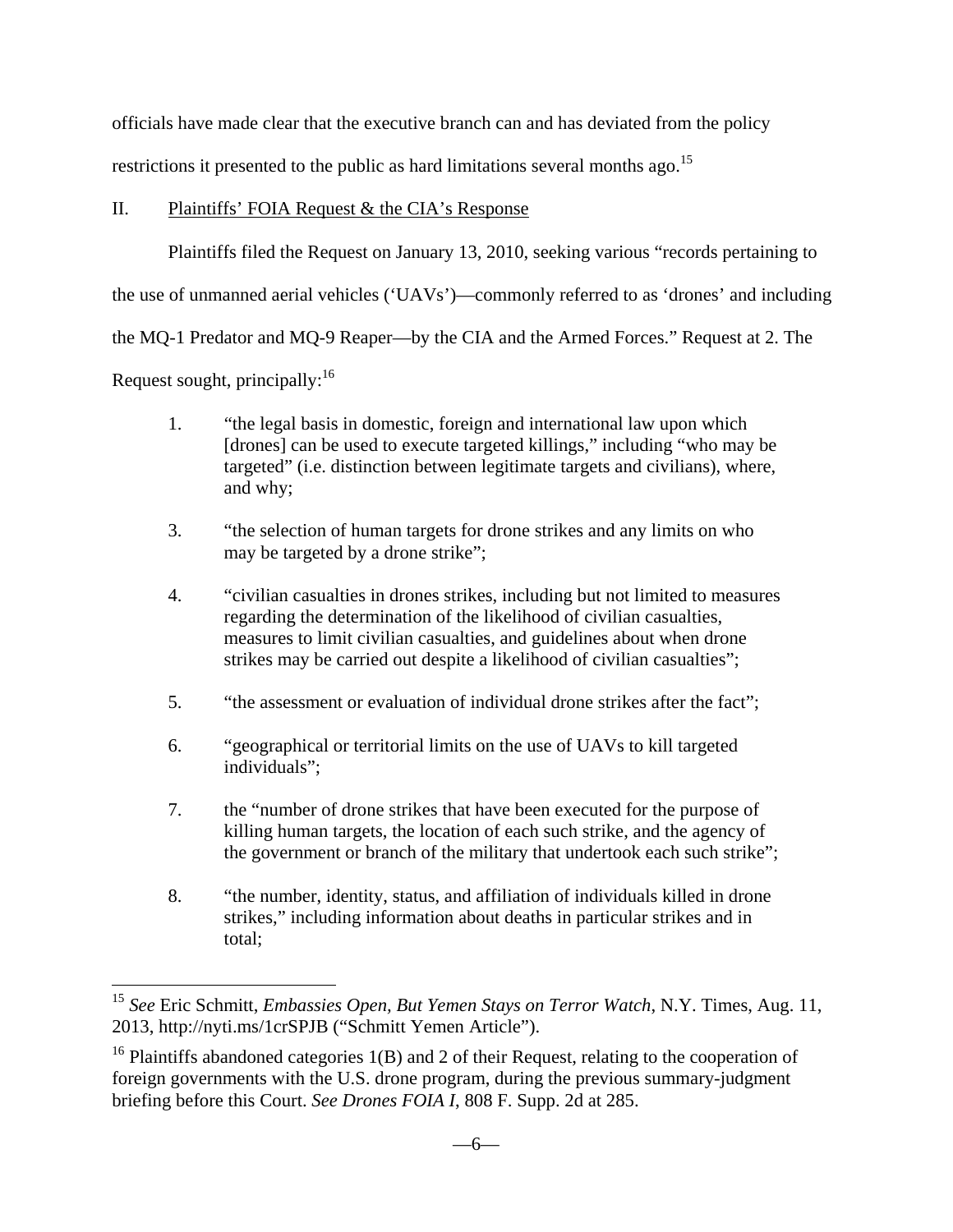officials have made clear that the executive branch can and has deviated from the policy restrictions it presented to the public as hard limitations several months ago.<sup>15</sup>

### II. Plaintiffs' FOIA Request & the CIA's Response

Plaintiffs filed the Request on January 13, 2010, seeking various "records pertaining to

the use of unmanned aerial vehicles ('UAVs')—commonly referred to as 'drones' and including

the MQ-1 Predator and MQ-9 Reaper—by the CIA and the Armed Forces." Request at 2. The

Request sought, principally: $16$ 

1

- 1. "the legal basis in domestic, foreign and international law upon which [drones] can be used to execute targeted killings," including "who may be targeted" (i.e. distinction between legitimate targets and civilians), where, and why;
- 3. "the selection of human targets for drone strikes and any limits on who may be targeted by a drone strike";
- 4. "civilian casualties in drones strikes, including but not limited to measures regarding the determination of the likelihood of civilian casualties, measures to limit civilian casualties, and guidelines about when drone strikes may be carried out despite a likelihood of civilian casualties";
- 5. "the assessment or evaluation of individual drone strikes after the fact";
- 6. "geographical or territorial limits on the use of UAVs to kill targeted individuals";
- 7. the "number of drone strikes that have been executed for the purpose of killing human targets, the location of each such strike, and the agency of the government or branch of the military that undertook each such strike";
- 8. "the number, identity, status, and affiliation of individuals killed in drone strikes," including information about deaths in particular strikes and in total;

<sup>15</sup> *See* Eric Schmitt, *Embassies Open, But Yemen Stays on Terror Watch*, N.Y. Times, Aug. 11, 2013, http://nyti.ms/1crSPJB ("Schmitt Yemen Article").

<sup>&</sup>lt;sup>16</sup> Plaintiffs abandoned categories  $1(B)$  and 2 of their Request, relating to the cooperation of foreign governments with the U.S. drone program, during the previous summary-judgment briefing before this Court. *See Drones FOIA I*, 808 F. Supp. 2d at 285.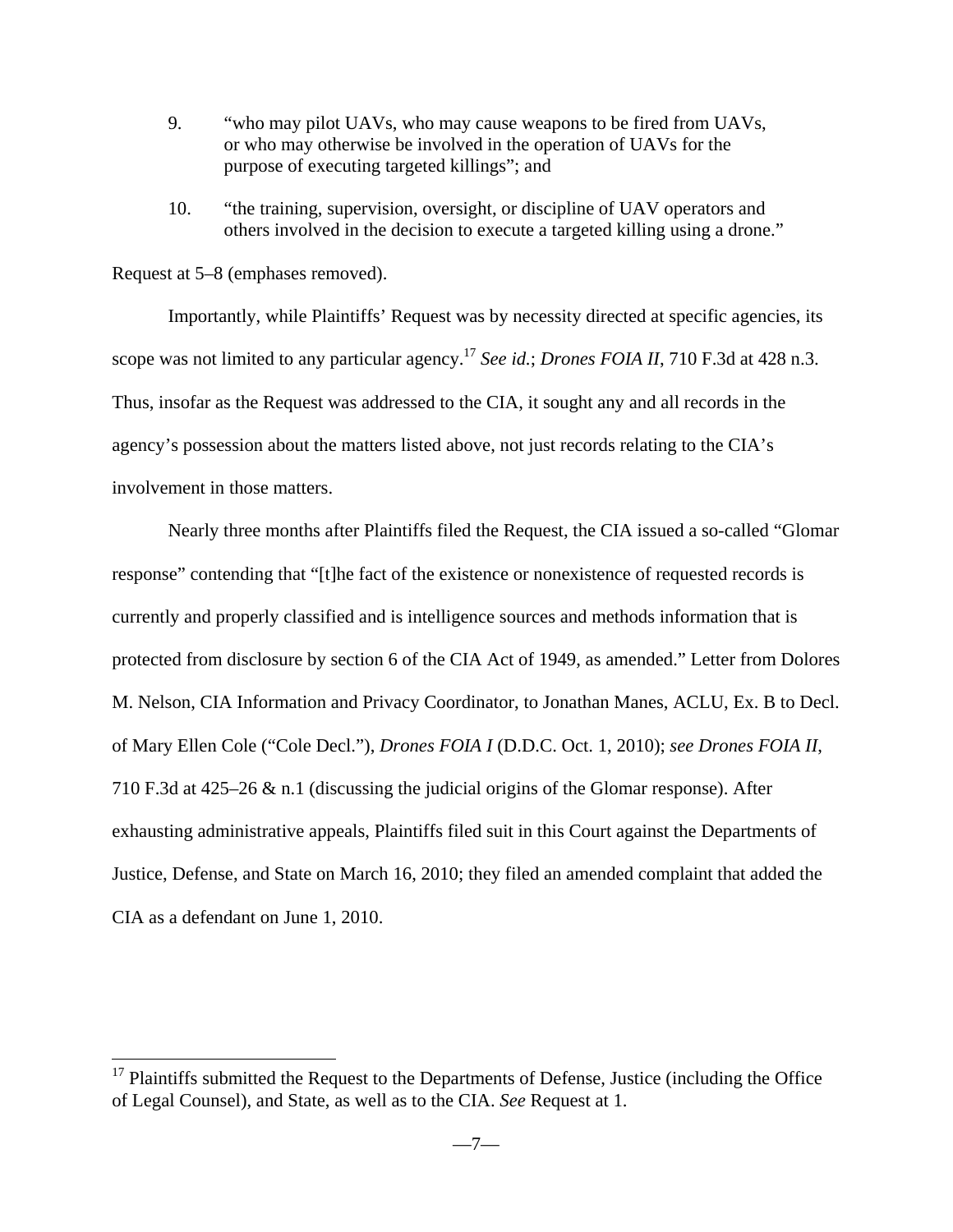- 9. "who may pilot UAVs, who may cause weapons to be fired from UAVs, or who may otherwise be involved in the operation of UAVs for the purpose of executing targeted killings"; and
- 10. "the training, supervision, oversight, or discipline of UAV operators and others involved in the decision to execute a targeted killing using a drone."

Request at 5–8 (emphases removed).

1

Importantly, while Plaintiffs' Request was by necessity directed at specific agencies, its scope was not limited to any particular agency.17 *See id.*; *Drones FOIA II*, 710 F.3d at 428 n.3. Thus, insofar as the Request was addressed to the CIA, it sought any and all records in the agency's possession about the matters listed above, not just records relating to the CIA's involvement in those matters.

 Nearly three months after Plaintiffs filed the Request, the CIA issued a so-called "Glomar response" contending that "[t]he fact of the existence or nonexistence of requested records is currently and properly classified and is intelligence sources and methods information that is protected from disclosure by section 6 of the CIA Act of 1949, as amended." Letter from Dolores M. Nelson, CIA Information and Privacy Coordinator, to Jonathan Manes, ACLU, Ex. B to Decl. of Mary Ellen Cole ("Cole Decl."), *Drones FOIA I* (D.D.C. Oct. 1, 2010); *see Drones FOIA II*, 710 F.3d at 425–26 & n.1 (discussing the judicial origins of the Glomar response). After exhausting administrative appeals, Plaintiffs filed suit in this Court against the Departments of Justice, Defense, and State on March 16, 2010; they filed an amended complaint that added the CIA as a defendant on June 1, 2010.

 $17$  Plaintiffs submitted the Request to the Departments of Defense, Justice (including the Office of Legal Counsel), and State, as well as to the CIA. *See* Request at 1.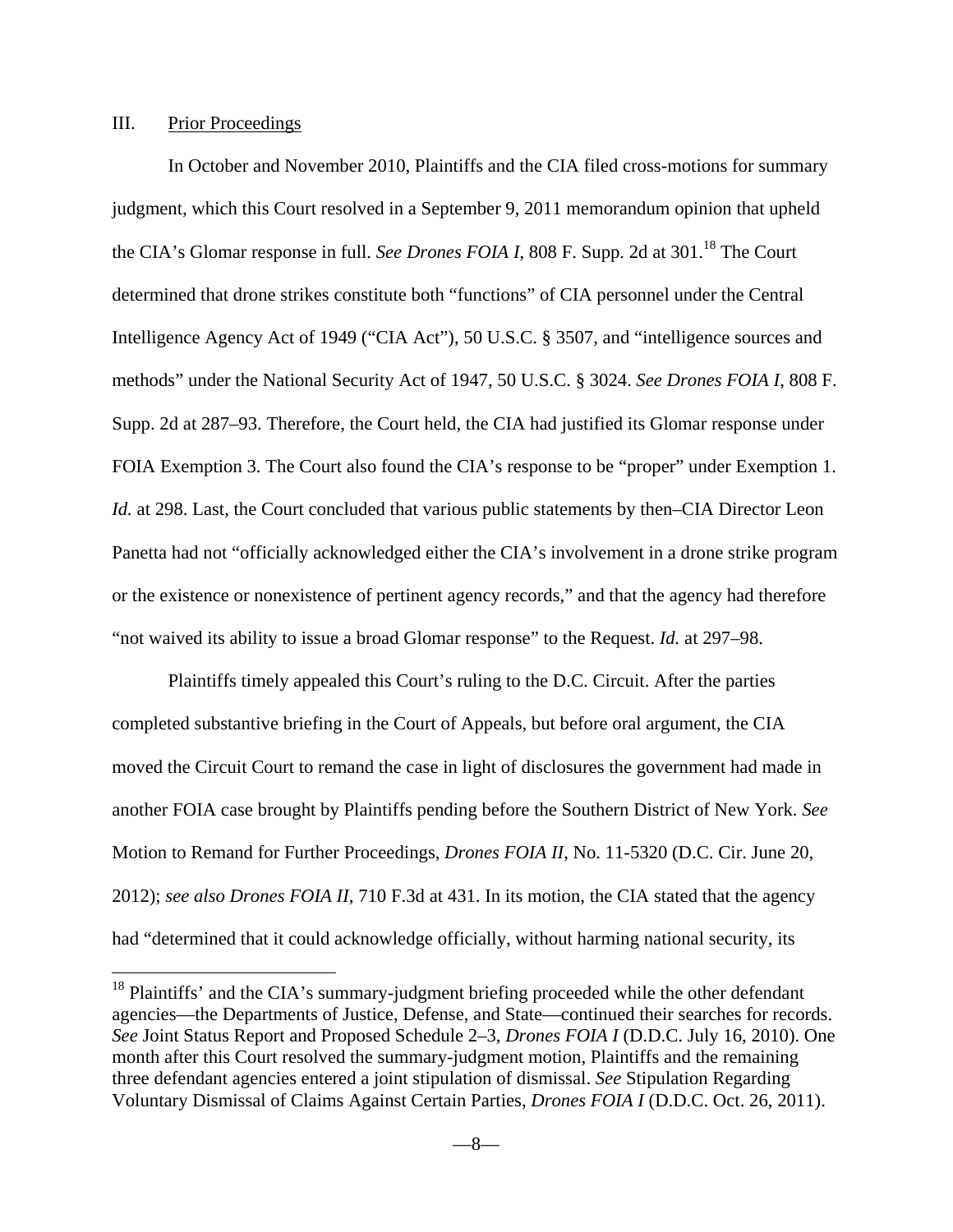### III. Prior Proceedings

<u>.</u>

 In October and November 2010, Plaintiffs and the CIA filed cross-motions for summary judgment, which this Court resolved in a September 9, 2011 memorandum opinion that upheld the CIA's Glomar response in full. *See Drones FOIA I*, 808 F. Supp. 2d at 301.<sup>18</sup> The Court determined that drone strikes constitute both "functions" of CIA personnel under the Central Intelligence Agency Act of 1949 ("CIA Act"), 50 U.S.C. § 3507, and "intelligence sources and methods" under the National Security Act of 1947, 50 U.S.C. § 3024. *See Drones FOIA I*, 808 F. Supp. 2d at 287–93. Therefore, the Court held, the CIA had justified its Glomar response under FOIA Exemption 3. The Court also found the CIA's response to be "proper" under Exemption 1. *Id.* at 298. Last, the Court concluded that various public statements by then–CIA Director Leon Panetta had not "officially acknowledged either the CIA's involvement in a drone strike program or the existence or nonexistence of pertinent agency records," and that the agency had therefore "not waived its ability to issue a broad Glomar response" to the Request. *Id.* at 297–98.

 Plaintiffs timely appealed this Court's ruling to the D.C. Circuit. After the parties completed substantive briefing in the Court of Appeals, but before oral argument, the CIA moved the Circuit Court to remand the case in light of disclosures the government had made in another FOIA case brought by Plaintiffs pending before the Southern District of New York. *See*  Motion to Remand for Further Proceedings, *Drones FOIA II*, No. 11-5320 (D.C. Cir. June 20, 2012); *see also Drones FOIA II*, 710 F.3d at 431. In its motion, the CIA stated that the agency had "determined that it could acknowledge officially, without harming national security, its

 $18$  Plaintiffs' and the CIA's summary-judgment briefing proceeded while the other defendant agencies—the Departments of Justice, Defense, and State—continued their searches for records. *See* Joint Status Report and Proposed Schedule 2–3, *Drones FOIA I* (D.D.C. July 16, 2010). One month after this Court resolved the summary-judgment motion, Plaintiffs and the remaining three defendant agencies entered a joint stipulation of dismissal. *See* Stipulation Regarding Voluntary Dismissal of Claims Against Certain Parties, *Drones FOIA I* (D.D.C. Oct. 26, 2011).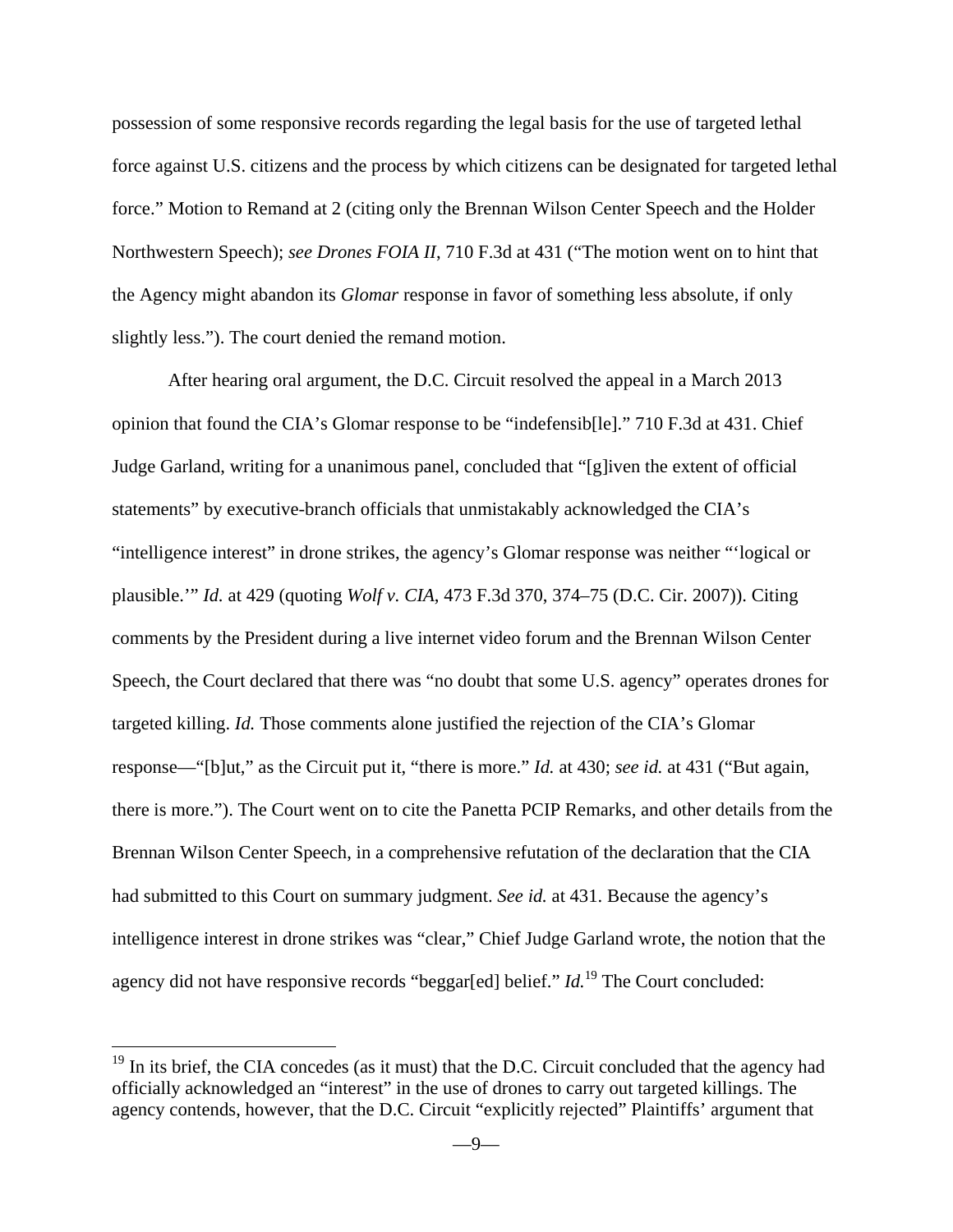possession of some responsive records regarding the legal basis for the use of targeted lethal force against U.S. citizens and the process by which citizens can be designated for targeted lethal force." Motion to Remand at 2 (citing only the Brennan Wilson Center Speech and the Holder Northwestern Speech); *see Drones FOIA II*, 710 F.3d at 431 ("The motion went on to hint that the Agency might abandon its *Glomar* response in favor of something less absolute, if only slightly less."). The court denied the remand motion.

 After hearing oral argument, the D.C. Circuit resolved the appeal in a March 2013 opinion that found the CIA's Glomar response to be "indefensib[le]." 710 F.3d at 431. Chief Judge Garland, writing for a unanimous panel, concluded that "[g]iven the extent of official statements" by executive-branch officials that unmistakably acknowledged the CIA's "intelligence interest" in drone strikes, the agency's Glomar response was neither "'logical or plausible.'" *Id.* at 429 (quoting *Wolf v. CIA*, 473 F.3d 370, 374–75 (D.C. Cir. 2007)). Citing comments by the President during a live internet video forum and the Brennan Wilson Center Speech, the Court declared that there was "no doubt that some U.S. agency" operates drones for targeted killing. *Id.* Those comments alone justified the rejection of the CIA's Glomar response—"[b]ut," as the Circuit put it, "there is more." *Id.* at 430; *see id.* at 431 ("But again, there is more."). The Court went on to cite the Panetta PCIP Remarks, and other details from the Brennan Wilson Center Speech, in a comprehensive refutation of the declaration that the CIA had submitted to this Court on summary judgment. *See id.* at 431. Because the agency's intelligence interest in drone strikes was "clear," Chief Judge Garland wrote, the notion that the agency did not have responsive records "beggar[ed] belief." *Id.*<sup>19</sup> The Court concluded:

1

 $19$  In its brief, the CIA concedes (as it must) that the D.C. Circuit concluded that the agency had officially acknowledged an "interest" in the use of drones to carry out targeted killings. The agency contends, however, that the D.C. Circuit "explicitly rejected" Plaintiffs' argument that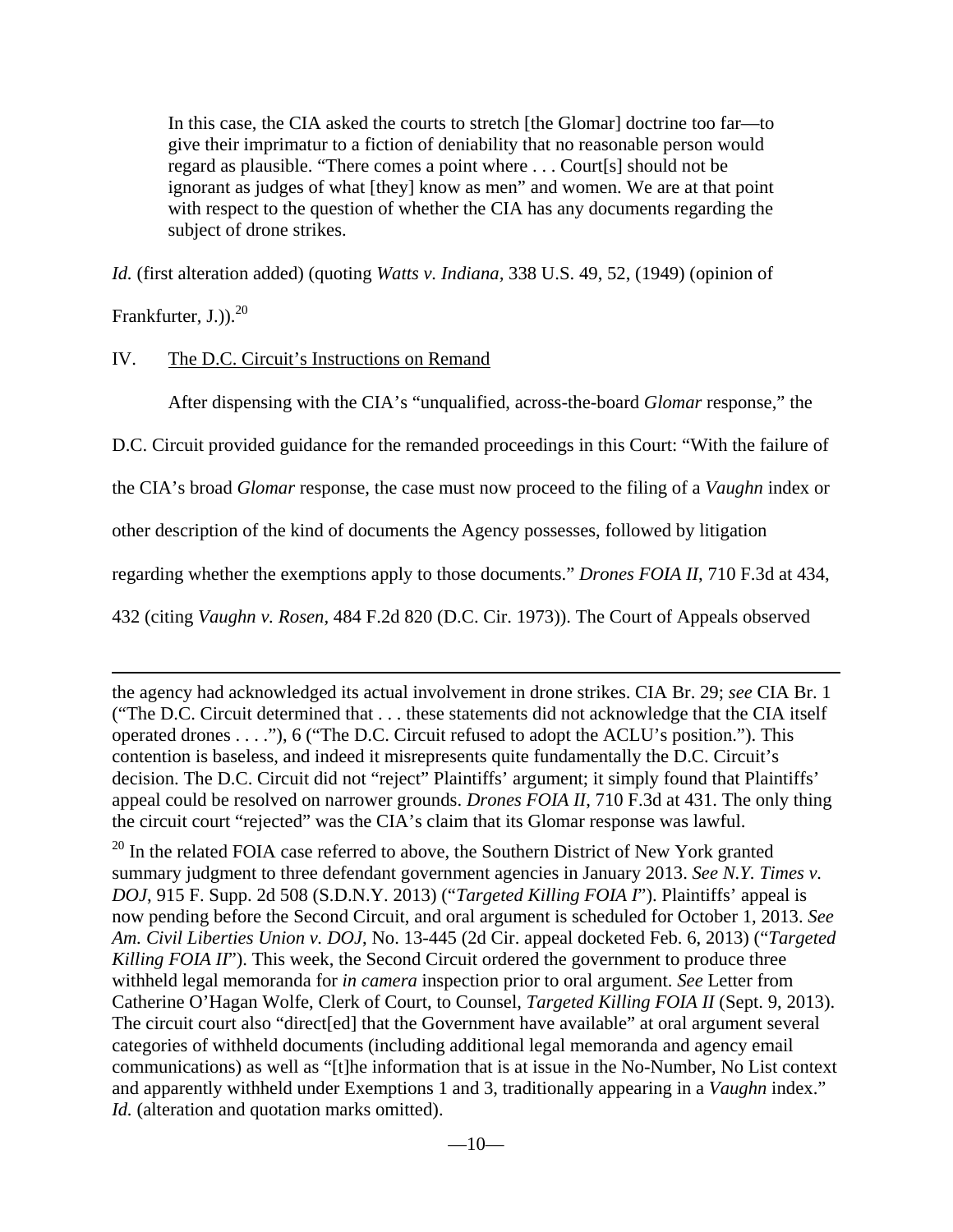In this case, the CIA asked the courts to stretch [the Glomar] doctrine too far—to give their imprimatur to a fiction of deniability that no reasonable person would regard as plausible. "There comes a point where . . . Court[s] should not be ignorant as judges of what [they] know as men" and women. We are at that point with respect to the question of whether the CIA has any documents regarding the subject of drone strikes.

*Id.* (first alteration added) (quoting *Watts v. Indiana,* 338 U.S. 49, 52, (1949) (opinion of

Frankfurter, J.). $^{20}$ 

 $\overline{a}$ 

## IV. The D.C. Circuit's Instructions on Remand

After dispensing with the CIA's "unqualified, across-the-board *Glomar* response," the

D.C. Circuit provided guidance for the remanded proceedings in this Court: "With the failure of

the CIA's broad *Glomar* response, the case must now proceed to the filing of a *Vaughn* index or

other description of the kind of documents the Agency possesses, followed by litigation

regarding whether the exemptions apply to those documents." *Drones FOIA II*, 710 F.3d at 434,

432 (citing *Vaughn v. Rosen,* 484 F.2d 820 (D.C. Cir. 1973)). The Court of Appeals observed

the agency had acknowledged its actual involvement in drone strikes. CIA Br. 29; *see* CIA Br. 1 ("The D.C. Circuit determined that . . . these statements did not acknowledge that the CIA itself operated drones . . . ."), 6 ("The D.C. Circuit refused to adopt the ACLU's position."). This contention is baseless, and indeed it misrepresents quite fundamentally the D.C. Circuit's decision. The D.C. Circuit did not "reject" Plaintiffs' argument; it simply found that Plaintiffs' appeal could be resolved on narrower grounds. *Drones FOIA II*, 710 F.3d at 431. The only thing the circuit court "rejected" was the CIA's claim that its Glomar response was lawful.

 $20$  In the related FOIA case referred to above, the Southern District of New York granted summary judgment to three defendant government agencies in January 2013. *See N.Y. Times v. DOJ*, 915 F. Supp. 2d 508 (S.D.N.Y. 2013) ("*Targeted Killing FOIA I*"). Plaintiffs' appeal is now pending before the Second Circuit, and oral argument is scheduled for October 1, 2013. *See Am. Civil Liberties Union v. DOJ*, No. 13-445 (2d Cir. appeal docketed Feb. 6, 2013) ("*Targeted Killing FOIA II*"). This week, the Second Circuit ordered the government to produce three withheld legal memoranda for *in camera* inspection prior to oral argument. *See* Letter from Catherine O'Hagan Wolfe, Clerk of Court, to Counsel, *Targeted Killing FOIA II* (Sept. 9, 2013). The circuit court also "direct[ed] that the Government have available" at oral argument several categories of withheld documents (including additional legal memoranda and agency email communications) as well as "[t]he information that is at issue in the No-Number, No List context and apparently withheld under Exemptions 1 and 3, traditionally appearing in a *Vaughn* index." *Id.* (alteration and quotation marks omitted).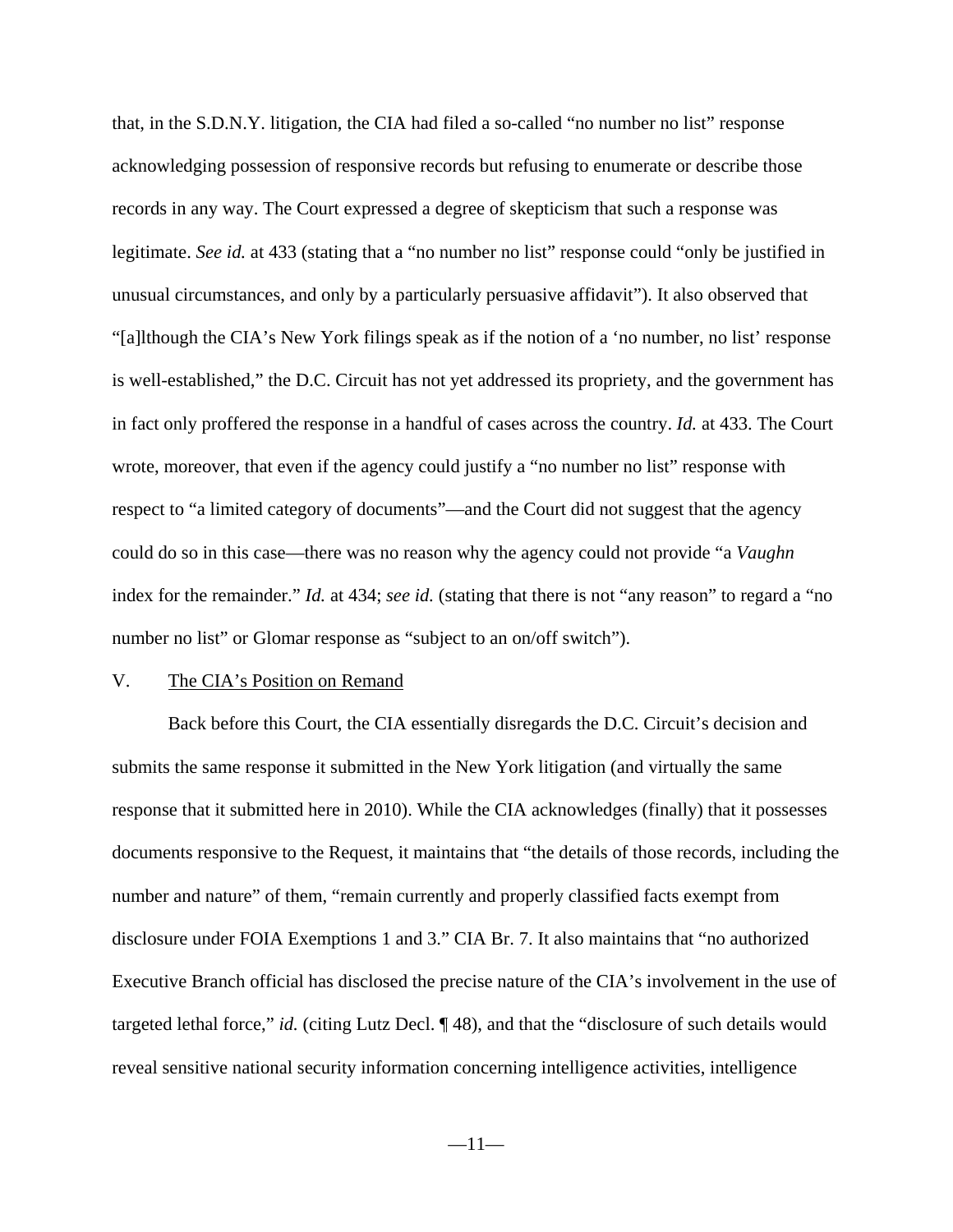that, in the S.D.N.Y. litigation, the CIA had filed a so-called "no number no list" response acknowledging possession of responsive records but refusing to enumerate or describe those records in any way. The Court expressed a degree of skepticism that such a response was legitimate. *See id.* at 433 (stating that a "no number no list" response could "only be justified in unusual circumstances, and only by a particularly persuasive affidavit"). It also observed that "[a]lthough the CIA's New York filings speak as if the notion of a 'no number, no list' response is well-established," the D.C. Circuit has not yet addressed its propriety, and the government has in fact only proffered the response in a handful of cases across the country. *Id.* at 433. The Court wrote, moreover, that even if the agency could justify a "no number no list" response with respect to "a limited category of documents"—and the Court did not suggest that the agency could do so in this case—there was no reason why the agency could not provide "a *Vaughn* index for the remainder." *Id.* at 434; *see id.* (stating that there is not "any reason" to regard a "no number no list" or Glomar response as "subject to an on/off switch").

### V. The CIA's Position on Remand

 Back before this Court, the CIA essentially disregards the D.C. Circuit's decision and submits the same response it submitted in the New York litigation (and virtually the same response that it submitted here in 2010). While the CIA acknowledges (finally) that it possesses documents responsive to the Request, it maintains that "the details of those records, including the number and nature" of them, "remain currently and properly classified facts exempt from disclosure under FOIA Exemptions 1 and 3." CIA Br. 7. It also maintains that "no authorized Executive Branch official has disclosed the precise nature of the CIA's involvement in the use of targeted lethal force," *id.* (citing Lutz Decl. ¶ 48), and that the "disclosure of such details would reveal sensitive national security information concerning intelligence activities, intelligence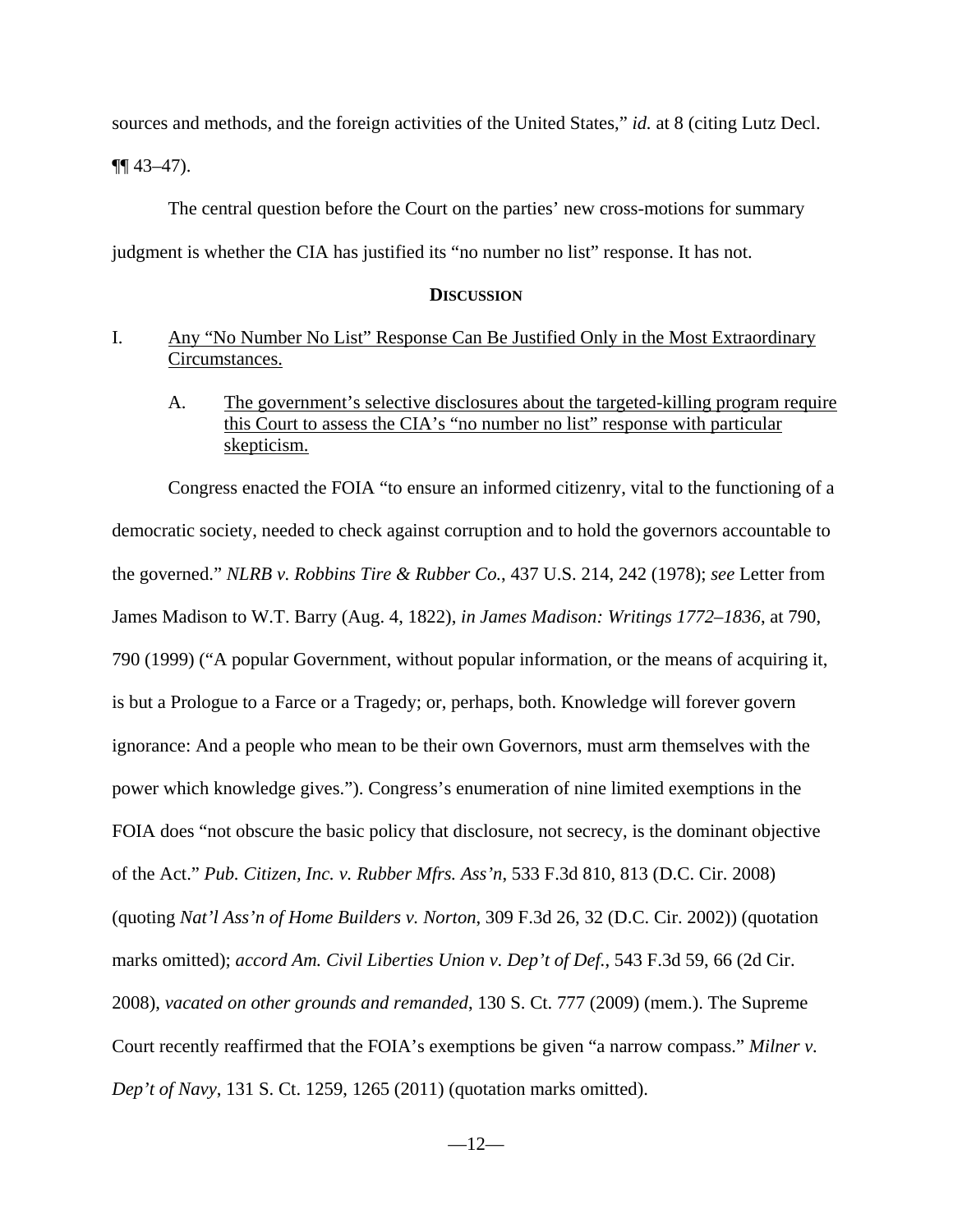sources and methods, and the foreign activities of the United States," *id.* at 8 (citing Lutz Decl.

 $\P\P$  43–47).

The central question before the Court on the parties' new cross-motions for summary

judgment is whether the CIA has justified its "no number no list" response. It has not.

### **DISCUSSION**

### I. Any "No Number No List" Response Can Be Justified Only in the Most Extraordinary Circumstances.

A. The government's selective disclosures about the targeted-killing program require this Court to assess the CIA's "no number no list" response with particular skepticism.

Congress enacted the FOIA "to ensure an informed citizenry, vital to the functioning of a democratic society, needed to check against corruption and to hold the governors accountable to the governed." *NLRB v. Robbins Tire & Rubber Co.*, 437 U.S. 214, 242 (1978); *see* Letter from James Madison to W.T. Barry (Aug. 4, 1822), *in James Madison: Writings 1772–1836*, at 790, 790 (1999) ("A popular Government, without popular information, or the means of acquiring it, is but a Prologue to a Farce or a Tragedy; or, perhaps, both. Knowledge will forever govern ignorance: And a people who mean to be their own Governors, must arm themselves with the power which knowledge gives."). Congress's enumeration of nine limited exemptions in the FOIA does "not obscure the basic policy that disclosure, not secrecy, is the dominant objective of the Act." *Pub. Citizen, Inc. v. Rubber Mfrs. Ass'n*, 533 F.3d 810, 813 (D.C. Cir. 2008) (quoting *Nat'l Ass'n of Home Builders v. Norton*, 309 F.3d 26, 32 (D.C. Cir. 2002)) (quotation marks omitted); *accord Am. Civil Liberties Union v. Dep't of Def.*, 543 F.3d 59, 66 (2d Cir. 2008), *vacated on other grounds and remanded*, 130 S. Ct. 777 (2009) (mem.). The Supreme Court recently reaffirmed that the FOIA's exemptions be given "a narrow compass." *Milner v. Dep't of Navy*, 131 S. Ct. 1259, 1265 (2011) (quotation marks omitted).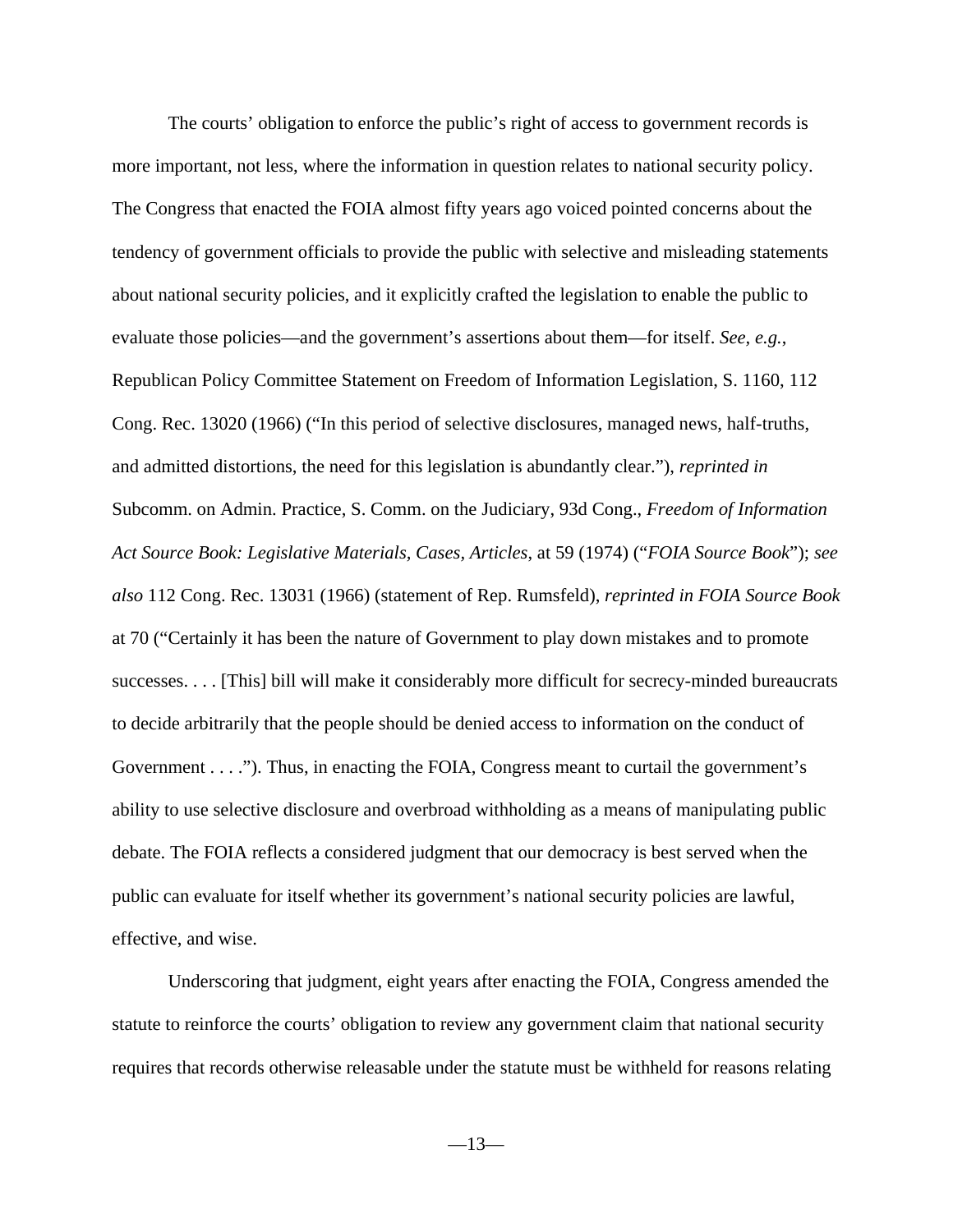The courts' obligation to enforce the public's right of access to government records is more important, not less, where the information in question relates to national security policy. The Congress that enacted the FOIA almost fifty years ago voiced pointed concerns about the tendency of government officials to provide the public with selective and misleading statements about national security policies, and it explicitly crafted the legislation to enable the public to evaluate those policies—and the government's assertions about them—for itself. *See, e.g.*, Republican Policy Committee Statement on Freedom of Information Legislation, S. 1160, 112 Cong. Rec. 13020 (1966) ("In this period of selective disclosures, managed news, half-truths, and admitted distortions, the need for this legislation is abundantly clear."), *reprinted in* Subcomm. on Admin. Practice, S. Comm. on the Judiciary, 93d Cong., *Freedom of Information Act Source Book: Legislative Materials, Cases, Articles*, at 59 (1974) ("*FOIA Source Book*"); *see also* 112 Cong. Rec. 13031 (1966) (statement of Rep. Rumsfeld), *reprinted in FOIA Source Book* at 70 ("Certainly it has been the nature of Government to play down mistakes and to promote successes. . . . [This] bill will make it considerably more difficult for secrecy-minded bureaucrats to decide arbitrarily that the people should be denied access to information on the conduct of Government . . . ."). Thus, in enacting the FOIA, Congress meant to curtail the government's ability to use selective disclosure and overbroad withholding as a means of manipulating public debate. The FOIA reflects a considered judgment that our democracy is best served when the public can evaluate for itself whether its government's national security policies are lawful, effective, and wise.

Underscoring that judgment, eight years after enacting the FOIA, Congress amended the statute to reinforce the courts' obligation to review any government claim that national security requires that records otherwise releasable under the statute must be withheld for reasons relating

 $-13-$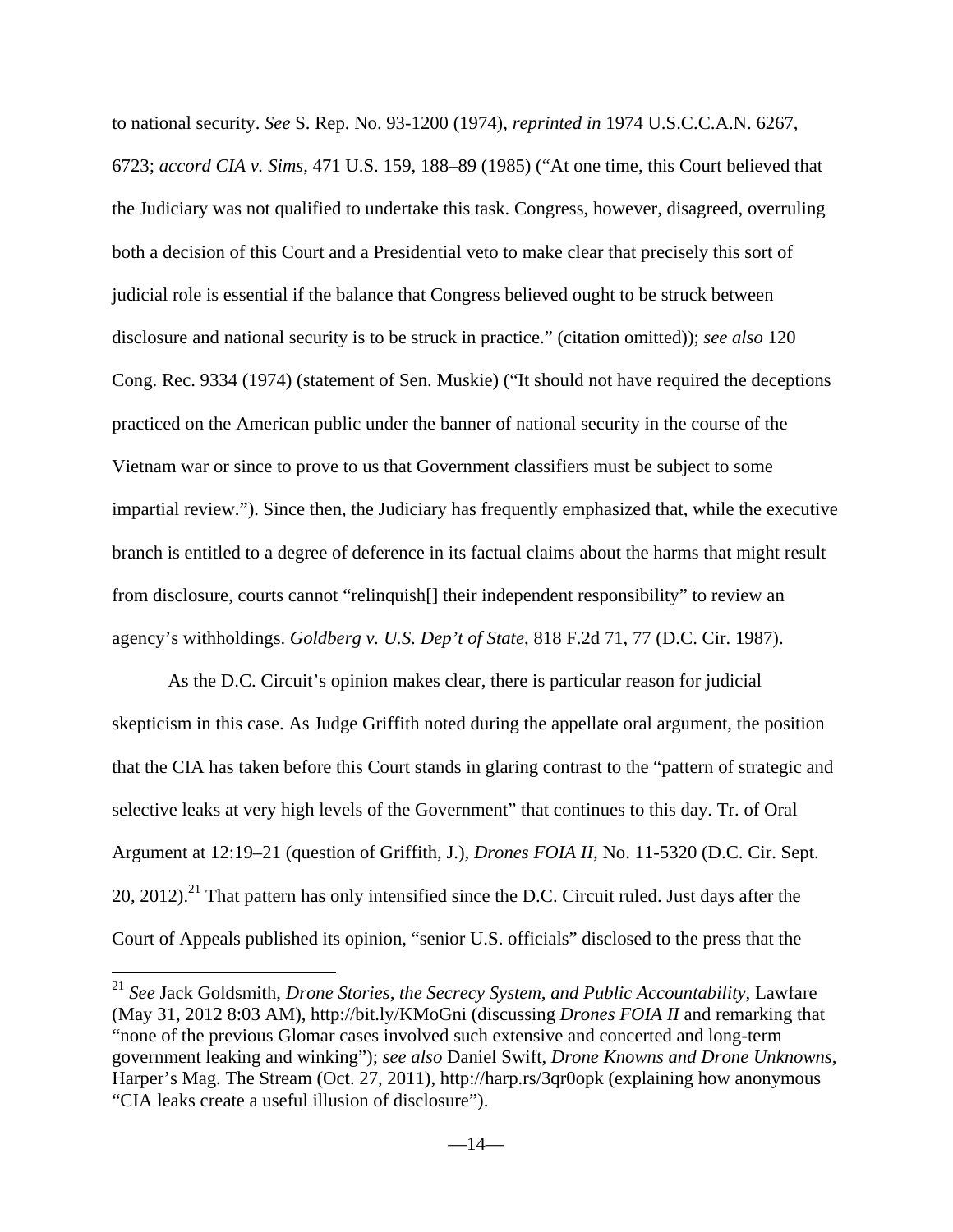to national security. *See* S. Rep. No. 93-1200 (1974), *reprinted in* 1974 U.S.C.C.A.N. 6267, 6723; *accord CIA v. Sims*, 471 U.S. 159, 188–89 (1985) ("At one time, this Court believed that the Judiciary was not qualified to undertake this task. Congress, however, disagreed, overruling both a decision of this Court and a Presidential veto to make clear that precisely this sort of judicial role is essential if the balance that Congress believed ought to be struck between disclosure and national security is to be struck in practice." (citation omitted)); *see also* 120 Cong. Rec. 9334 (1974) (statement of Sen. Muskie) ("It should not have required the deceptions practiced on the American public under the banner of national security in the course of the Vietnam war or since to prove to us that Government classifiers must be subject to some impartial review."). Since then, the Judiciary has frequently emphasized that, while the executive branch is entitled to a degree of deference in its factual claims about the harms that might result from disclosure, courts cannot "relinquish[] their independent responsibility" to review an agency's withholdings. *Goldberg v. U.S. Dep't of State*, 818 F.2d 71, 77 (D.C. Cir. 1987).

As the D.C. Circuit's opinion makes clear, there is particular reason for judicial skepticism in this case. As Judge Griffith noted during the appellate oral argument, the position that the CIA has taken before this Court stands in glaring contrast to the "pattern of strategic and selective leaks at very high levels of the Government" that continues to this day. Tr. of Oral Argument at 12:19–21 (question of Griffith, J.), *Drones FOIA II*, No. 11-5320 (D.C. Cir. Sept. 20, 2012).<sup>21</sup> That pattern has only intensified since the D.C. Circuit ruled. Just days after the Court of Appeals published its opinion, "senior U.S. officials" disclosed to the press that the

<u>.</u>

<sup>21</sup> *See* Jack Goldsmith, *Drone Stories, the Secrecy System, and Public Accountability*, Lawfare (May 31, 2012 8:03 AM), http://bit.ly/KMoGni (discussing *Drones FOIA II* and remarking that "none of the previous Glomar cases involved such extensive and concerted and long-term government leaking and winking"); *see also* Daniel Swift, *Drone Knowns and Drone Unknowns*, Harper's Mag. The Stream (Oct. 27, 2011), http://harp.rs/3qr0opk (explaining how anonymous "CIA leaks create a useful illusion of disclosure").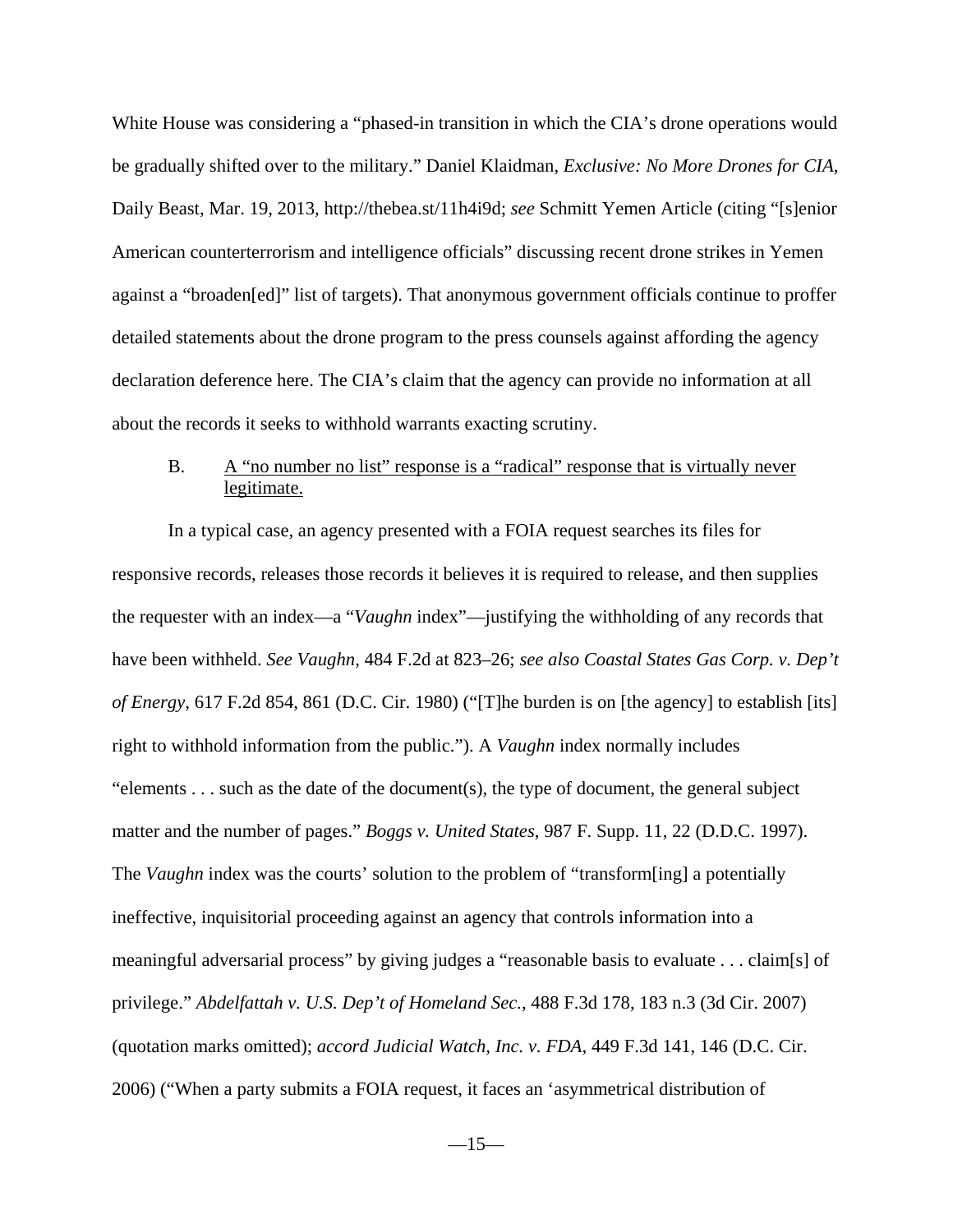White House was considering a "phased-in transition in which the CIA's drone operations would be gradually shifted over to the military." Daniel Klaidman, *Exclusive: No More Drones for CIA*, Daily Beast, Mar. 19, 2013, http://thebea.st/11h4i9d; *see* Schmitt Yemen Article (citing "[s]enior American counterterrorism and intelligence officials" discussing recent drone strikes in Yemen against a "broaden[ed]" list of targets). That anonymous government officials continue to proffer detailed statements about the drone program to the press counsels against affording the agency declaration deference here. The CIA's claim that the agency can provide no information at all about the records it seeks to withhold warrants exacting scrutiny.

### B. A "no number no list" response is a "radical" response that is virtually never legitimate.

In a typical case, an agency presented with a FOIA request searches its files for responsive records, releases those records it believes it is required to release, and then supplies the requester with an index—a "*Vaughn* index"—justifying the withholding of any records that have been withheld. *See Vaughn*, 484 F.2d at 823–26; *see also Coastal States Gas Corp. v. Dep't of Energy*, 617 F.2d 854, 861 (D.C. Cir. 1980) ("[T]he burden is on [the agency] to establish [its] right to withhold information from the public."). A *Vaughn* index normally includes "elements . . . such as the date of the document(s), the type of document, the general subject matter and the number of pages." *Boggs v. United States*, 987 F. Supp. 11, 22 (D.D.C. 1997). The *Vaughn* index was the courts' solution to the problem of "transform[ing] a potentially ineffective, inquisitorial proceeding against an agency that controls information into a meaningful adversarial process" by giving judges a "reasonable basis to evaluate . . . claim[s] of privilege." *Abdelfattah v. U.S. Dep't of Homeland Sec.*, 488 F.3d 178, 183 n.3 (3d Cir. 2007) (quotation marks omitted); *accord Judicial Watch, Inc. v. FDA*, 449 F.3d 141, 146 (D.C. Cir. 2006) ("When a party submits a FOIA request, it faces an 'asymmetrical distribution of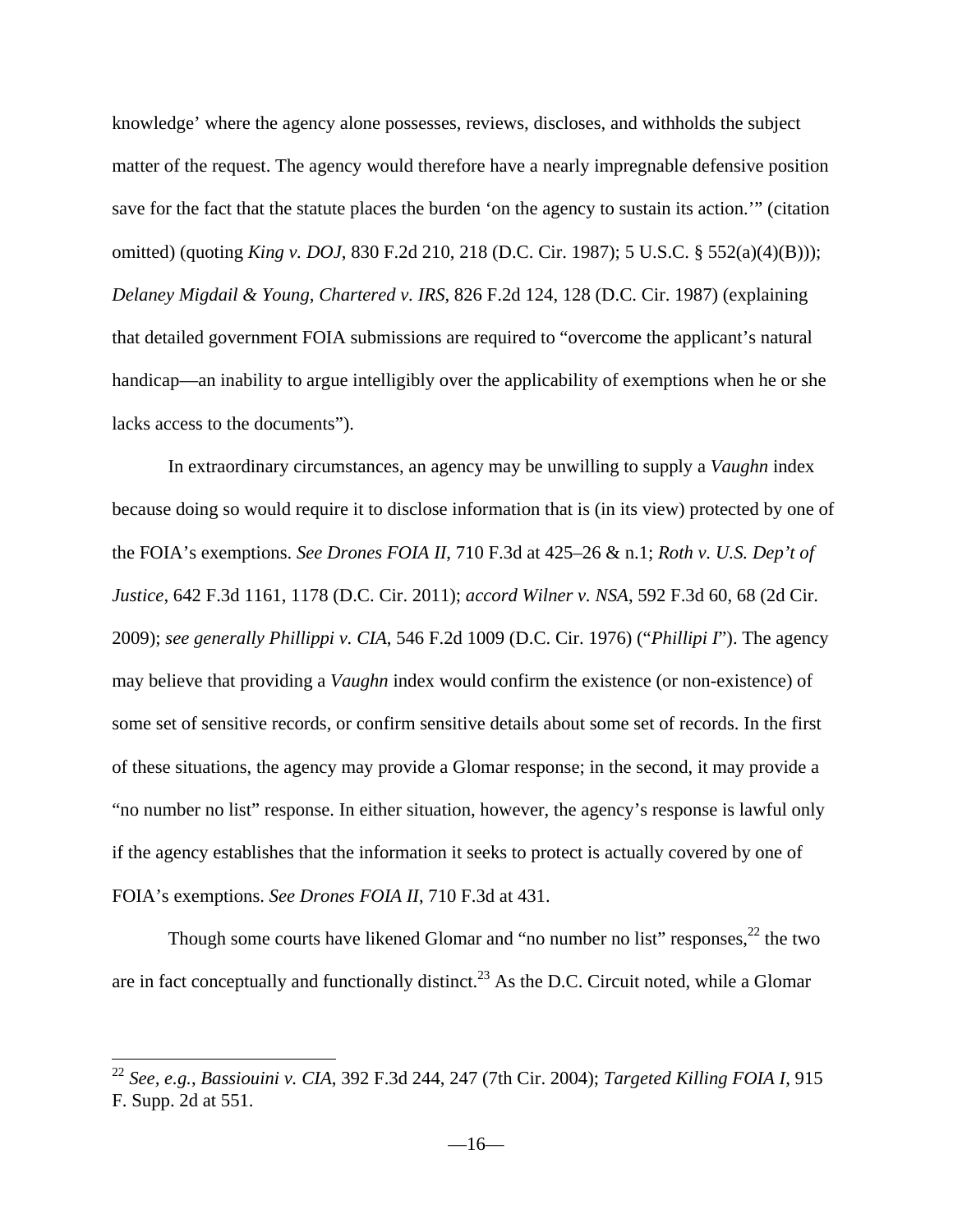knowledge' where the agency alone possesses, reviews, discloses, and withholds the subject matter of the request. The agency would therefore have a nearly impregnable defensive position save for the fact that the statute places the burden 'on the agency to sustain its action.'" (citation omitted) (quoting *King v. DOJ*, 830 F.2d 210, 218 (D.C. Cir. 1987); 5 U.S.C. § 552(a)(4)(B))); *Delaney Migdail & Young, Chartered v. IRS*, 826 F.2d 124, 128 (D.C. Cir. 1987) (explaining that detailed government FOIA submissions are required to "overcome the applicant's natural handicap—an inability to argue intelligibly over the applicability of exemptions when he or she lacks access to the documents").

In extraordinary circumstances, an agency may be unwilling to supply a *Vaughn* index because doing so would require it to disclose information that is (in its view) protected by one of the FOIA's exemptions. *See Drones FOIA II*, 710 F.3d at 425–26 & n.1; *Roth v. U.S. Dep't of Justice*, 642 F.3d 1161, 1178 (D.C. Cir. 2011); *accord Wilner v. NSA*, 592 F.3d 60, 68 (2d Cir. 2009); *see generally Phillippi v. CIA*, 546 F.2d 1009 (D.C. Cir. 1976) ("*Phillipi I*"). The agency may believe that providing a *Vaughn* index would confirm the existence (or non-existence) of some set of sensitive records, or confirm sensitive details about some set of records. In the first of these situations, the agency may provide a Glomar response; in the second, it may provide a "no number no list" response. In either situation, however, the agency's response is lawful only if the agency establishes that the information it seeks to protect is actually covered by one of FOIA's exemptions. *See Drones FOIA II*, 710 F.3d at 431.

Though some courts have likened Glomar and "no number no list" responses,  $^{22}$  the two are in fact conceptually and functionally distinct.<sup>23</sup> As the D.C. Circuit noted, while a Glomar

<sup>22</sup> *See, e.g.*, *Bassiouini v. CIA*, 392 F.3d 244, 247 (7th Cir. 2004); *Targeted Killing FOIA I*, 915 F. Supp. 2d at 551.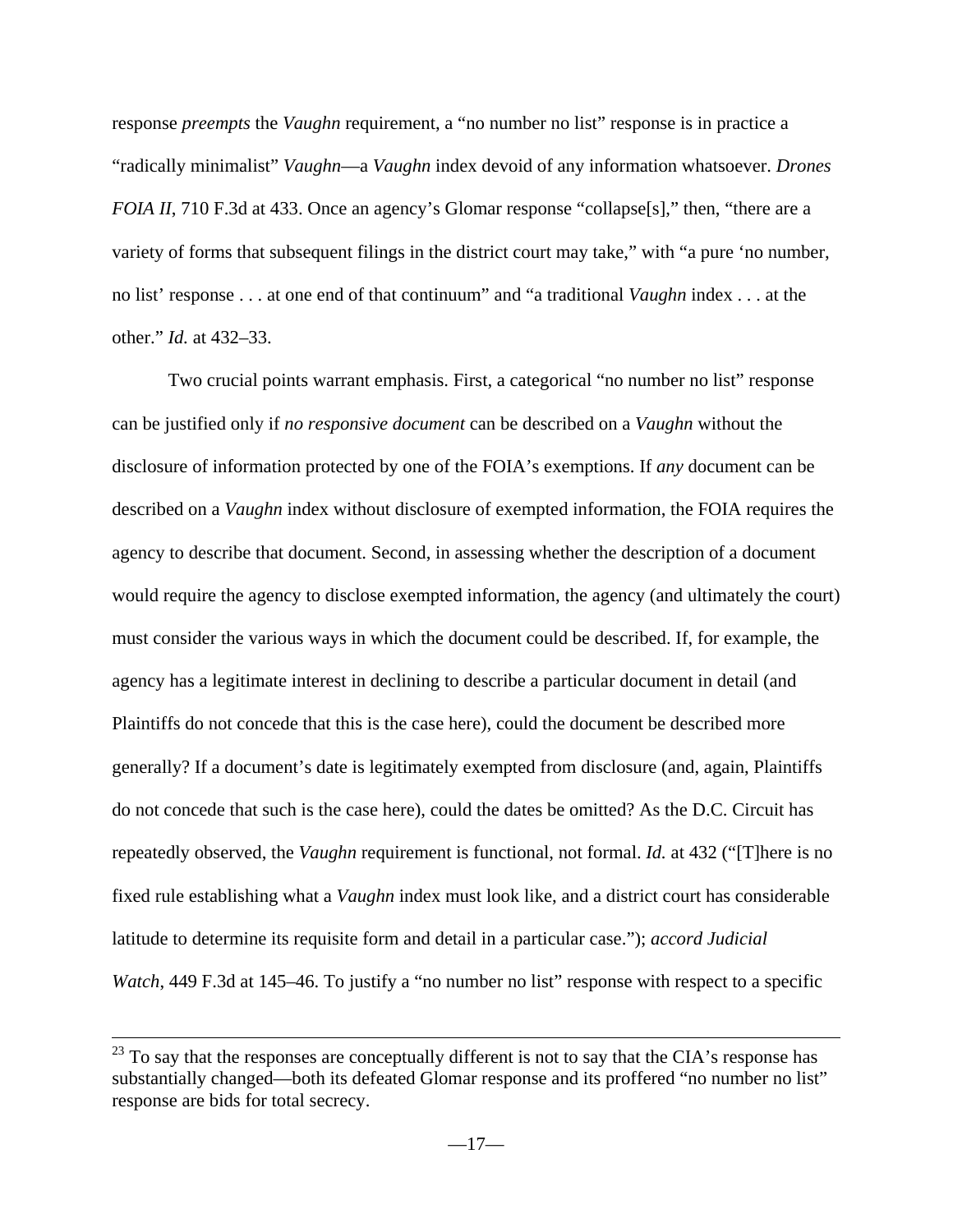response *preempts* the *Vaughn* requirement, a "no number no list" response is in practice a "radically minimalist" *Vaughn*—a *Vaughn* index devoid of any information whatsoever. *Drones FOIA II*, 710 F.3d at 433. Once an agency's Glomar response "collapse<sup>[s]</sup>," then, "there are a variety of forms that subsequent filings in the district court may take," with "a pure 'no number, no list' response . . . at one end of that continuum" and "a traditional *Vaughn* index . . . at the other." *Id.* at 432–33.

Two crucial points warrant emphasis. First, a categorical "no number no list" response can be justified only if *no responsive document* can be described on a *Vaughn* without the disclosure of information protected by one of the FOIA's exemptions. If *any* document can be described on a *Vaughn* index without disclosure of exempted information, the FOIA requires the agency to describe that document. Second, in assessing whether the description of a document would require the agency to disclose exempted information, the agency (and ultimately the court) must consider the various ways in which the document could be described. If, for example, the agency has a legitimate interest in declining to describe a particular document in detail (and Plaintiffs do not concede that this is the case here), could the document be described more generally? If a document's date is legitimately exempted from disclosure (and, again, Plaintiffs do not concede that such is the case here), could the dates be omitted? As the D.C. Circuit has repeatedly observed, the *Vaughn* requirement is functional, not formal. *Id.* at 432 ("[T]here is no fixed rule establishing what a *Vaughn* index must look like, and a district court has considerable latitude to determine its requisite form and detail in a particular case."); *accord Judicial Watch*, 449 F.3d at 145–46. To justify a "no number no list" response with respect to a specific

<sup>&</sup>lt;sup>23</sup> To say that the responses are conceptually different is not to say that the CIA's response has substantially changed—both its defeated Glomar response and its proffered "no number no list" response are bids for total secrecy.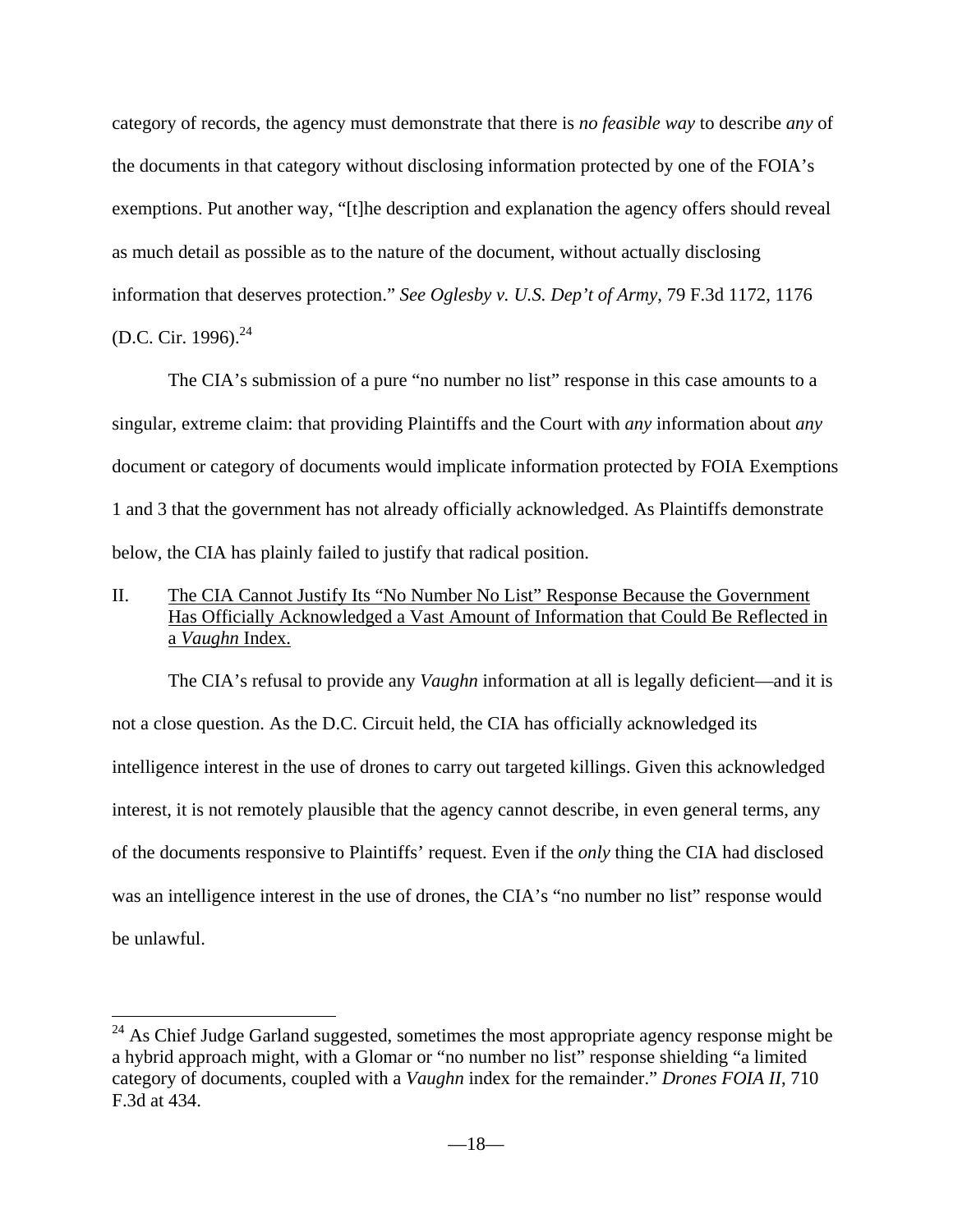category of records, the agency must demonstrate that there is *no feasible way* to describe *any* of the documents in that category without disclosing information protected by one of the FOIA's exemptions. Put another way, "[t]he description and explanation the agency offers should reveal as much detail as possible as to the nature of the document, without actually disclosing information that deserves protection." *See Oglesby v. U.S. Dep't of Army*, 79 F.3d 1172, 1176 (D.C. Cir. 1996). $^{24}$ 

The CIA's submission of a pure "no number no list" response in this case amounts to a singular, extreme claim: that providing Plaintiffs and the Court with *any* information about *any* document or category of documents would implicate information protected by FOIA Exemptions 1 and 3 that the government has not already officially acknowledged. As Plaintiffs demonstrate below, the CIA has plainly failed to justify that radical position.

II. The CIA Cannot Justify Its "No Number No List" Response Because the Government Has Officially Acknowledged a Vast Amount of Information that Could Be Reflected in a *Vaughn* Index.

 The CIA's refusal to provide any *Vaughn* information at all is legally deficient—and it is not a close question. As the D.C. Circuit held, the CIA has officially acknowledged its intelligence interest in the use of drones to carry out targeted killings. Given this acknowledged interest, it is not remotely plausible that the agency cannot describe, in even general terms, any of the documents responsive to Plaintiffs' request. Even if the *only* thing the CIA had disclosed was an intelligence interest in the use of drones, the CIA's "no number no list" response would be unlawful.

 $24$  As Chief Judge Garland suggested, sometimes the most appropriate agency response might be a hybrid approach might, with a Glomar or "no number no list" response shielding "a limited category of documents, coupled with a *Vaughn* index for the remainder." *Drones FOIA II*, 710 F.3d at 434.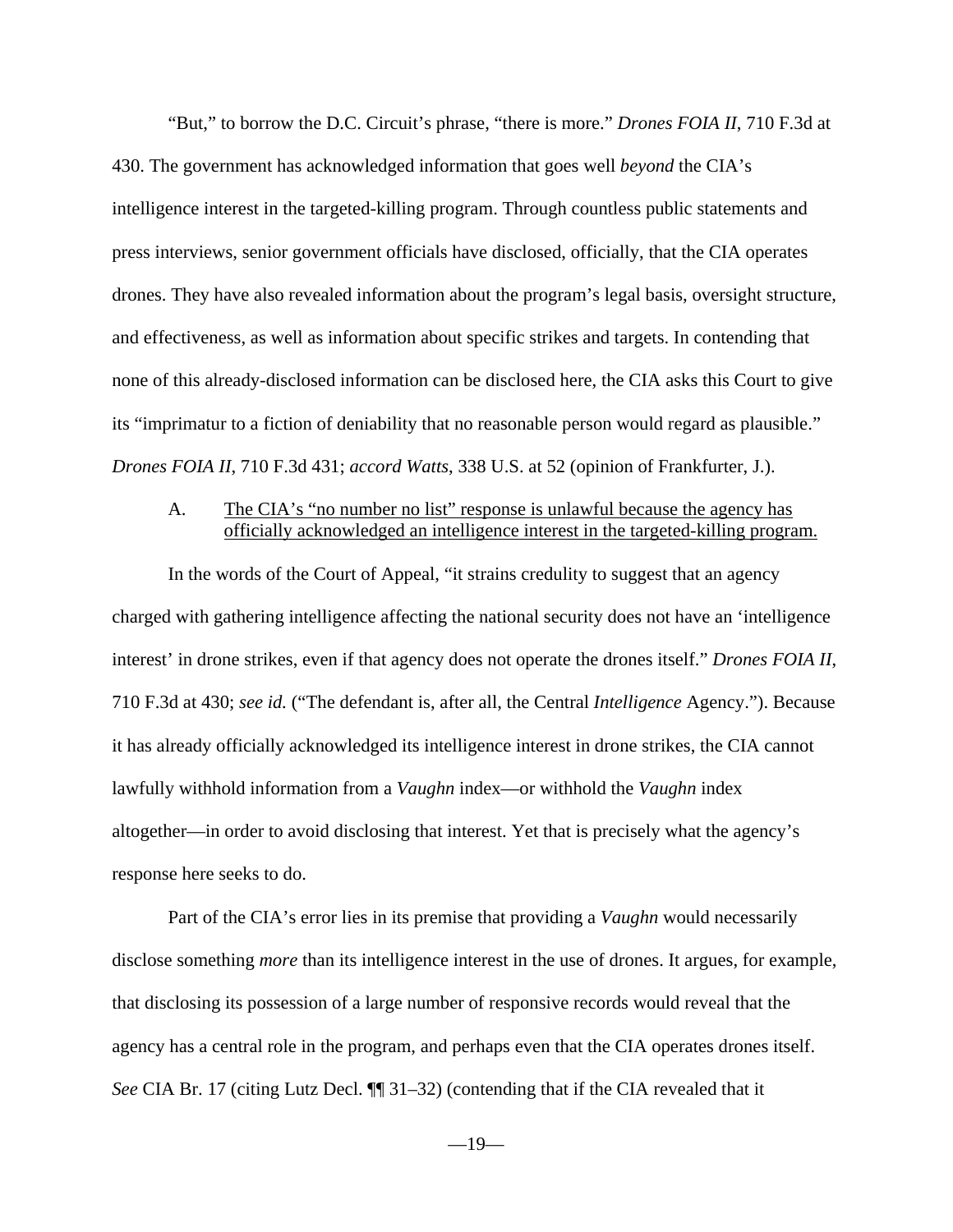"But," to borrow the D.C. Circuit's phrase, "there is more." *Drones FOIA II*, 710 F.3d at 430. The government has acknowledged information that goes well *beyond* the CIA's intelligence interest in the targeted-killing program. Through countless public statements and press interviews, senior government officials have disclosed, officially, that the CIA operates drones. They have also revealed information about the program's legal basis, oversight structure, and effectiveness, as well as information about specific strikes and targets. In contending that none of this already-disclosed information can be disclosed here, the CIA asks this Court to give its "imprimatur to a fiction of deniability that no reasonable person would regard as plausible." *Drones FOIA II*, 710 F.3d 431; *accord Watts*, 338 U.S. at 52 (opinion of Frankfurter, J.).

### A. The CIA's "no number no list" response is unlawful because the agency has officially acknowledged an intelligence interest in the targeted-killing program.

 In the words of the Court of Appeal, "it strains credulity to suggest that an agency charged with gathering intelligence affecting the national security does not have an 'intelligence interest' in drone strikes, even if that agency does not operate the drones itself." *Drones FOIA II*, 710 F.3d at 430; *see id.* ("The defendant is, after all, the Central *Intelligence* Agency."). Because it has already officially acknowledged its intelligence interest in drone strikes, the CIA cannot lawfully withhold information from a *Vaughn* index—or withhold the *Vaughn* index altogether—in order to avoid disclosing that interest. Yet that is precisely what the agency's response here seeks to do.

Part of the CIA's error lies in its premise that providing a *Vaughn* would necessarily disclose something *more* than its intelligence interest in the use of drones. It argues, for example, that disclosing its possession of a large number of responsive records would reveal that the agency has a central role in the program, and perhaps even that the CIA operates drones itself. *See* CIA Br. 17 (citing Lutz Decl. ¶¶ 31–32) (contending that if the CIA revealed that it

 $-19-$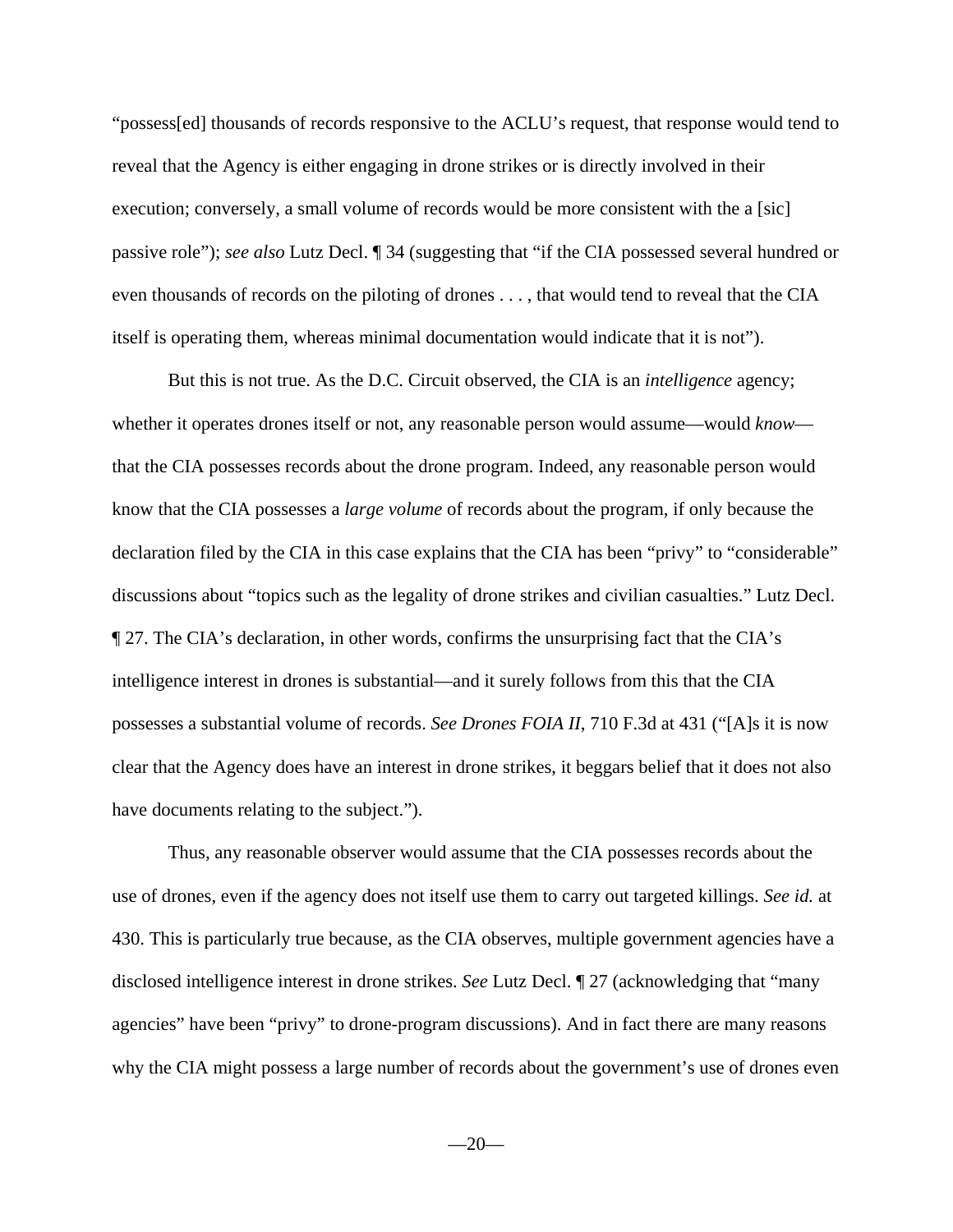"possess[ed] thousands of records responsive to the ACLU's request, that response would tend to reveal that the Agency is either engaging in drone strikes or is directly involved in their execution; conversely, a small volume of records would be more consistent with the a [sic] passive role"); *see also* Lutz Decl. ¶ 34 (suggesting that "if the CIA possessed several hundred or even thousands of records on the piloting of drones . . . , that would tend to reveal that the CIA itself is operating them, whereas minimal documentation would indicate that it is not").

But this is not true. As the D.C. Circuit observed, the CIA is an *intelligence* agency; whether it operates drones itself or not, any reasonable person would assume—would *know* that the CIA possesses records about the drone program. Indeed, any reasonable person would know that the CIA possesses a *large volume* of records about the program, if only because the declaration filed by the CIA in this case explains that the CIA has been "privy" to "considerable" discussions about "topics such as the legality of drone strikes and civilian casualties." Lutz Decl. ¶ 27. The CIA's declaration, in other words, confirms the unsurprising fact that the CIA's intelligence interest in drones is substantial—and it surely follows from this that the CIA possesses a substantial volume of records. *See Drones FOIA II*, 710 F.3d at 431 ("[A]s it is now clear that the Agency does have an interest in drone strikes, it beggars belief that it does not also have documents relating to the subject.").

 Thus, any reasonable observer would assume that the CIA possesses records about the use of drones, even if the agency does not itself use them to carry out targeted killings. *See id.* at 430. This is particularly true because, as the CIA observes, multiple government agencies have a disclosed intelligence interest in drone strikes. *See* Lutz Decl. ¶ 27 (acknowledging that "many agencies" have been "privy" to drone-program discussions). And in fact there are many reasons why the CIA might possess a large number of records about the government's use of drones even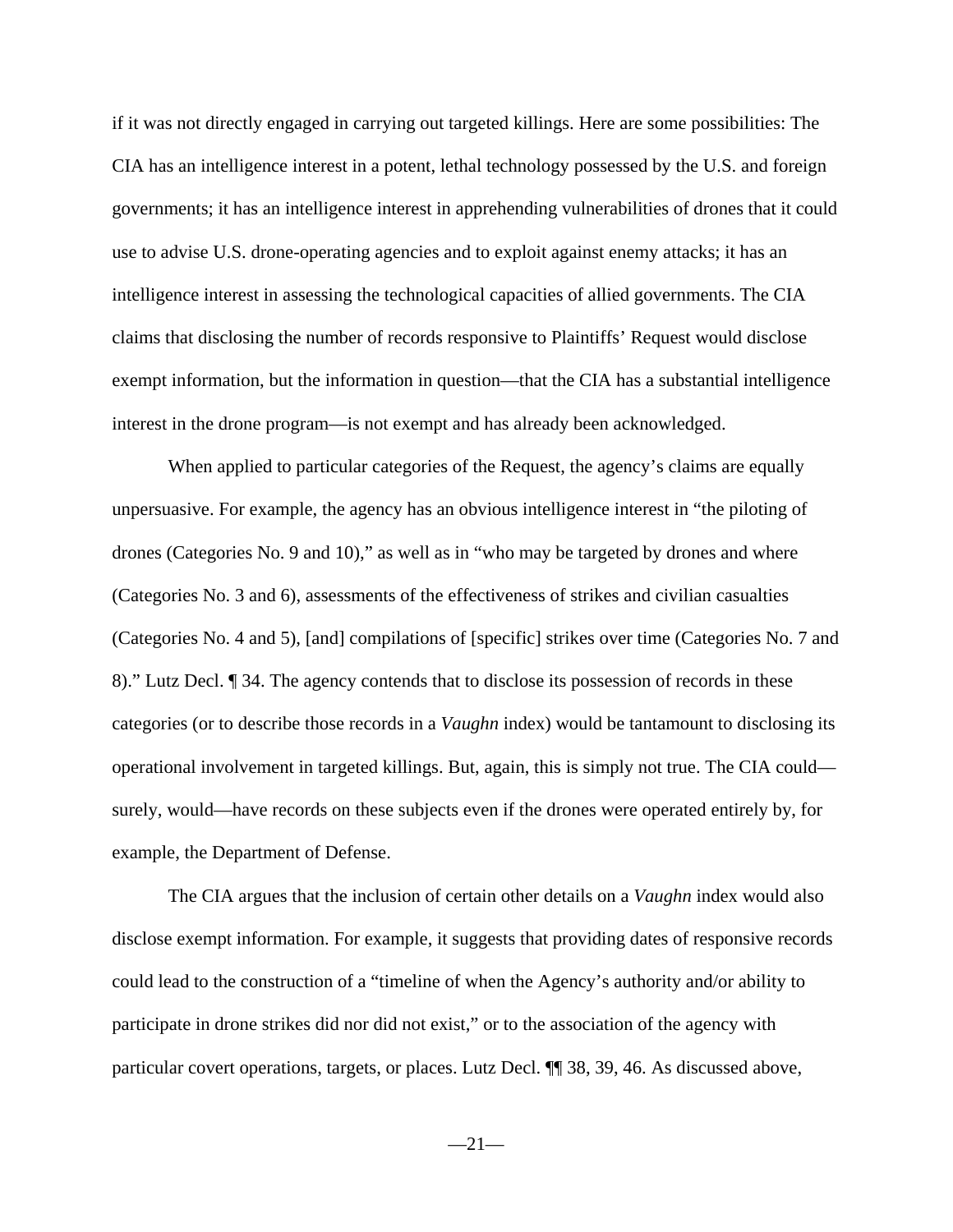if it was not directly engaged in carrying out targeted killings. Here are some possibilities: The CIA has an intelligence interest in a potent, lethal technology possessed by the U.S. and foreign governments; it has an intelligence interest in apprehending vulnerabilities of drones that it could use to advise U.S. drone-operating agencies and to exploit against enemy attacks; it has an intelligence interest in assessing the technological capacities of allied governments. The CIA claims that disclosing the number of records responsive to Plaintiffs' Request would disclose exempt information, but the information in question—that the CIA has a substantial intelligence interest in the drone program—is not exempt and has already been acknowledged.

When applied to particular categories of the Request, the agency's claims are equally unpersuasive. For example, the agency has an obvious intelligence interest in "the piloting of drones (Categories No. 9 and 10)," as well as in "who may be targeted by drones and where (Categories No. 3 and 6), assessments of the effectiveness of strikes and civilian casualties (Categories No. 4 and 5), [and] compilations of [specific] strikes over time (Categories No. 7 and 8)." Lutz Decl. ¶ 34. The agency contends that to disclose its possession of records in these categories (or to describe those records in a *Vaughn* index) would be tantamount to disclosing its operational involvement in targeted killings. But, again, this is simply not true. The CIA could surely, would—have records on these subjects even if the drones were operated entirely by, for example, the Department of Defense.

The CIA argues that the inclusion of certain other details on a *Vaughn* index would also disclose exempt information. For example, it suggests that providing dates of responsive records could lead to the construction of a "timeline of when the Agency's authority and/or ability to participate in drone strikes did nor did not exist," or to the association of the agency with particular covert operations, targets, or places. Lutz Decl. ¶¶ 38, 39, 46. As discussed above,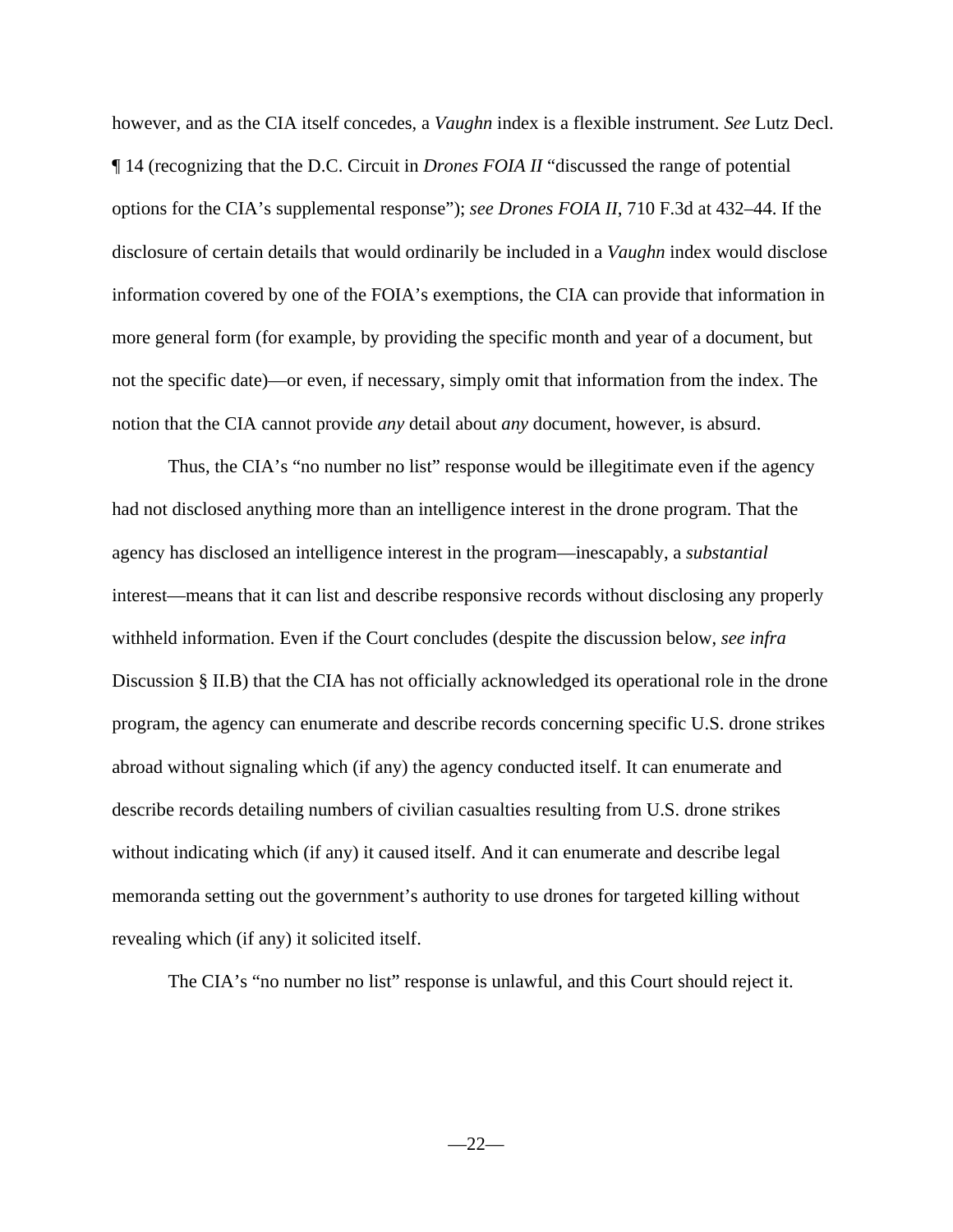however, and as the CIA itself concedes, a *Vaughn* index is a flexible instrument. *See* Lutz Decl. ¶ 14 (recognizing that the D.C. Circuit in *Drones FOIA II* "discussed the range of potential options for the CIA's supplemental response"); *see Drones FOIA II*, 710 F.3d at 432–44. If the disclosure of certain details that would ordinarily be included in a *Vaughn* index would disclose information covered by one of the FOIA's exemptions, the CIA can provide that information in more general form (for example, by providing the specific month and year of a document, but not the specific date)—or even, if necessary, simply omit that information from the index. The notion that the CIA cannot provide *any* detail about *any* document, however, is absurd.

Thus, the CIA's "no number no list" response would be illegitimate even if the agency had not disclosed anything more than an intelligence interest in the drone program. That the agency has disclosed an intelligence interest in the program—inescapably, a *substantial*  interest—means that it can list and describe responsive records without disclosing any properly withheld information. Even if the Court concludes (despite the discussion below, *see infra*  Discussion § II.B) that the CIA has not officially acknowledged its operational role in the drone program, the agency can enumerate and describe records concerning specific U.S. drone strikes abroad without signaling which (if any) the agency conducted itself. It can enumerate and describe records detailing numbers of civilian casualties resulting from U.S. drone strikes without indicating which (if any) it caused itself. And it can enumerate and describe legal memoranda setting out the government's authority to use drones for targeted killing without revealing which (if any) it solicited itself.

The CIA's "no number no list" response is unlawful, and this Court should reject it.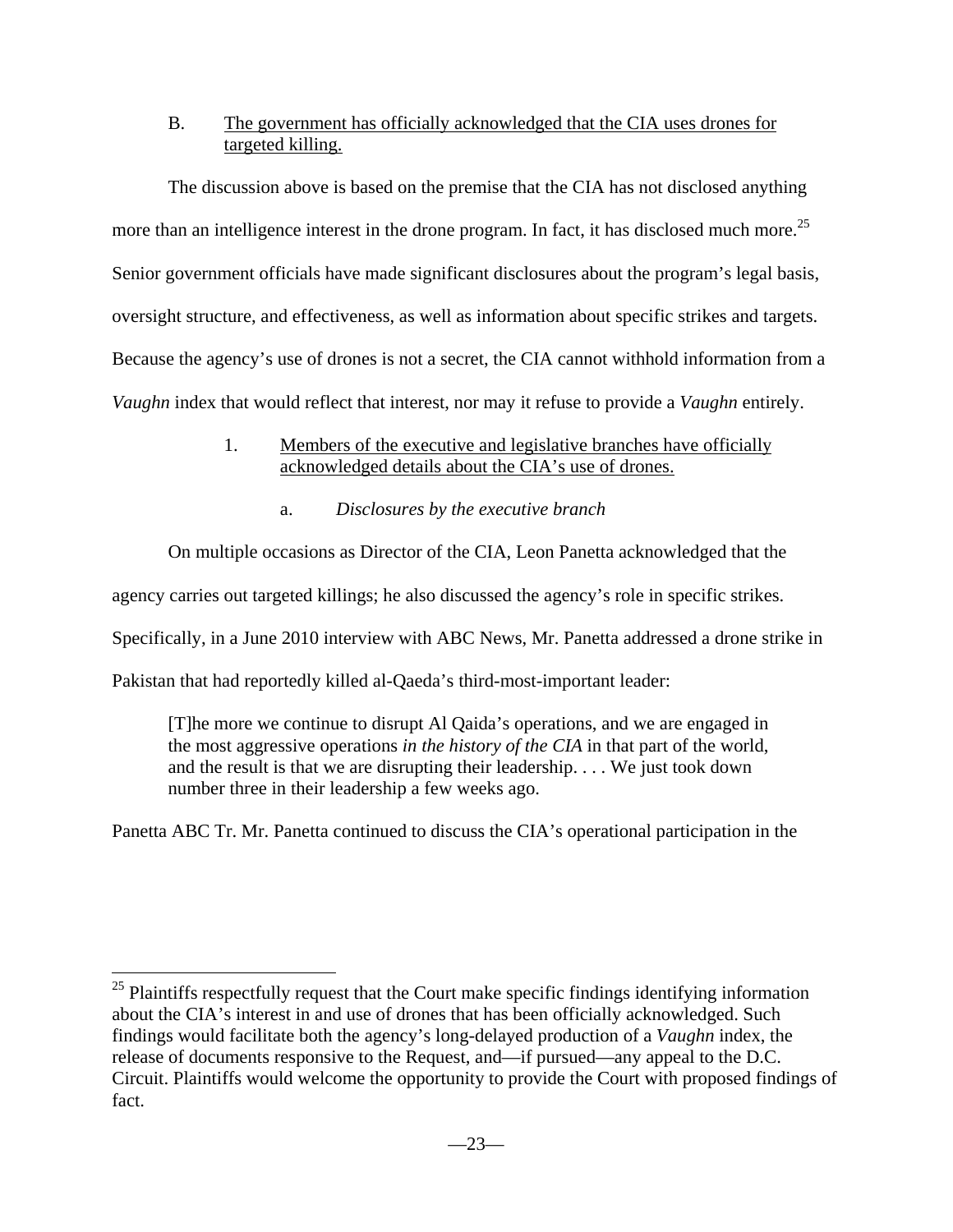## B. The government has officially acknowledged that the CIA uses drones for targeted killing.

 The discussion above is based on the premise that the CIA has not disclosed anything more than an intelligence interest in the drone program. In fact, it has disclosed much more.<sup>25</sup> Senior government officials have made significant disclosures about the program's legal basis, oversight structure, and effectiveness, as well as information about specific strikes and targets. Because the agency's use of drones is not a secret, the CIA cannot withhold information from a *Vaughn* index that would reflect that interest, nor may it refuse to provide a *Vaughn* entirely.

## 1. Members of the executive and legislative branches have officially acknowledged details about the CIA's use of drones.

a. *Disclosures by the executive branch*

On multiple occasions as Director of the CIA, Leon Panetta acknowledged that the

agency carries out targeted killings; he also discussed the agency's role in specific strikes.

Specifically, in a June 2010 interview with ABC News, Mr. Panetta addressed a drone strike in

Pakistan that had reportedly killed al-Qaeda's third-most-important leader:

<u>.</u>

[T]he more we continue to disrupt Al Qaida's operations, and we are engaged in the most aggressive operations *in the history of the CIA* in that part of the world, and the result is that we are disrupting their leadership. . . . We just took down number three in their leadership a few weeks ago.

Panetta ABC Tr. Mr. Panetta continued to discuss the CIA's operational participation in the

 $25$  Plaintiffs respectfully request that the Court make specific findings identifying information about the CIA's interest in and use of drones that has been officially acknowledged. Such findings would facilitate both the agency's long-delayed production of a *Vaughn* index, the release of documents responsive to the Request, and—if pursued—any appeal to the D.C. Circuit. Plaintiffs would welcome the opportunity to provide the Court with proposed findings of fact.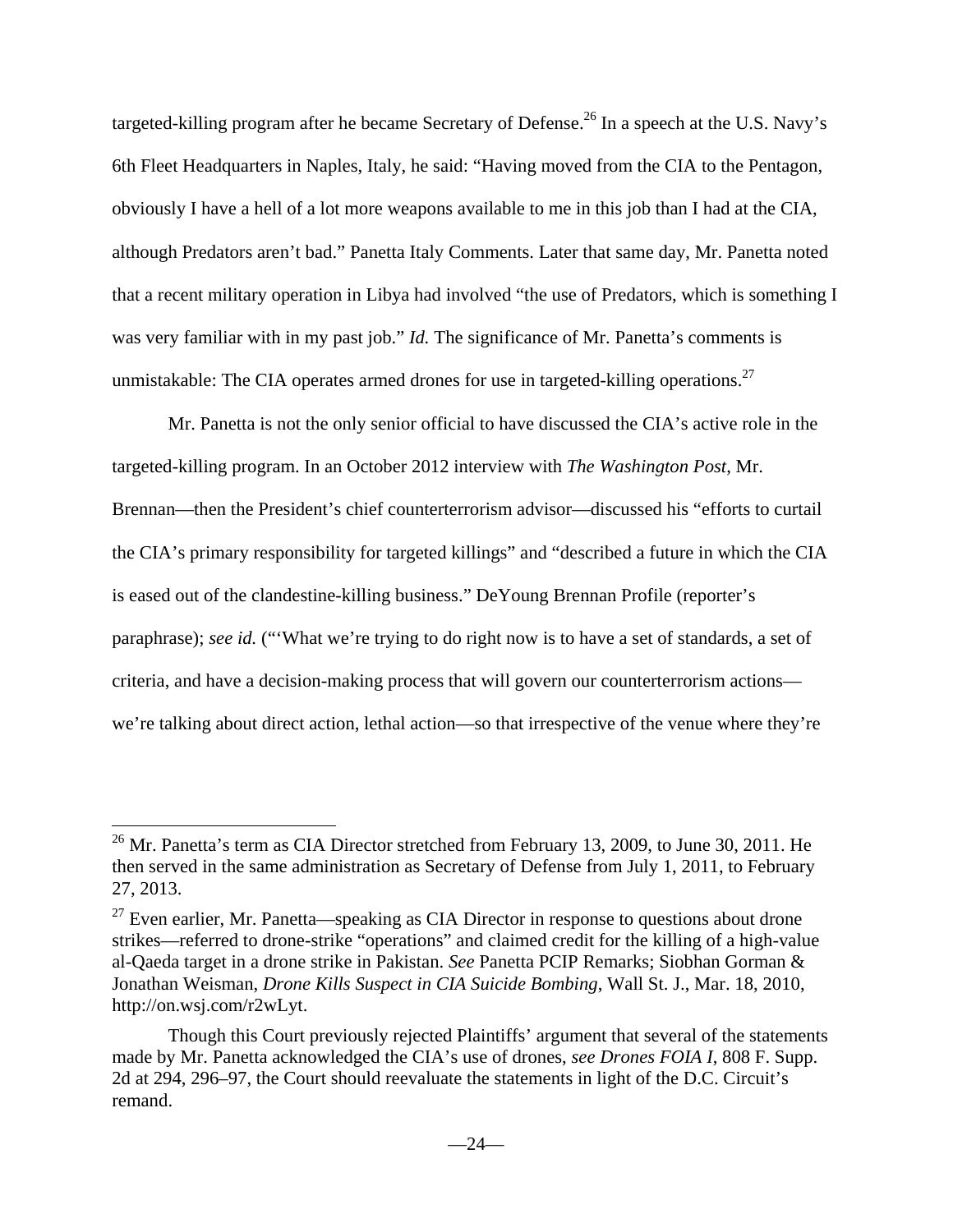targeted-killing program after he became Secretary of Defense.<sup>26</sup> In a speech at the U.S. Navy's 6th Fleet Headquarters in Naples, Italy, he said: "Having moved from the CIA to the Pentagon, obviously I have a hell of a lot more weapons available to me in this job than I had at the CIA, although Predators aren't bad." Panetta Italy Comments. Later that same day, Mr. Panetta noted that a recent military operation in Libya had involved "the use of Predators, which is something I was very familiar with in my past job." *Id*. The significance of Mr. Panetta's comments is unmistakable: The CIA operates armed drones for use in targeted-killing operations.<sup>27</sup>

Mr. Panetta is not the only senior official to have discussed the CIA's active role in the targeted-killing program. In an October 2012 interview with *The Washington Post*, Mr. Brennan—then the President's chief counterterrorism advisor—discussed his "efforts to curtail the CIA's primary responsibility for targeted killings" and "described a future in which the CIA is eased out of the clandestine-killing business." DeYoung Brennan Profile (reporter's paraphrase); *see id.* ("What we're trying to do right now is to have a set of standards, a set of criteria, and have a decision-making process that will govern our counterterrorism actions we're talking about direct action, lethal action—so that irrespective of the venue where they're

 $^{26}$  Mr. Panetta's term as CIA Director stretched from February 13, 2009, to June 30, 2011. He then served in the same administration as Secretary of Defense from July 1, 2011, to February 27, 2013.

 $27$  Even earlier, Mr. Panetta—speaking as CIA Director in response to questions about drone strikes—referred to drone-strike "operations" and claimed credit for the killing of a high-value al-Qaeda target in a drone strike in Pakistan. *See* Panetta PCIP Remarks; Siobhan Gorman & Jonathan Weisman, *Drone Kills Suspect in CIA Suicide Bombing*, Wall St. J., Mar. 18, 2010, http://on.wsj.com/r2wLyt.

Though this Court previously rejected Plaintiffs' argument that several of the statements made by Mr. Panetta acknowledged the CIA's use of drones, *see Drones FOIA I*, 808 F. Supp. 2d at 294, 296–97, the Court should reevaluate the statements in light of the D.C. Circuit's remand.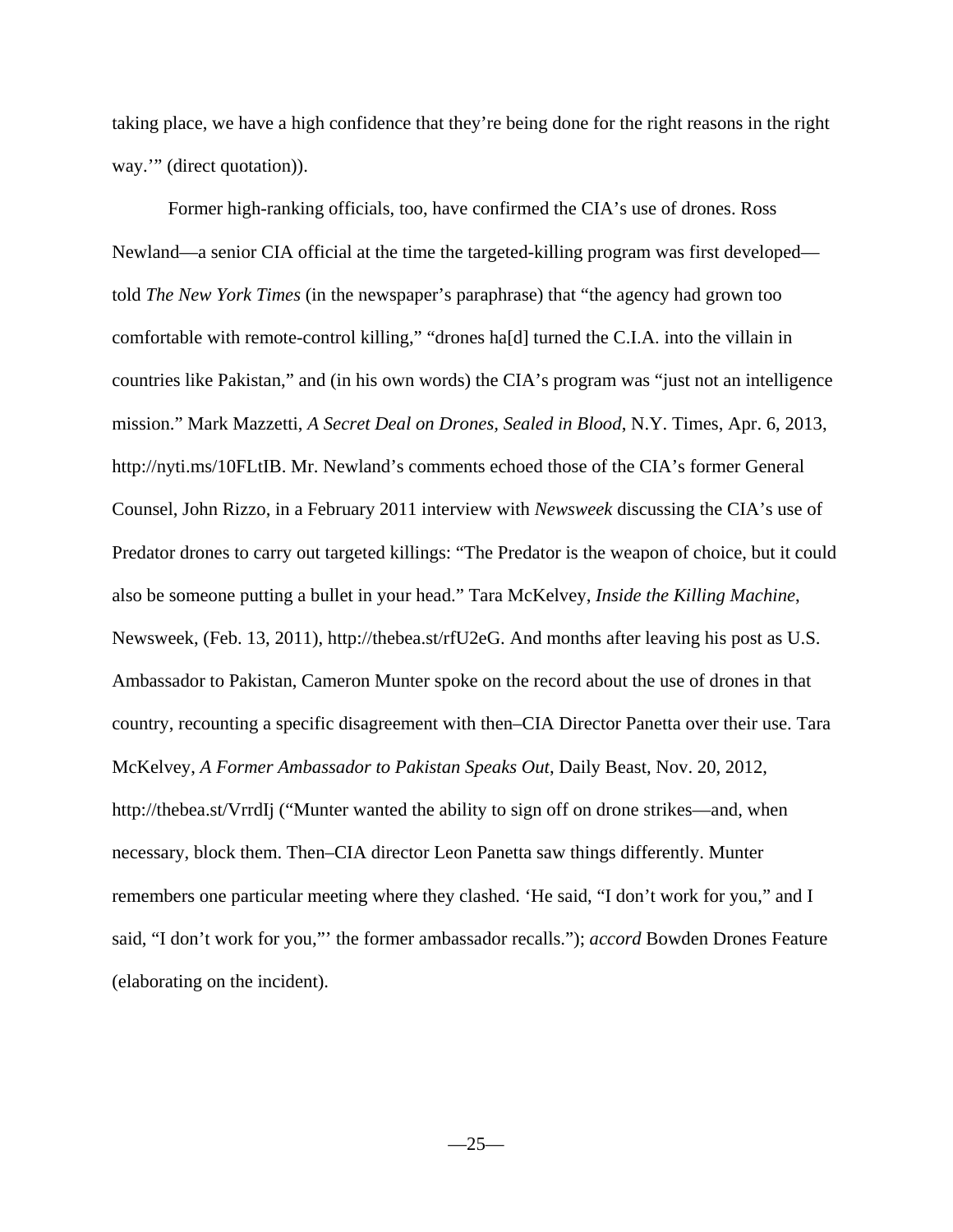taking place, we have a high confidence that they're being done for the right reasons in the right way.'" (direct quotation)).

Former high-ranking officials, too, have confirmed the CIA's use of drones. Ross Newland—a senior CIA official at the time the targeted-killing program was first developed told *The New York Times* (in the newspaper's paraphrase) that "the agency had grown too comfortable with remote-control killing," "drones ha[d] turned the C.I.A. into the villain in countries like Pakistan," and (in his own words) the CIA's program was "just not an intelligence mission." Mark Mazzetti, *A Secret Deal on Drones, Sealed in Blood*, N.Y. Times, Apr. 6, 2013, http://nyti.ms/10FLtIB. Mr. Newland's comments echoed those of the CIA's former General Counsel, John Rizzo, in a February 2011 interview with *Newsweek* discussing the CIA's use of Predator drones to carry out targeted killings: "The Predator is the weapon of choice, but it could also be someone putting a bullet in your head." Tara McKelvey, *Inside the Killing Machine*, Newsweek, (Feb. 13, 2011), http://thebea.st/rfU2eG. And months after leaving his post as U.S. Ambassador to Pakistan, Cameron Munter spoke on the record about the use of drones in that country, recounting a specific disagreement with then–CIA Director Panetta over their use. Tara McKelvey, *A Former Ambassador to Pakistan Speaks Out*, Daily Beast, Nov. 20, 2012, http://thebea.st/VrrdIj ("Munter wanted the ability to sign off on drone strikes—and, when necessary, block them. Then–CIA director Leon Panetta saw things differently. Munter remembers one particular meeting where they clashed. 'He said, "I don't work for you," and I said, "I don't work for you,"' the former ambassador recalls."); *accord* Bowden Drones Feature (elaborating on the incident).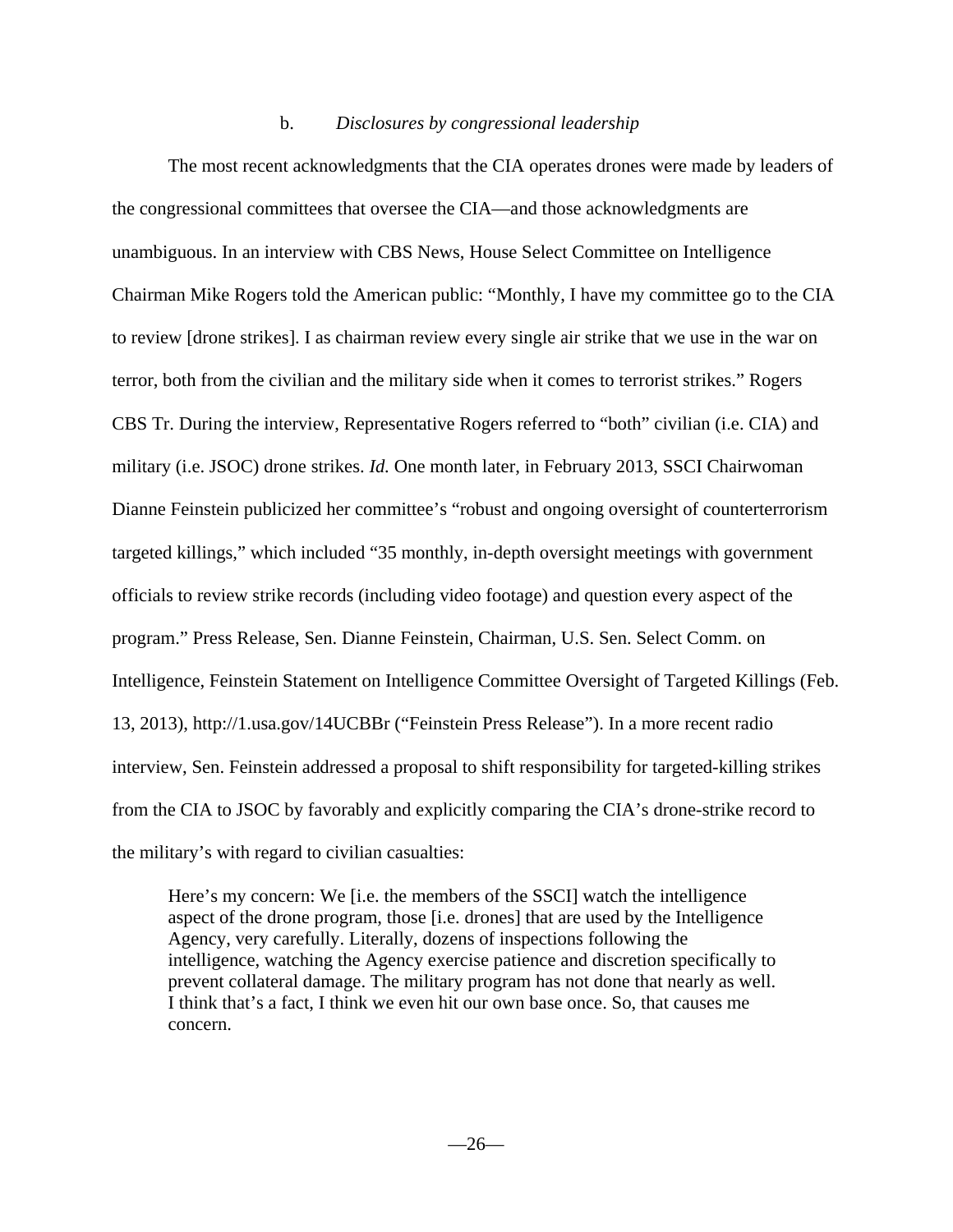### b. *Disclosures by congressional leadership*

 The most recent acknowledgments that the CIA operates drones were made by leaders of the congressional committees that oversee the CIA—and those acknowledgments are unambiguous. In an interview with CBS News, House Select Committee on Intelligence Chairman Mike Rogers told the American public: "Monthly, I have my committee go to the CIA to review [drone strikes]. I as chairman review every single air strike that we use in the war on terror, both from the civilian and the military side when it comes to terrorist strikes." Rogers CBS Tr. During the interview, Representative Rogers referred to "both" civilian (i.e. CIA) and military (i.e. JSOC) drone strikes. *Id.* One month later, in February 2013, SSCI Chairwoman Dianne Feinstein publicized her committee's "robust and ongoing oversight of counterterrorism targeted killings," which included "35 monthly, in-depth oversight meetings with government officials to review strike records (including video footage) and question every aspect of the program." Press Release, Sen. Dianne Feinstein, Chairman, U.S. Sen. Select Comm. on Intelligence, Feinstein Statement on Intelligence Committee Oversight of Targeted Killings (Feb. 13, 2013), http://1.usa.gov/14UCBBr ("Feinstein Press Release"). In a more recent radio interview, Sen. Feinstein addressed a proposal to shift responsibility for targeted-killing strikes from the CIA to JSOC by favorably and explicitly comparing the CIA's drone-strike record to the military's with regard to civilian casualties:

Here's my concern: We [i.e. the members of the SSCI] watch the intelligence aspect of the drone program, those [i.e. drones] that are used by the Intelligence Agency, very carefully. Literally, dozens of inspections following the intelligence, watching the Agency exercise patience and discretion specifically to prevent collateral damage. The military program has not done that nearly as well. I think that's a fact, I think we even hit our own base once. So, that causes me concern.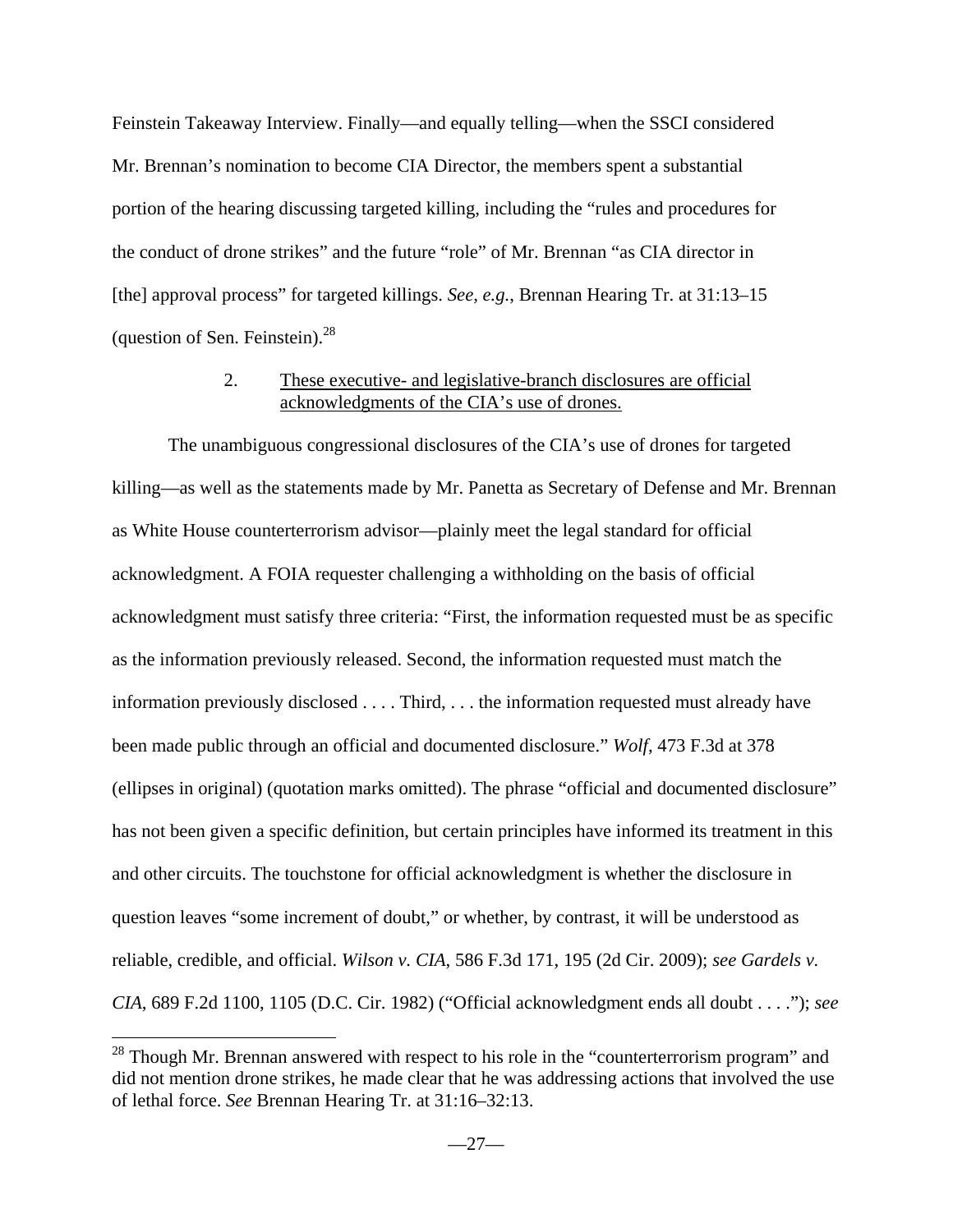Feinstein Takeaway Interview. Finally—and equally telling—when the SSCI considered Mr. Brennan's nomination to become CIA Director, the members spent a substantial portion of the hearing discussing targeted killing, including the "rules and procedures for the conduct of drone strikes" and the future "role" of Mr. Brennan "as CIA director in [the] approval process" for targeted killings. *See, e.g.*, Brennan Hearing Tr. at 31:13–15 (question of Sen. Feinstein). $^{28}$ 

### 2. These executive- and legislative-branch disclosures are official acknowledgments of the CIA's use of drones.

The unambiguous congressional disclosures of the CIA's use of drones for targeted killing—as well as the statements made by Mr. Panetta as Secretary of Defense and Mr. Brennan as White House counterterrorism advisor—plainly meet the legal standard for official acknowledgment. A FOIA requester challenging a withholding on the basis of official acknowledgment must satisfy three criteria: "First, the information requested must be as specific as the information previously released. Second, the information requested must match the information previously disclosed . . . . Third, . . . the information requested must already have been made public through an official and documented disclosure." *Wolf*, 473 F.3d at 378 (ellipses in original) (quotation marks omitted). The phrase "official and documented disclosure" has not been given a specific definition, but certain principles have informed its treatment in this and other circuits. The touchstone for official acknowledgment is whether the disclosure in question leaves "some increment of doubt," or whether, by contrast, it will be understood as reliable, credible, and official. *Wilson v. CIA*, 586 F.3d 171, 195 (2d Cir. 2009); *see Gardels v. CIA*, 689 F.2d 1100, 1105 (D.C. Cir. 1982) ("Official acknowledgment ends all doubt . . . ."); *see* 

 $^{28}$  Though Mr. Brennan answered with respect to his role in the "counterterrorism program" and did not mention drone strikes, he made clear that he was addressing actions that involved the use of lethal force. *See* Brennan Hearing Tr. at 31:16–32:13.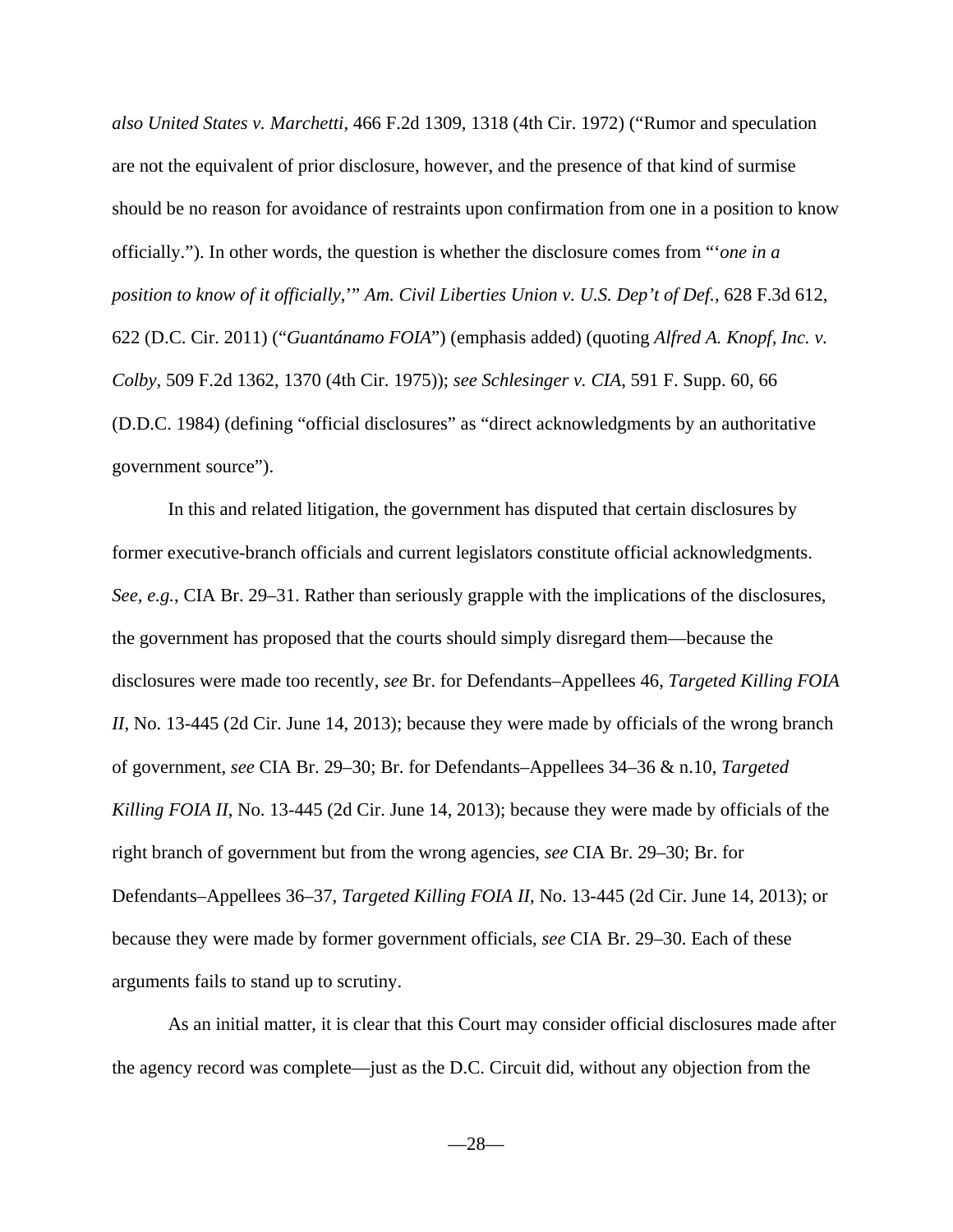*also United States v. Marchetti*, 466 F.2d 1309, 1318 (4th Cir. 1972) ("Rumor and speculation are not the equivalent of prior disclosure, however, and the presence of that kind of surmise should be no reason for avoidance of restraints upon confirmation from one in a position to know officially."). In other words, the question is whether the disclosure comes from "'*one in a position to know of it officially*,'" *Am. Civil Liberties Union v. U.S. Dep't of Def.*, 628 F.3d 612, 622 (D.C. Cir. 2011) ("*Guantánamo FOIA*") (emphasis added) (quoting *Alfred A. Knopf, Inc. v. Colby,* 509 F.2d 1362, 1370 (4th Cir. 1975)); *see Schlesinger v. CIA*, 591 F. Supp. 60, 66 (D.D.C. 1984) (defining "official disclosures" as "direct acknowledgments by an authoritative government source").

In this and related litigation, the government has disputed that certain disclosures by former executive-branch officials and current legislators constitute official acknowledgments. *See, e.g.*, CIA Br. 29–31. Rather than seriously grapple with the implications of the disclosures, the government has proposed that the courts should simply disregard them—because the disclosures were made too recently, *see* Br. for Defendants–Appellees 46, *Targeted Killing FOIA II*, No. 13-445 (2d Cir. June 14, 2013); because they were made by officials of the wrong branch of government, *see* CIA Br. 29–30; Br. for Defendants–Appellees 34–36 & n.10, *Targeted Killing FOIA II*, No. 13-445 (2d Cir. June 14, 2013); because they were made by officials of the right branch of government but from the wrong agencies, *see* CIA Br. 29–30; Br. for Defendants–Appellees 36–37, *Targeted Killing FOIA II*, No. 13-445 (2d Cir. June 14, 2013); or because they were made by former government officials, *see* CIA Br. 29–30. Each of these arguments fails to stand up to scrutiny.

 As an initial matter, it is clear that this Court may consider official disclosures made after the agency record was complete—just as the D.C. Circuit did, without any objection from the

 $-28-$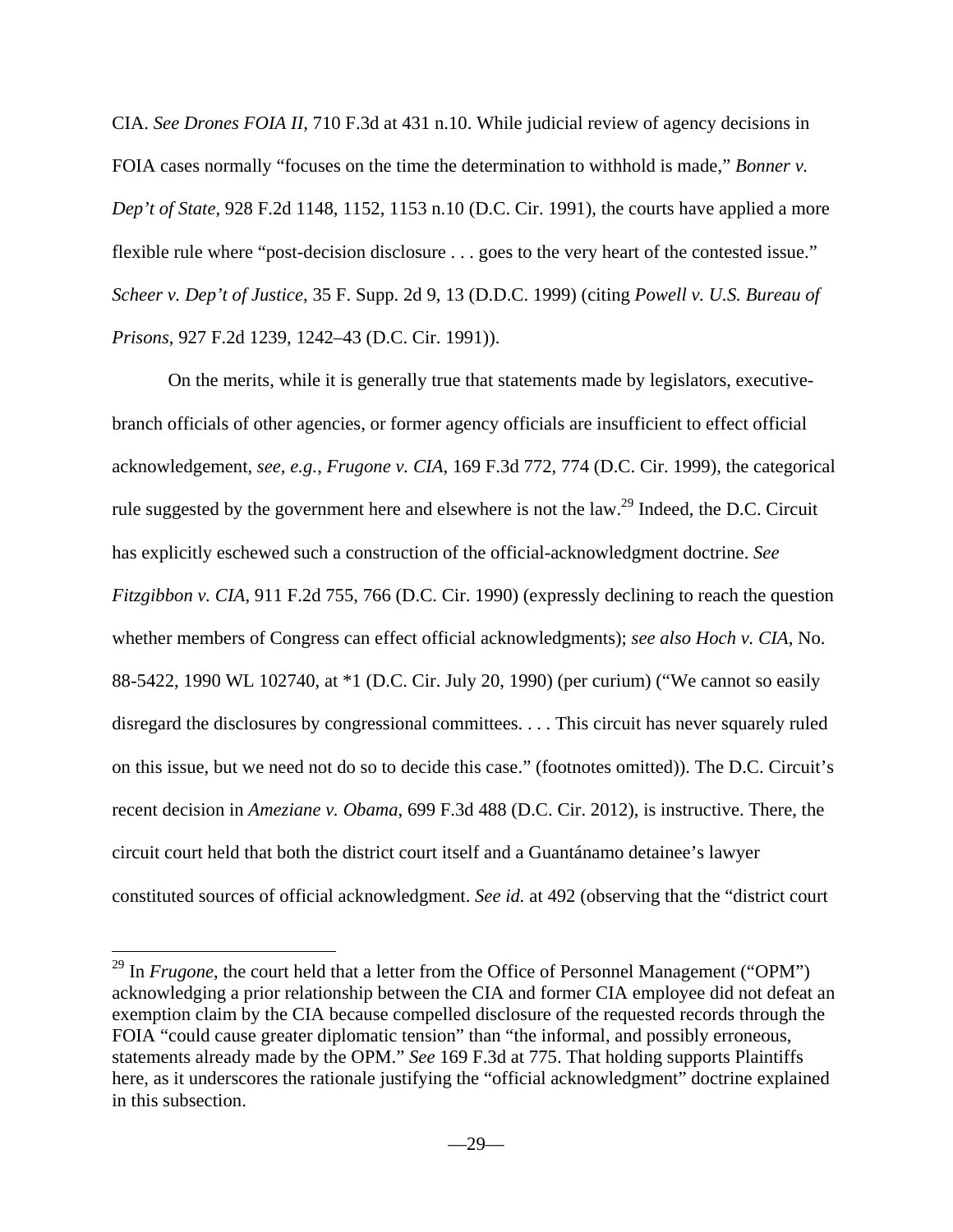CIA. *See Drones FOIA II*, 710 F.3d at 431 n.10. While judicial review of agency decisions in FOIA cases normally "focuses on the time the determination to withhold is made," *Bonner v. Dep't of State*, 928 F.2d 1148, 1152, 1153 n.10 (D.C. Cir. 1991), the courts have applied a more flexible rule where "post-decision disclosure . . . goes to the very heart of the contested issue." *Scheer v. Dep't of Justice*, 35 F. Supp. 2d 9, 13 (D.D.C. 1999) (citing *Powell v. U.S. Bureau of Prisons*, 927 F.2d 1239, 1242–43 (D.C. Cir. 1991)).

On the merits, while it is generally true that statements made by legislators, executivebranch officials of other agencies, or former agency officials are insufficient to effect official acknowledgement, *see, e.g.*, *Frugone v. CIA*, 169 F.3d 772, 774 (D.C. Cir. 1999), the categorical rule suggested by the government here and elsewhere is not the law.<sup>29</sup> Indeed, the D.C. Circuit has explicitly eschewed such a construction of the official-acknowledgment doctrine. *See Fitzgibbon v. CIA*, 911 F.2d 755, 766 (D.C. Cir. 1990) (expressly declining to reach the question whether members of Congress can effect official acknowledgments); *see also Hoch v. CIA*, No. 88-5422, 1990 WL 102740, at \*1 (D.C. Cir. July 20, 1990) (per curium) ("We cannot so easily disregard the disclosures by congressional committees. . . . This circuit has never squarely ruled on this issue, but we need not do so to decide this case." (footnotes omitted)). The D.C. Circuit's recent decision in *Ameziane v. Obama*, 699 F.3d 488 (D.C. Cir. 2012), is instructive. There, the circuit court held that both the district court itself and a Guantánamo detainee's lawyer constituted sources of official acknowledgment. *See id.* at 492 (observing that the "district court

1

<sup>&</sup>lt;sup>29</sup> In *Frugone*, the court held that a letter from the Office of Personnel Management ("OPM") acknowledging a prior relationship between the CIA and former CIA employee did not defeat an exemption claim by the CIA because compelled disclosure of the requested records through the FOIA "could cause greater diplomatic tension" than "the informal, and possibly erroneous, statements already made by the OPM." *See* 169 F.3d at 775. That holding supports Plaintiffs here, as it underscores the rationale justifying the "official acknowledgment" doctrine explained in this subsection.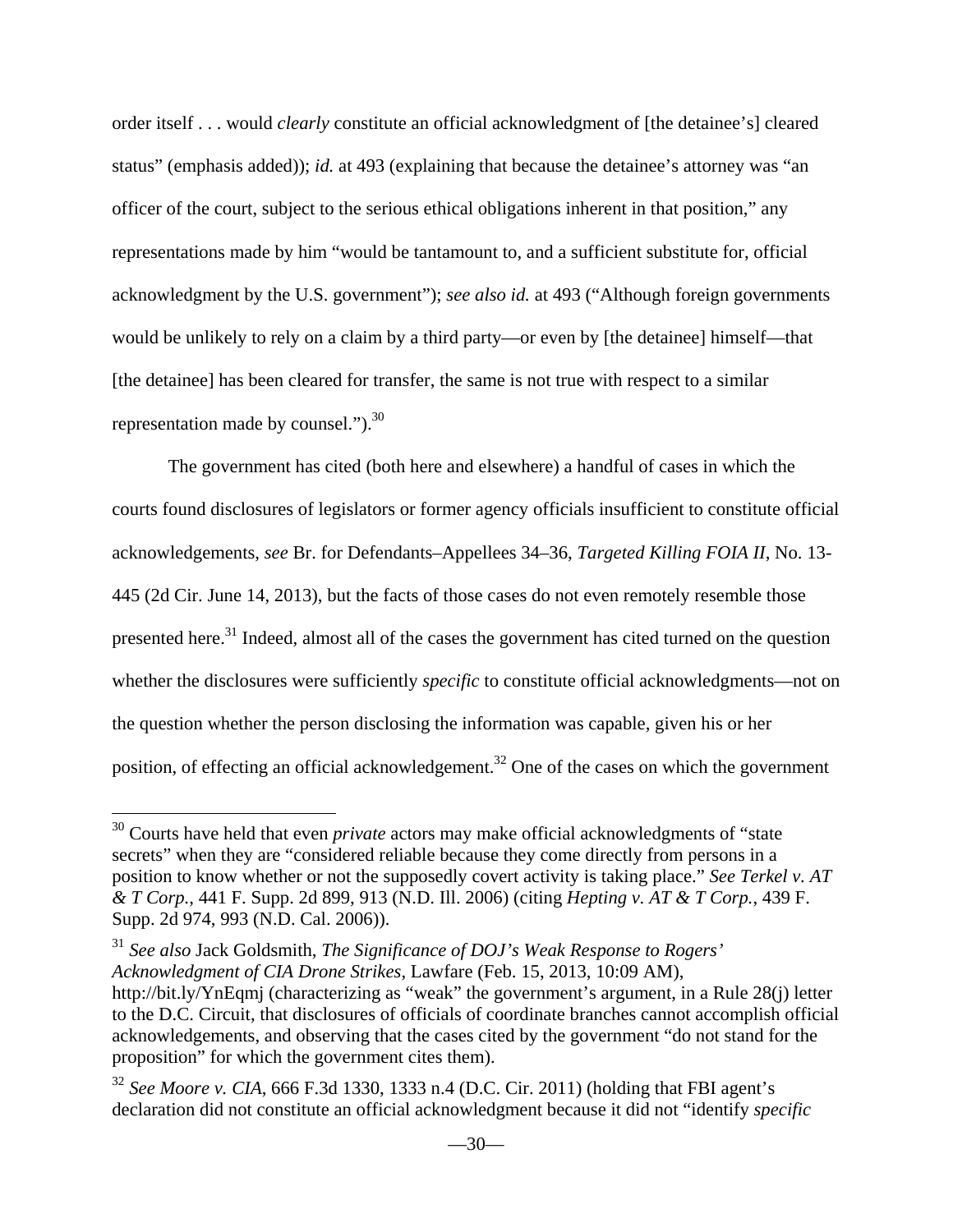order itself . . . would *clearly* constitute an official acknowledgment of [the detainee's] cleared status" (emphasis added)); *id.* at 493 (explaining that because the detainee's attorney was "an officer of the court, subject to the serious ethical obligations inherent in that position," any representations made by him "would be tantamount to, and a sufficient substitute for, official acknowledgment by the U.S. government"); *see also id.* at 493 ("Although foreign governments would be unlikely to rely on a claim by a third party—or even by [the detainee] himself—that [the detainee] has been cleared for transfer, the same is not true with respect to a similar representation made by counsel." $b^3$ .

The government has cited (both here and elsewhere) a handful of cases in which the courts found disclosures of legislators or former agency officials insufficient to constitute official acknowledgements, *see* Br. for Defendants–Appellees 34–36, *Targeted Killing FOIA II*, No. 13- 445 (2d Cir. June 14, 2013), but the facts of those cases do not even remotely resemble those presented here.<sup>31</sup> Indeed, almost all of the cases the government has cited turned on the question whether the disclosures were sufficiently *specific* to constitute official acknowledgments—not on the question whether the person disclosing the information was capable, given his or her position, of effecting an official acknowledgement.32 One of the cases on which the government

<sup>30</sup> Courts have held that even *private* actors may make official acknowledgments of "state secrets" when they are "considered reliable because they come directly from persons in a position to know whether or not the supposedly covert activity is taking place." *See Terkel v. AT & T Corp.*, 441 F. Supp. 2d 899, 913 (N.D. Ill. 2006) (citing *Hepting v. AT & T Corp.*, 439 F. Supp. 2d 974, 993 (N.D. Cal. 2006)).

<sup>31</sup> *See also* Jack Goldsmith, *The Significance of DOJ's Weak Response to Rogers' Acknowledgment of CIA Drone Strikes*, Lawfare (Feb. 15, 2013, 10:09 AM), http://bit.ly/YnEqmj (characterizing as "weak" the government's argument, in a Rule 28(j) letter to the D.C. Circuit, that disclosures of officials of coordinate branches cannot accomplish official acknowledgements, and observing that the cases cited by the government "do not stand for the proposition" for which the government cites them).

<sup>32</sup> *See Moore v. CIA*, 666 F.3d 1330, 1333 n.4 (D.C. Cir. 2011) (holding that FBI agent's declaration did not constitute an official acknowledgment because it did not "identify *specific*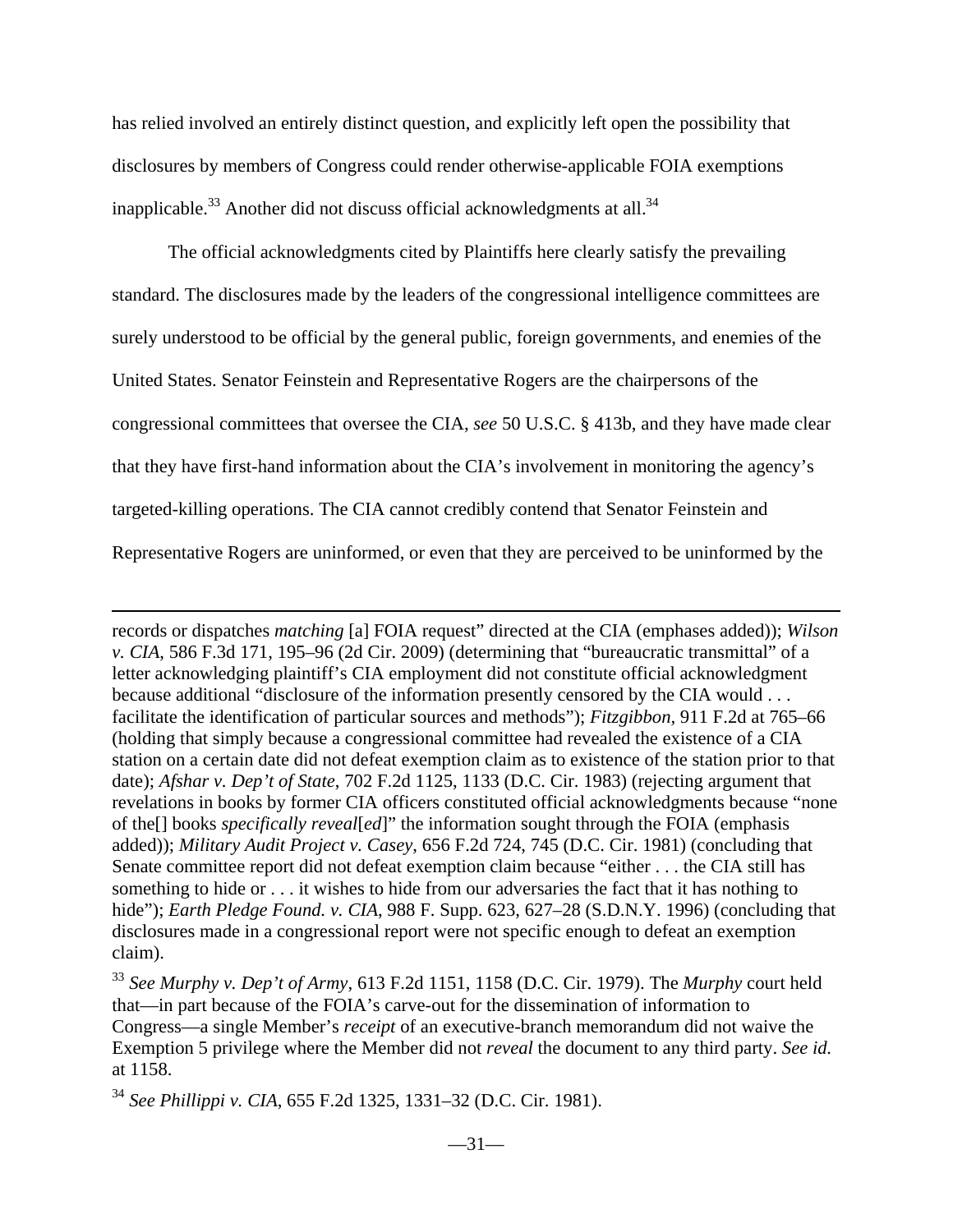has relied involved an entirely distinct question, and explicitly left open the possibility that disclosures by members of Congress could render otherwise-applicable FOIA exemptions inapplicable.<sup>33</sup> Another did not discuss official acknowledgments at all.<sup>34</sup>

The official acknowledgments cited by Plaintiffs here clearly satisfy the prevailing standard. The disclosures made by the leaders of the congressional intelligence committees are surely understood to be official by the general public, foreign governments, and enemies of the United States. Senator Feinstein and Representative Rogers are the chairpersons of the congressional committees that oversee the CIA, *see* 50 U.S.C. § 413b, and they have made clear that they have first-hand information about the CIA's involvement in monitoring the agency's targeted-killing operations. The CIA cannot credibly contend that Senator Feinstein and Representative Rogers are uninformed, or even that they are perceived to be uninformed by the

records or dispatches *matching* [a] FOIA request" directed at the CIA (emphases added)); *Wilson v. CIA*, 586 F.3d 171, 195–96 (2d Cir. 2009) (determining that "bureaucratic transmittal" of a letter acknowledging plaintiff's CIA employment did not constitute official acknowledgment because additional "disclosure of the information presently censored by the CIA would . . . facilitate the identification of particular sources and methods"); *Fitzgibbon,* 911 F.2d at 765–66 (holding that simply because a congressional committee had revealed the existence of a CIA station on a certain date did not defeat exemption claim as to existence of the station prior to that date); *Afshar v. Dep't of State*, 702 F.2d 1125, 1133 (D.C. Cir. 1983) (rejecting argument that revelations in books by former CIA officers constituted official acknowledgments because "none of the[] books *specifically reveal*[*ed*]" the information sought through the FOIA (emphasis added)); *Military Audit Project v. Casey*, 656 F.2d 724, 745 (D.C. Cir. 1981) (concluding that Senate committee report did not defeat exemption claim because "either . . . the CIA still has something to hide or . . . it wishes to hide from our adversaries the fact that it has nothing to hide"); *Earth Pledge Found. v. CIA*, 988 F. Supp. 623, 627–28 (S.D.N.Y. 1996) (concluding that disclosures made in a congressional report were not specific enough to defeat an exemption claim).

<sup>33</sup> *See Murphy v. Dep't of Army*, 613 F.2d 1151, 1158 (D.C. Cir. 1979). The *Murphy* court held that—in part because of the FOIA's carve-out for the dissemination of information to Congress—a single Member's *receipt* of an executive-branch memorandum did not waive the Exemption 5 privilege where the Member did not *reveal* the document to any third party. *See id.* at 1158.

<sup>34</sup> *See Phillippi v. CIA*, 655 F.2d 1325, 1331–32 (D.C. Cir. 1981).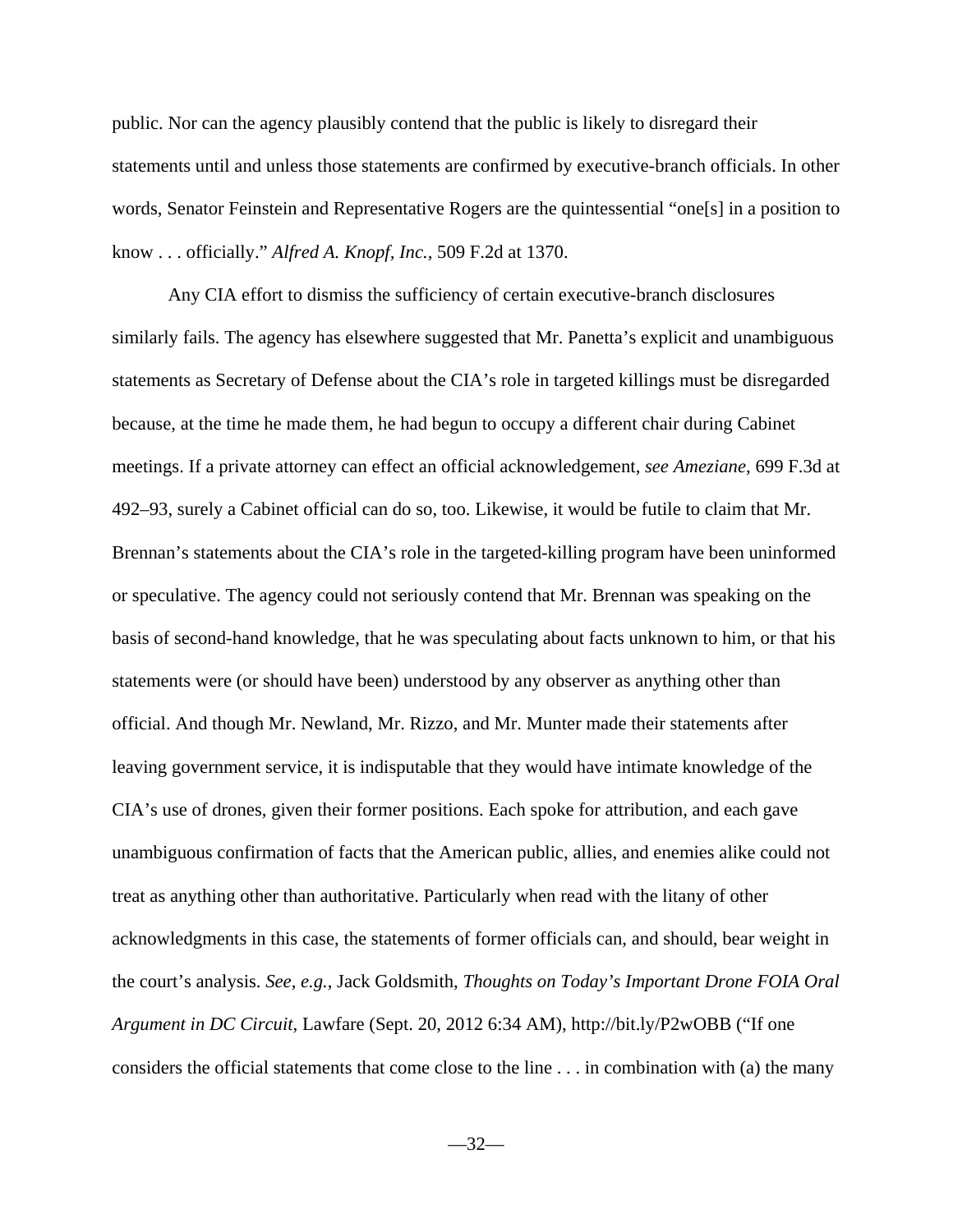public. Nor can the agency plausibly contend that the public is likely to disregard their statements until and unless those statements are confirmed by executive-branch officials. In other words, Senator Feinstein and Representative Rogers are the quintessential "one[s] in a position to know . . . officially." *Alfred A. Knopf, Inc.,* 509 F.2d at 1370.

Any CIA effort to dismiss the sufficiency of certain executive-branch disclosures similarly fails. The agency has elsewhere suggested that Mr. Panetta's explicit and unambiguous statements as Secretary of Defense about the CIA's role in targeted killings must be disregarded because, at the time he made them, he had begun to occupy a different chair during Cabinet meetings. If a private attorney can effect an official acknowledgement, *see Ameziane*, 699 F.3d at 492–93, surely a Cabinet official can do so, too. Likewise, it would be futile to claim that Mr. Brennan's statements about the CIA's role in the targeted-killing program have been uninformed or speculative. The agency could not seriously contend that Mr. Brennan was speaking on the basis of second-hand knowledge, that he was speculating about facts unknown to him, or that his statements were (or should have been) understood by any observer as anything other than official. And though Mr. Newland, Mr. Rizzo, and Mr. Munter made their statements after leaving government service, it is indisputable that they would have intimate knowledge of the CIA's use of drones, given their former positions. Each spoke for attribution, and each gave unambiguous confirmation of facts that the American public, allies, and enemies alike could not treat as anything other than authoritative. Particularly when read with the litany of other acknowledgments in this case, the statements of former officials can, and should, bear weight in the court's analysis. *See, e.g.*, Jack Goldsmith, *Thoughts on Today's Important Drone FOIA Oral Argument in DC Circuit*, Lawfare (Sept. 20, 2012 6:34 AM), http://bit.ly/P2wOBB ("If one considers the official statements that come close to the line . . . in combination with (a) the many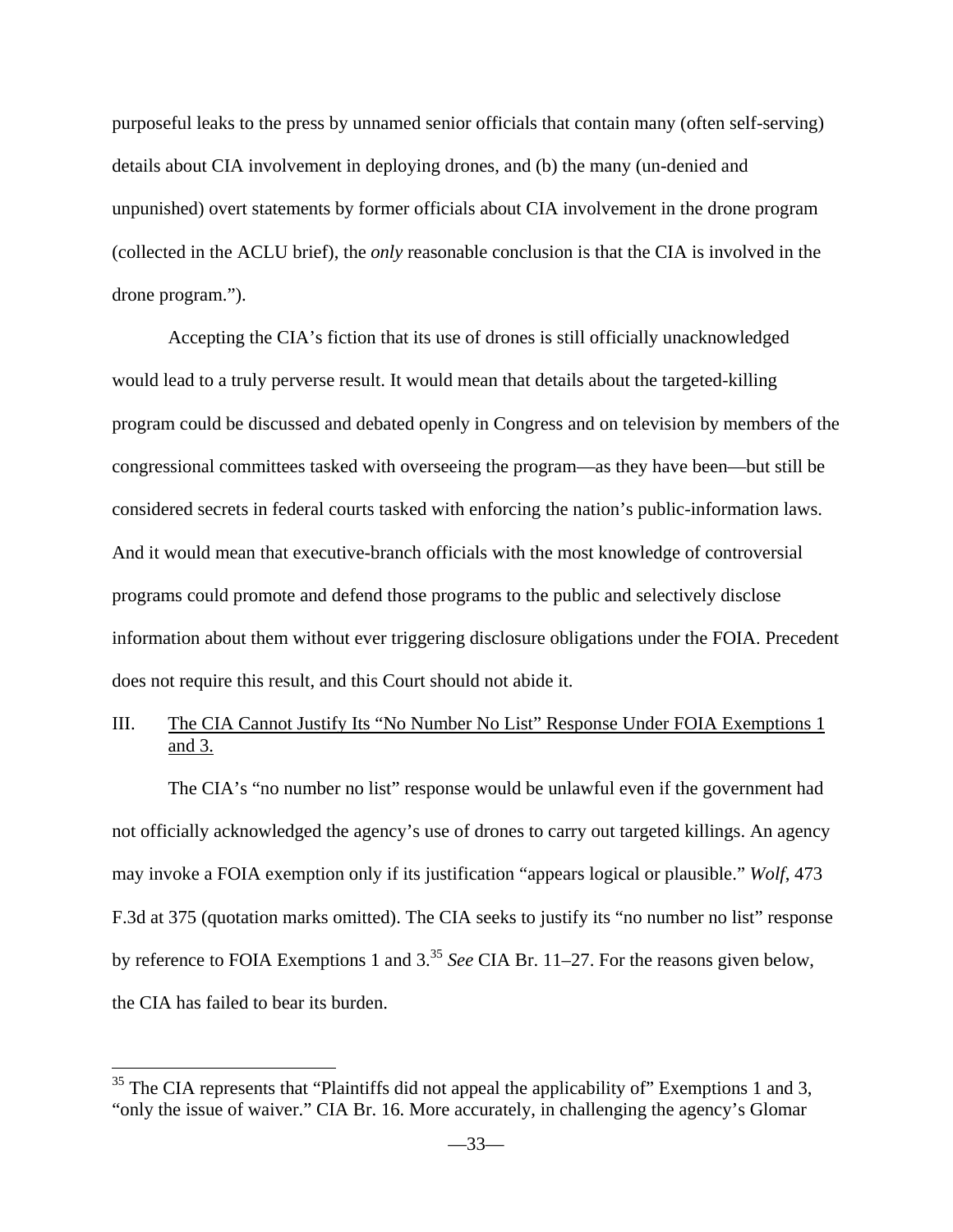purposeful leaks to the press by unnamed senior officials that contain many (often self-serving) details about CIA involvement in deploying drones, and (b) the many (un-denied and unpunished) overt statements by former officials about CIA involvement in the drone program (collected in the ACLU brief), the *only* reasonable conclusion is that the CIA is involved in the drone program.").

Accepting the CIA's fiction that its use of drones is still officially unacknowledged would lead to a truly perverse result. It would mean that details about the targeted-killing program could be discussed and debated openly in Congress and on television by members of the congressional committees tasked with overseeing the program—as they have been—but still be considered secrets in federal courts tasked with enforcing the nation's public-information laws. And it would mean that executive-branch officials with the most knowledge of controversial programs could promote and defend those programs to the public and selectively disclose information about them without ever triggering disclosure obligations under the FOIA. Precedent does not require this result, and this Court should not abide it.

## III. The CIA Cannot Justify Its "No Number No List" Response Under FOIA Exemptions 1 and 3.

The CIA's "no number no list" response would be unlawful even if the government had not officially acknowledged the agency's use of drones to carry out targeted killings. An agency may invoke a FOIA exemption only if its justification "appears logical or plausible." *Wolf*, 473 F.3d at 375 (quotation marks omitted). The CIA seeks to justify its "no number no list" response by reference to FOIA Exemptions 1 and 3.<sup>35</sup> *See* CIA Br. 11–27. For the reasons given below, the CIA has failed to bear its burden.

 $35$  The CIA represents that "Plaintiffs did not appeal the applicability of" Exemptions 1 and 3, "only the issue of waiver." CIA Br. 16. More accurately, in challenging the agency's Glomar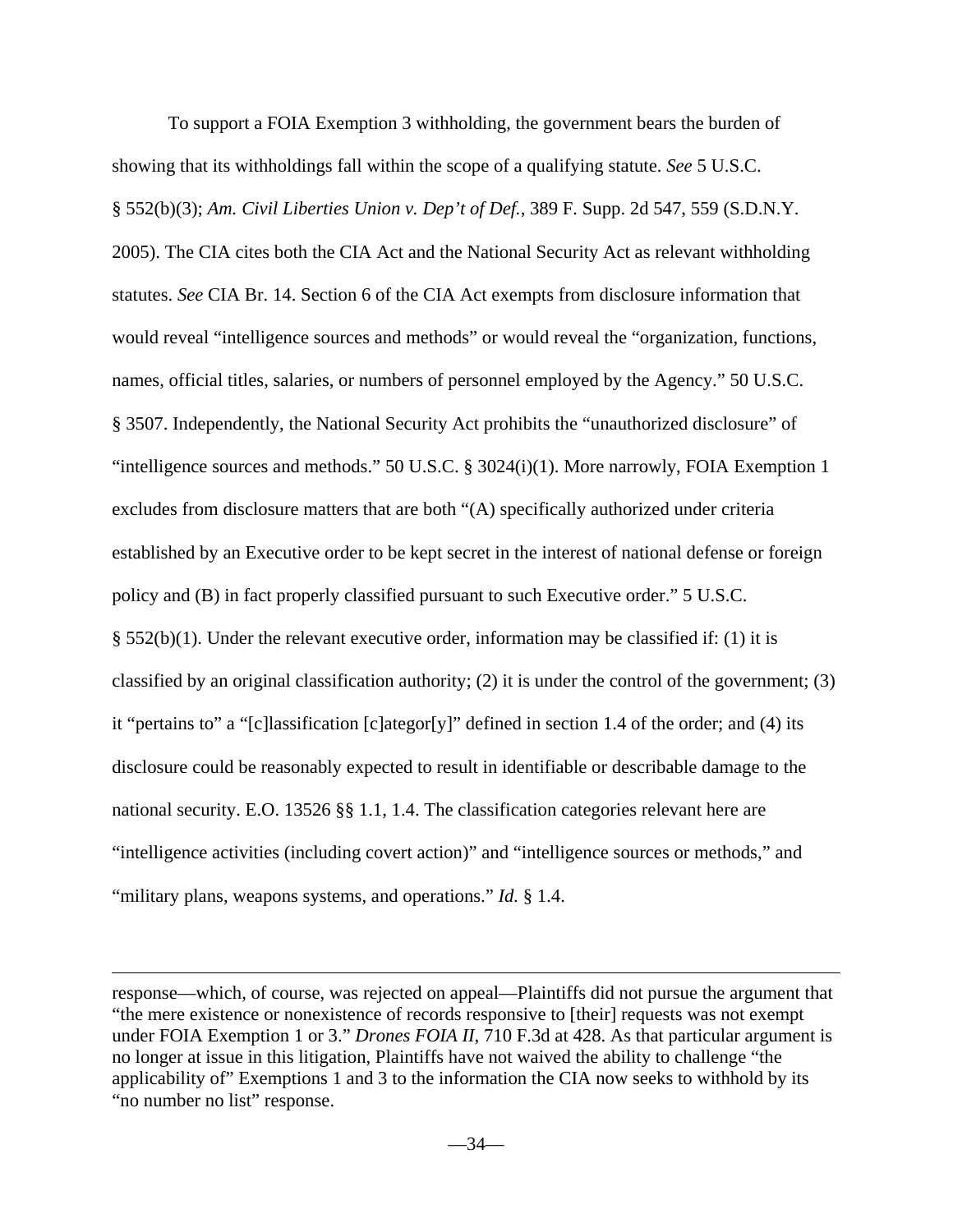To support a FOIA Exemption 3 withholding, the government bears the burden of showing that its withholdings fall within the scope of a qualifying statute. *See* 5 U.S.C. § 552(b)(3); *Am. Civil Liberties Union v. Dep't of Def.*, 389 F. Supp. 2d 547, 559 (S.D.N.Y. 2005). The CIA cites both the CIA Act and the National Security Act as relevant withholding statutes. *See* CIA Br. 14. Section 6 of the CIA Act exempts from disclosure information that would reveal "intelligence sources and methods" or would reveal the "organization, functions, names, official titles, salaries, or numbers of personnel employed by the Agency." 50 U.S.C. § 3507. Independently, the National Security Act prohibits the "unauthorized disclosure" of "intelligence sources and methods." 50 U.S.C. § 3024(i)(1). More narrowly, FOIA Exemption 1 excludes from disclosure matters that are both "(A) specifically authorized under criteria established by an Executive order to be kept secret in the interest of national defense or foreign policy and (B) in fact properly classified pursuant to such Executive order." 5 U.S.C.  $§$  552(b)(1). Under the relevant executive order, information may be classified if: (1) it is classified by an original classification authority; (2) it is under the control of the government; (3) it "pertains to" a "[c]lassification [c]ategor[y]" defined in section 1.4 of the order; and (4) its disclosure could be reasonably expected to result in identifiable or describable damage to the national security. E.O. 13526 §§ 1.1, 1.4. The classification categories relevant here are "intelligence activities (including covert action)" and "intelligence sources or methods," and "military plans, weapons systems, and operations." *Id.* § 1.4.

response—which, of course, was rejected on appeal—Plaintiffs did not pursue the argument that "the mere existence or nonexistence of records responsive to [their] requests was not exempt under FOIA Exemption 1 or 3." *Drones FOIA II*, 710 F.3d at 428. As that particular argument is no longer at issue in this litigation, Plaintiffs have not waived the ability to challenge "the applicability of" Exemptions 1 and 3 to the information the CIA now seeks to withhold by its "no number no list" response.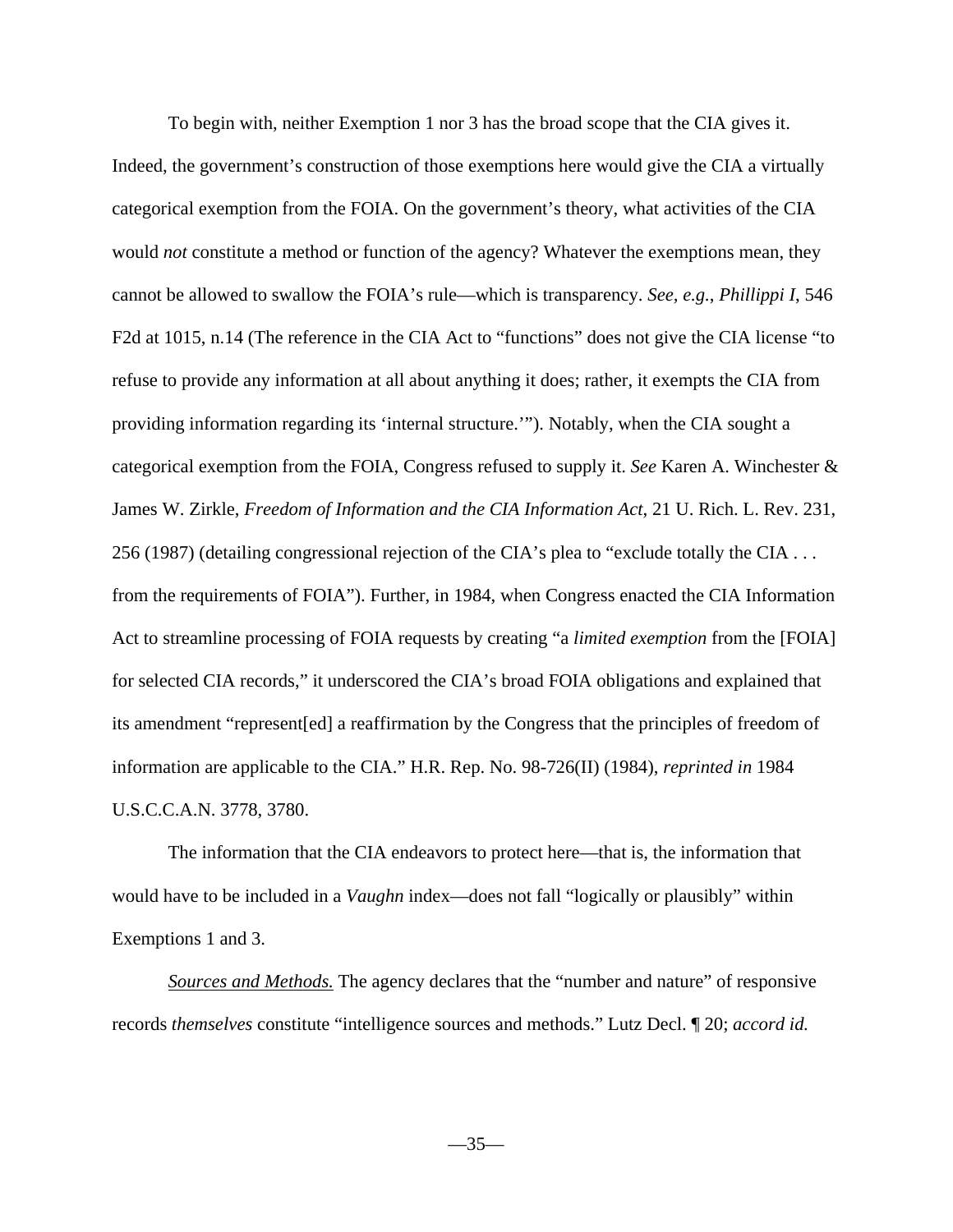To begin with, neither Exemption 1 nor 3 has the broad scope that the CIA gives it. Indeed, the government's construction of those exemptions here would give the CIA a virtually categorical exemption from the FOIA. On the government's theory, what activities of the CIA would *not* constitute a method or function of the agency? Whatever the exemptions mean, they cannot be allowed to swallow the FOIA's rule—which is transparency. *See, e.g.*, *Phillippi I*, 546 F2d at 1015, n.14 (The reference in the CIA Act to "functions" does not give the CIA license "to refuse to provide any information at all about anything it does; rather, it exempts the CIA from providing information regarding its 'internal structure.'"). Notably, when the CIA sought a categorical exemption from the FOIA, Congress refused to supply it. *See* Karen A. Winchester & James W. Zirkle, *Freedom of Information and the CIA Information Act*, 21 U. Rich. L. Rev. 231, 256 (1987) (detailing congressional rejection of the CIA's plea to "exclude totally the CIA . . . from the requirements of FOIA"). Further, in 1984, when Congress enacted the CIA Information Act to streamline processing of FOIA requests by creating "a *limited exemption* from the [FOIA] for selected CIA records," it underscored the CIA's broad FOIA obligations and explained that its amendment "represent[ed] a reaffirmation by the Congress that the principles of freedom of information are applicable to the CIA." H.R. Rep. No. 98-726(II) (1984), *reprinted in* 1984 U.S.C.C.A.N. 3778, 3780.

The information that the CIA endeavors to protect here—that is, the information that would have to be included in a *Vaughn* index—does not fall "logically or plausibly" within Exemptions 1 and 3.

*Sources and Methods.* The agency declares that the "number and nature" of responsive records *themselves* constitute "intelligence sources and methods." Lutz Decl. ¶ 20; *accord id.*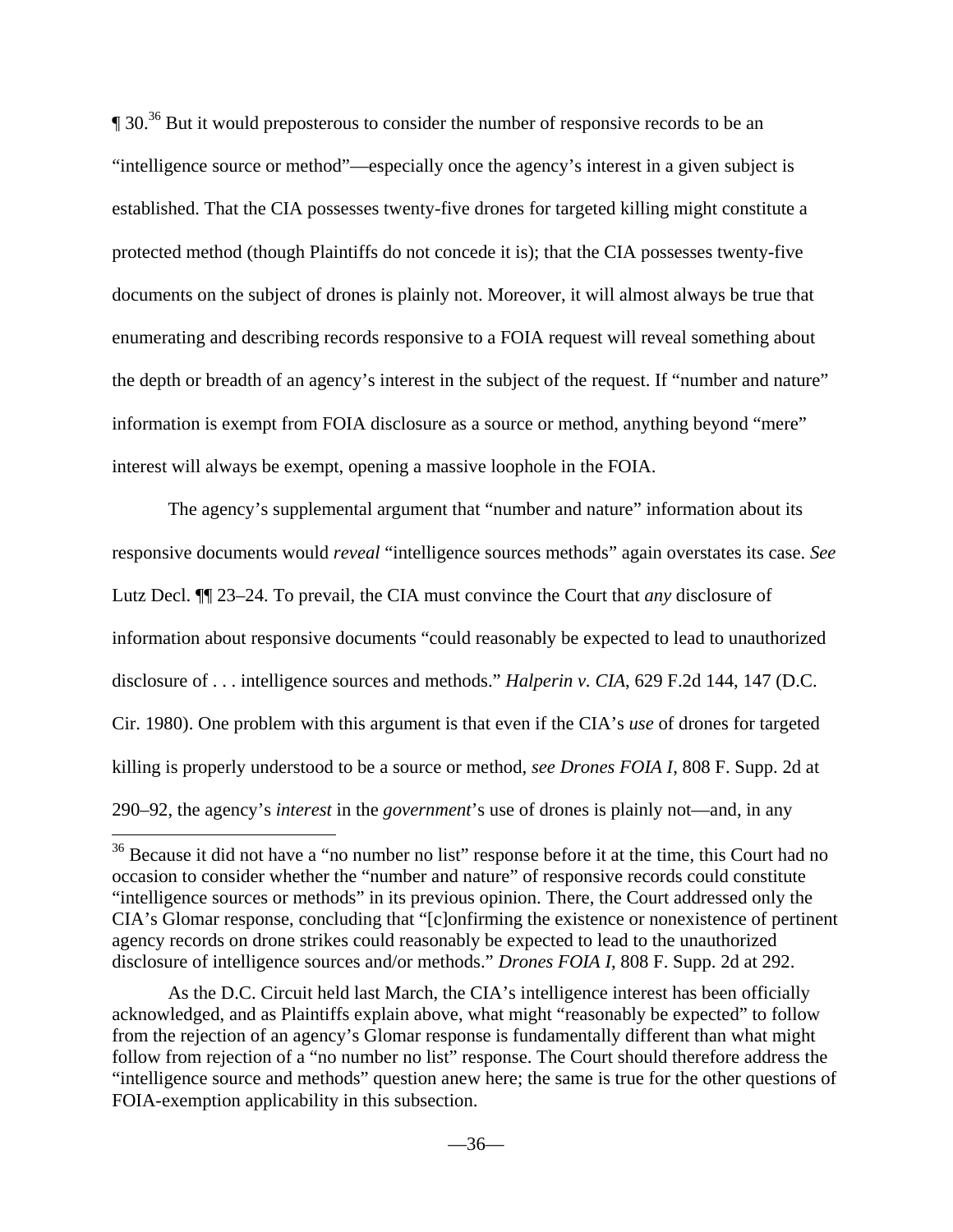$\degree$  30.<sup>36</sup> But it would preposterous to consider the number of responsive records to be an "intelligence source or method"—especially once the agency's interest in a given subject is established. That the CIA possesses twenty-five drones for targeted killing might constitute a protected method (though Plaintiffs do not concede it is); that the CIA possesses twenty-five documents on the subject of drones is plainly not. Moreover, it will almost always be true that enumerating and describing records responsive to a FOIA request will reveal something about the depth or breadth of an agency's interest in the subject of the request. If "number and nature" information is exempt from FOIA disclosure as a source or method, anything beyond "mere" interest will always be exempt, opening a massive loophole in the FOIA.

The agency's supplemental argument that "number and nature" information about its responsive documents would *reveal* "intelligence sources methods" again overstates its case. *See* Lutz Decl. ¶¶ 23–24. To prevail, the CIA must convince the Court that *any* disclosure of information about responsive documents "could reasonably be expected to lead to unauthorized disclosure of . . . intelligence sources and methods." *Halperin v. CIA*, 629 F.2d 144, 147 (D.C. Cir. 1980). One problem with this argument is that even if the CIA's *use* of drones for targeted killing is properly understood to be a source or method, *see Drones FOIA I*, 808 F. Supp. 2d at 290–92, the agency's *interest* in the *government*'s use of drones is plainly not—and, in any

<sup>&</sup>lt;sup>36</sup> Because it did not have a "no number no list" response before it at the time, this Court had no occasion to consider whether the "number and nature" of responsive records could constitute "intelligence sources or methods" in its previous opinion. There, the Court addressed only the CIA's Glomar response, concluding that "[c]onfirming the existence or nonexistence of pertinent agency records on drone strikes could reasonably be expected to lead to the unauthorized disclosure of intelligence sources and/or methods." *Drones FOIA I*, 808 F. Supp. 2d at 292.

As the D.C. Circuit held last March, the CIA's intelligence interest has been officially acknowledged, and as Plaintiffs explain above, what might "reasonably be expected" to follow from the rejection of an agency's Glomar response is fundamentally different than what might follow from rejection of a "no number no list" response. The Court should therefore address the "intelligence source and methods" question anew here; the same is true for the other questions of FOIA-exemption applicability in this subsection.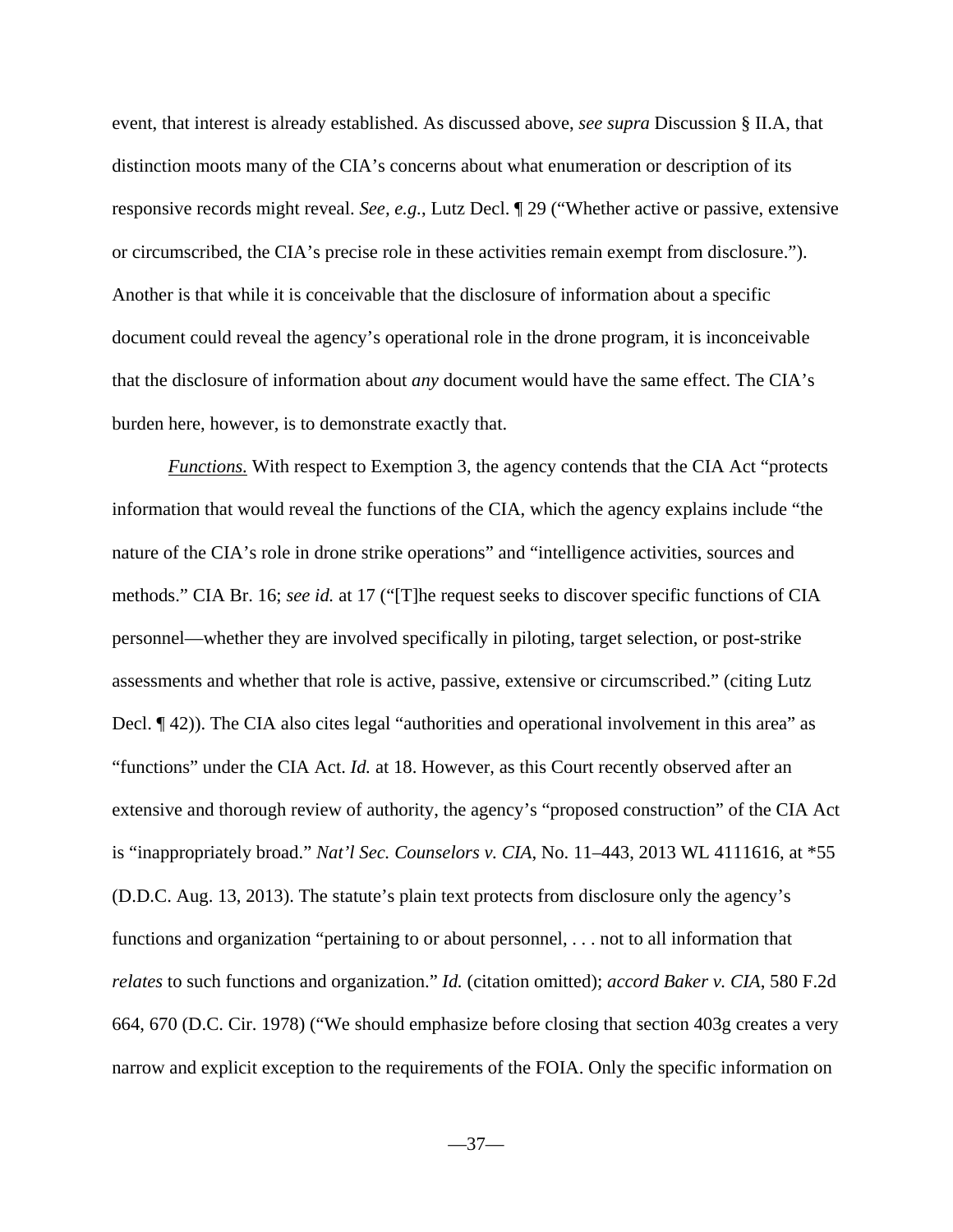event, that interest is already established. As discussed above, *see supra* Discussion § II.A, that distinction moots many of the CIA's concerns about what enumeration or description of its responsive records might reveal. *See, e.g.*, Lutz Decl. ¶ 29 ("Whether active or passive, extensive or circumscribed, the CIA's precise role in these activities remain exempt from disclosure."). Another is that while it is conceivable that the disclosure of information about a specific document could reveal the agency's operational role in the drone program, it is inconceivable that the disclosure of information about *any* document would have the same effect. The CIA's burden here, however, is to demonstrate exactly that.

*Functions.* With respect to Exemption 3, the agency contends that the CIA Act "protects" information that would reveal the functions of the CIA, which the agency explains include "the nature of the CIA's role in drone strike operations" and "intelligence activities, sources and methods." CIA Br. 16; *see id.* at 17 ("[T]he request seeks to discover specific functions of CIA personnel—whether they are involved specifically in piloting, target selection, or post-strike assessments and whether that role is active, passive, extensive or circumscribed." (citing Lutz Decl. ¶ 42)). The CIA also cites legal "authorities and operational involvement in this area" as "functions" under the CIA Act. *Id.* at 18. However, as this Court recently observed after an extensive and thorough review of authority, the agency's "proposed construction" of the CIA Act is "inappropriately broad." *Nat'l Sec. Counselors v. CIA*, No. 11–443, 2013 WL 4111616, at \*55 (D.D.C. Aug. 13, 2013). The statute's plain text protects from disclosure only the agency's functions and organization "pertaining to or about personnel, . . . not to all information that *relates* to such functions and organization." *Id.* (citation omitted); *accord Baker v. CIA*, 580 F.2d 664, 670 (D.C. Cir. 1978) ("We should emphasize before closing that section 403g creates a very narrow and explicit exception to the requirements of the FOIA. Only the specific information on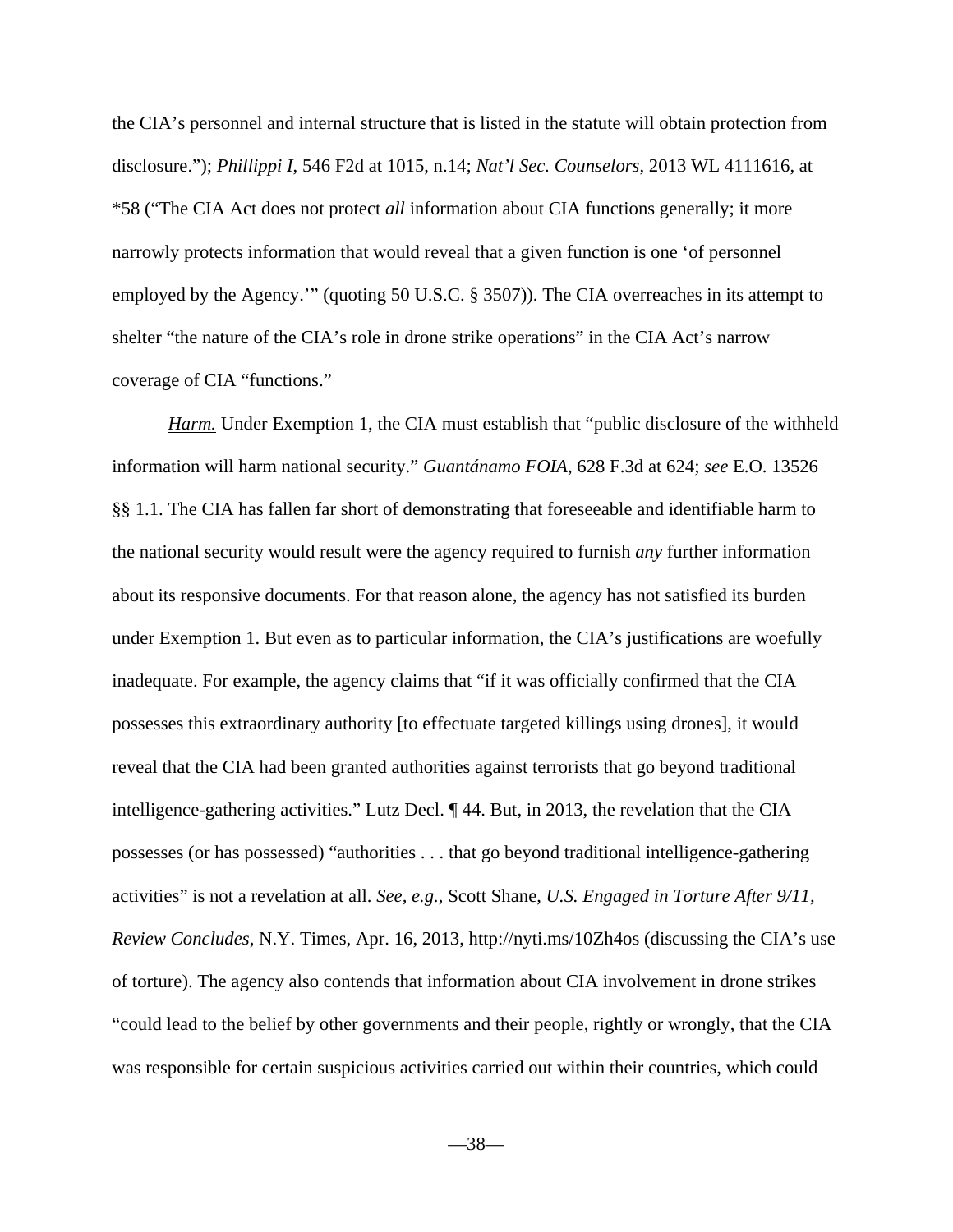the CIA's personnel and internal structure that is listed in the statute will obtain protection from disclosure."); *Phillippi I*, 546 F2d at 1015, n.14; *Nat'l Sec. Counselors*, 2013 WL 4111616, at \*58 ("The CIA Act does not protect *all* information about CIA functions generally; it more narrowly protects information that would reveal that a given function is one 'of personnel employed by the Agency.'" (quoting 50 U.S.C. § 3507)). The CIA overreaches in its attempt to shelter "the nature of the CIA's role in drone strike operations" in the CIA Act's narrow coverage of CIA "functions."

*Harm.* Under Exemption 1, the CIA must establish that "public disclosure of the withheld information will harm national security." *Guantánamo FOIA*, 628 F.3d at 624; *see* E.O. 13526 §§ 1.1. The CIA has fallen far short of demonstrating that foreseeable and identifiable harm to the national security would result were the agency required to furnish *any* further information about its responsive documents. For that reason alone, the agency has not satisfied its burden under Exemption 1. But even as to particular information, the CIA's justifications are woefully inadequate. For example, the agency claims that "if it was officially confirmed that the CIA possesses this extraordinary authority [to effectuate targeted killings using drones], it would reveal that the CIA had been granted authorities against terrorists that go beyond traditional intelligence-gathering activities." Lutz Decl. ¶ 44. But, in 2013, the revelation that the CIA possesses (or has possessed) "authorities . . . that go beyond traditional intelligence-gathering activities" is not a revelation at all. *See, e.g.*, Scott Shane, *U.S. Engaged in Torture After 9/11, Review Concludes*, N.Y. Times, Apr. 16, 2013, http://nyti.ms/10Zh4os (discussing the CIA's use of torture). The agency also contends that information about CIA involvement in drone strikes "could lead to the belief by other governments and their people, rightly or wrongly, that the CIA was responsible for certain suspicious activities carried out within their countries, which could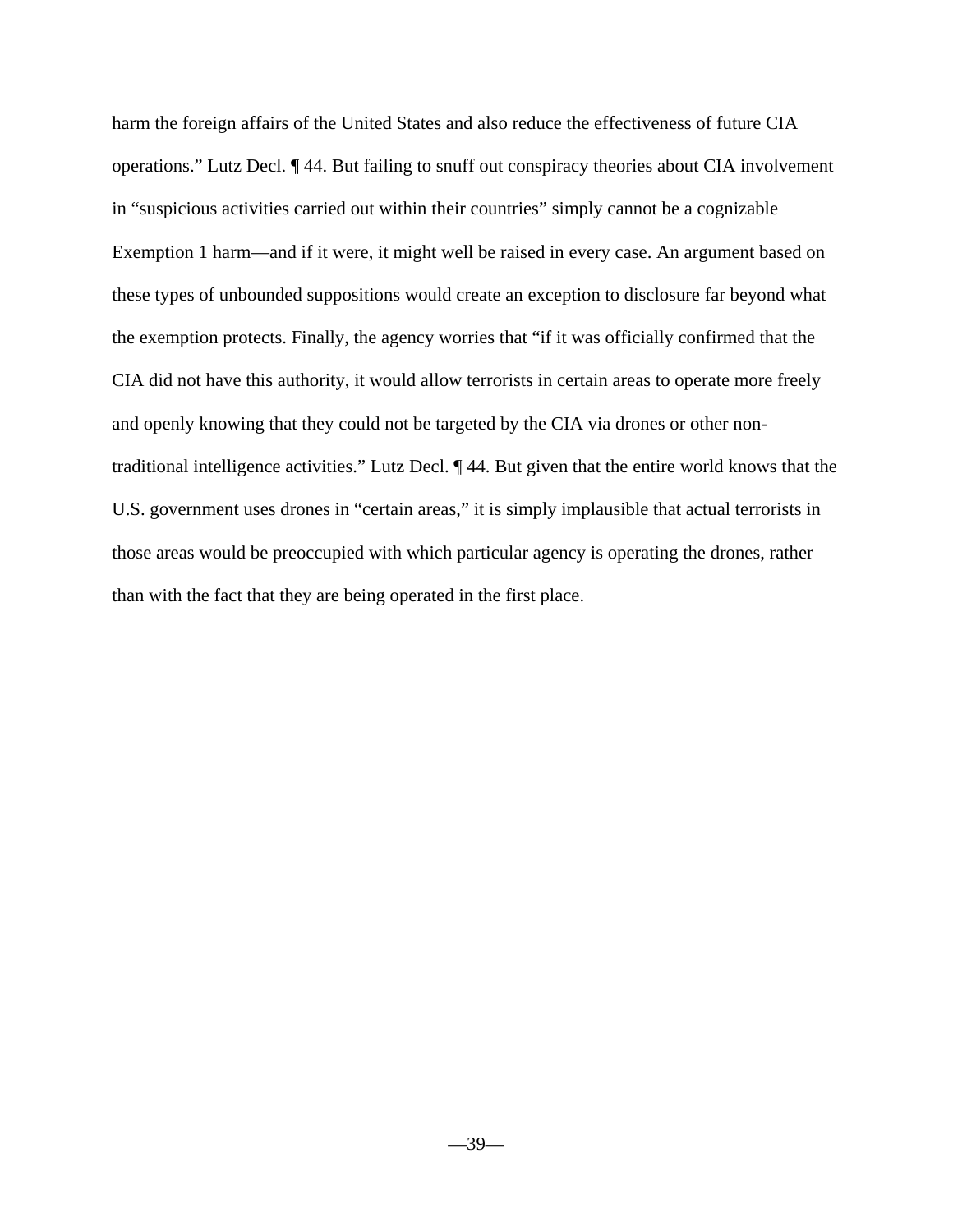harm the foreign affairs of the United States and also reduce the effectiveness of future CIA operations." Lutz Decl. ¶ 44. But failing to snuff out conspiracy theories about CIA involvement in "suspicious activities carried out within their countries" simply cannot be a cognizable Exemption 1 harm—and if it were, it might well be raised in every case. An argument based on these types of unbounded suppositions would create an exception to disclosure far beyond what the exemption protects. Finally, the agency worries that "if it was officially confirmed that the CIA did not have this authority, it would allow terrorists in certain areas to operate more freely and openly knowing that they could not be targeted by the CIA via drones or other nontraditional intelligence activities." Lutz Decl. ¶ 44. But given that the entire world knows that the U.S. government uses drones in "certain areas," it is simply implausible that actual terrorists in those areas would be preoccupied with which particular agency is operating the drones, rather than with the fact that they are being operated in the first place.